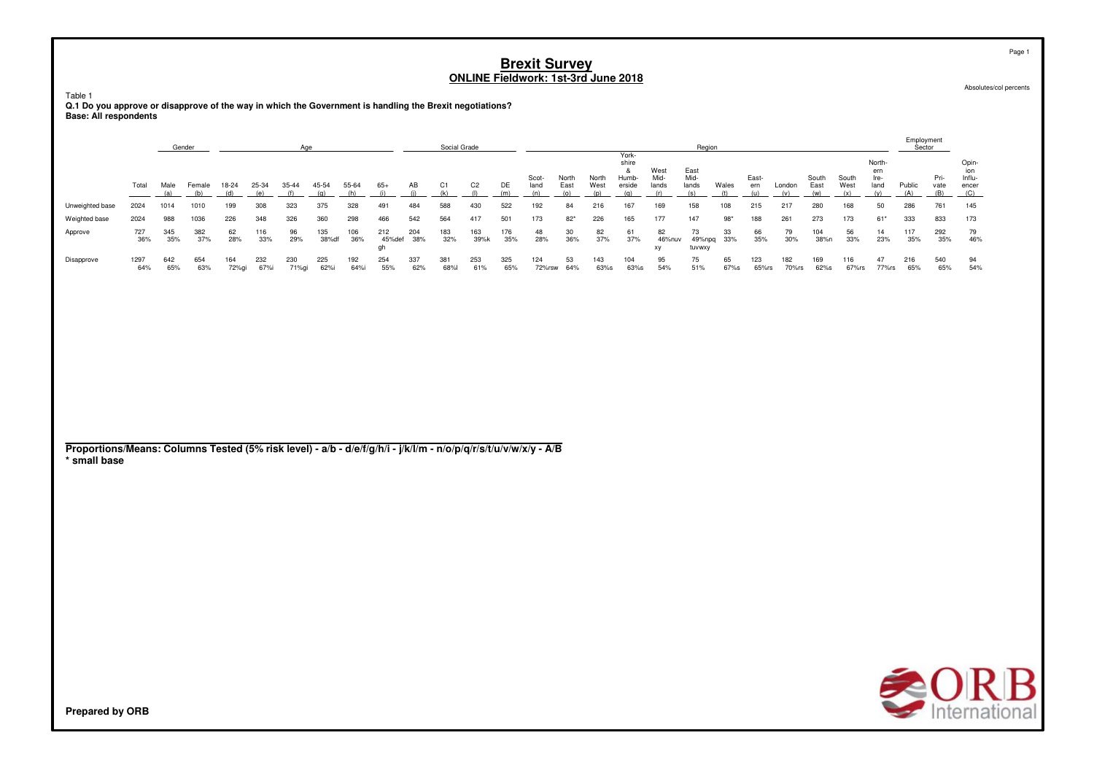Absolutes/col percents

Table 1 **Q.1 Do you approve or disapprove of the way in which the Government is handling the Brexit negotiations?Base: All respondents**

|                 |             |            | Gender     |              |            | Aae          |              |             |               |            | Social Grade |                |            |               |               |               |                                   |                       | Region                 |           |              |              |               |               |                               | Employment<br>Sector |                     |                                        |
|-----------------|-------------|------------|------------|--------------|------------|--------------|--------------|-------------|---------------|------------|--------------|----------------|------------|---------------|---------------|---------------|-----------------------------------|-----------------------|------------------------|-----------|--------------|--------------|---------------|---------------|-------------------------------|----------------------|---------------------|----------------------------------------|
|                 | Total       | Male       | Femal      | 18-24        | 25-34      | 35-44        | 45-54        | 55-64       | $65+$         | AB         |              | C <sub>2</sub> | DE         | Scot-<br>land | North<br>East | North<br>West | York-<br>shire<br>Humb-<br>erside | West<br>Mid-<br>lands | East<br>Mid-<br>lands  | Wales     | East-<br>ern | London       | South<br>East | South<br>West | North-<br>ern<br>Ire-<br>land | Public               | Pri-<br>vate<br>(B) | Opin-<br>ion<br>Influ-<br>encer<br>(C) |
| Unweighted base | 2024        | 1014       | 1010       | 199          | 308        | 323          | 375          | 328         | 491           | 484        | 588          | 430            | 522        | 192           | 84            | 216           | 167                               | 169                   | 158                    | 108       | 215          | 217          | 280           | 168           | 50                            | 286                  | 761                 | 145                                    |
| Weighted base   | 2024        | 988        | 1036       | 226          | 348        | 326          | 360          | 298         | 466           | 542        | 564          | 417            | 501        | 173           | $82*$         | 226           | 165                               | 177                   | 147                    | $98*$     | 188          | 261          | 273           | 173           | $61*$                         | 333                  | 833                 | 173                                    |
| Approve         | 727<br>36%  | 345<br>35% | 382<br>37% | 62<br>28%    | 116<br>33% | 96<br>29%    | 135<br>38%df | 106<br>36%  | 212<br>45%def | 204<br>38% | 183<br>32%   | 163<br>39%k    | 176<br>35% | 48<br>28%     | 30<br>36%     | 82<br>37%     | 61<br>37%                         | 82<br>46%nuv<br>XV    | 73<br>49%npq<br>tuvwxy | 33<br>33% | 66<br>35%    | 79<br>30%    | 104<br>38%n   | 56<br>33%     | 14<br>23%                     | 117<br>35%           | 292<br>35%          | 79<br>46%                              |
| Disapprove      | 1297<br>64% | 642<br>65% | 654<br>63% | 164<br>72%gi | 232<br>67% | 230<br>71%gi | 225<br>62%i  | 192<br>64%i | 254<br>55%    | 337<br>62% | 381<br>68%   | 253<br>61%     | 325<br>65% | 124<br>72%rsw | 53<br>64%     | 143<br>63%s   | 104<br>63%s                       | 95<br>54%             | 75<br>51%              | 65<br>67% | 123<br>65%rs | 182<br>70%rs | 169<br>62%s   | 116<br>67%rs  | 47<br>77%rs                   | 216<br>65%           | 540<br>65%          | 94<br>54%                              |

**Proportions/Means: Columns Tested (5% risk level) - a/b - d/e/f/g/h/i - j/k/l/m - n/o/p/q/r/s/t/u/v/w/x/y - A/B\* small base**



**Prepared by ORB**

Page 1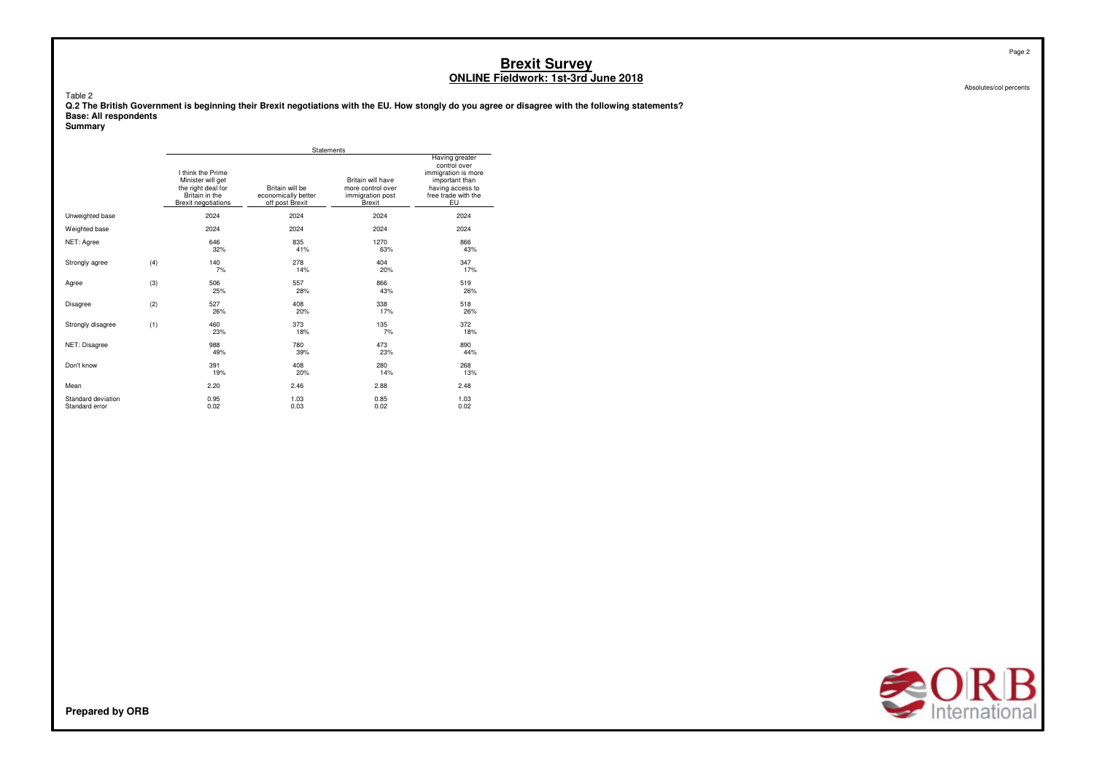Table 2

 **Q.2 The British Government is beginning their Brexit negotiations with the EU. How stongly do you agree or disagree with the following statements?Base: All respondents**

**Summary**

|                                      |     |                                                                                                              | Statements                                                |                                                                             |                                                                                                                          |
|--------------------------------------|-----|--------------------------------------------------------------------------------------------------------------|-----------------------------------------------------------|-----------------------------------------------------------------------------|--------------------------------------------------------------------------------------------------------------------------|
|                                      |     | I think the Prime<br>Minister will get<br>the right deal for<br>Britain in the<br><b>Brexit negotiations</b> | Britain will be<br>economically better<br>off post Brexit | Britain will have<br>more control over<br>immigration post<br><b>Brexit</b> | Having greater<br>control over<br>immigration is more<br>important than<br>having access to<br>free trade with the<br>EU |
| Unweighted base                      |     | 2024                                                                                                         | 2024                                                      | 2024                                                                        | 2024                                                                                                                     |
| Weighted base                        |     | 2024                                                                                                         | 2024                                                      | 2024                                                                        | 2024                                                                                                                     |
| NET: Agree                           |     | 646<br>32%                                                                                                   | 835<br>41%                                                | 1270<br>63%                                                                 | 866<br>43%                                                                                                               |
| Strongly agree                       | (4) | 140<br>7%                                                                                                    | 278<br>14%                                                | 404<br>20%                                                                  | 347<br>17%                                                                                                               |
| Agree                                | (3) | 506<br>25%                                                                                                   | 557<br>28%                                                | 866<br>43%                                                                  | 519<br>26%                                                                                                               |
| <b>Disagree</b>                      | (2) | 527<br>26%                                                                                                   | 408<br>20%                                                | 338<br>17%                                                                  | 518<br>26%                                                                                                               |
| Strongly disagree                    | (1) | 460<br>23%                                                                                                   | 373<br>18%                                                | 135<br>7%                                                                   | 372<br>18%                                                                                                               |
| NET: Disagree                        |     | 988<br>49%                                                                                                   | 780<br>39%                                                | 473<br>23%                                                                  | 890<br>44%                                                                                                               |
| Don't know                           |     | 391<br>19%                                                                                                   | 408<br>20%                                                | 280<br>14%                                                                  | 268<br>13%                                                                                                               |
| Mean                                 |     | 2.20                                                                                                         | 2.46                                                      | 2.88                                                                        | 2.48                                                                                                                     |
| Standard deviation<br>Standard error |     | 0.95<br>0.02                                                                                                 | 1.03<br>0.03                                              | 0.85<br>0.02                                                                | 1.03<br>0.02                                                                                                             |



Page 2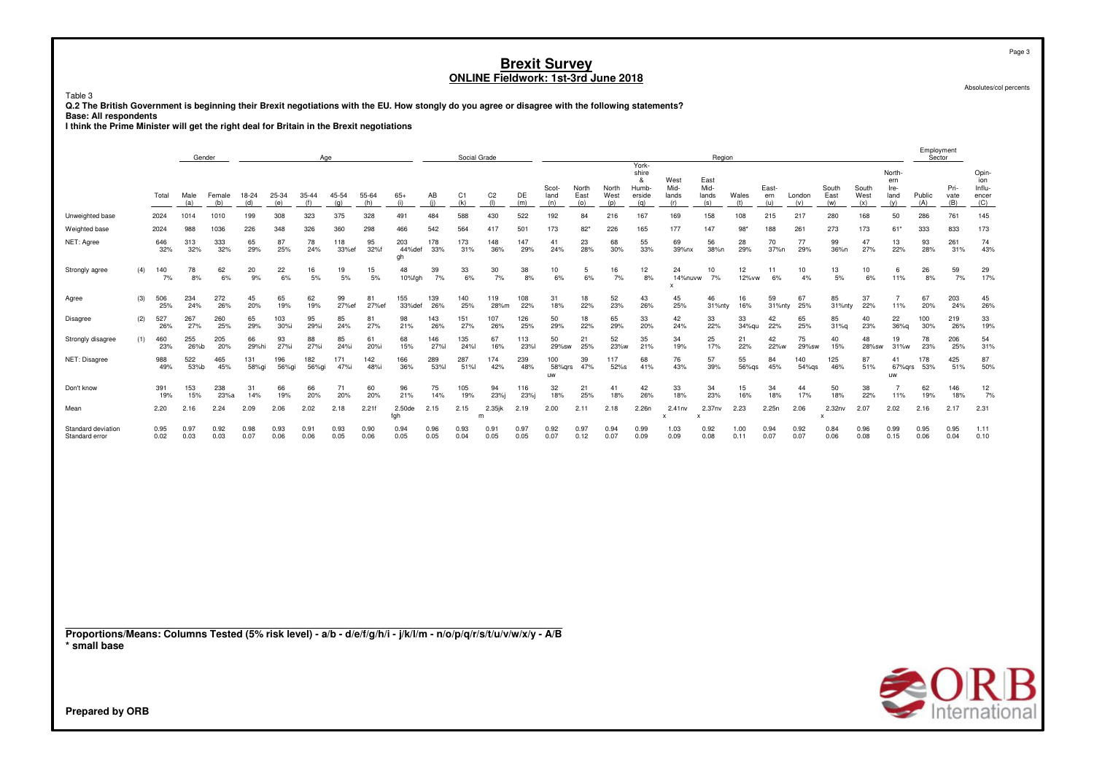Table 3

Q.2 The British Government is beginning their Brexit negotiations with the EU. How stongly do you agree or disagree with the following statements?

and the primary continuum of the state of the Brexil part of the State: All respondents<br>I think the Prime Minister will get the right deal for Britain in the Brexit negotiations

|                                                                                                                 |     |              | Gender       |               |              |              |              | Age          |              |                     |              | Social Grade |                       |              |                      |                      |                      |                                               |                                     | Region                       |              |                     |                  |                                     |                      |                                      | Employment<br>Sector |                     |                                        |
|-----------------------------------------------------------------------------------------------------------------|-----|--------------|--------------|---------------|--------------|--------------|--------------|--------------|--------------|---------------------|--------------|--------------|-----------------------|--------------|----------------------|----------------------|----------------------|-----------------------------------------------|-------------------------------------|------------------------------|--------------|---------------------|------------------|-------------------------------------|----------------------|--------------------------------------|----------------------|---------------------|----------------------------------------|
|                                                                                                                 |     | Total        | Male<br>(a)  | Female<br>(b) | 18-24<br>(d) | 25-34<br>(e) | 35-44<br>(f) | 45-54<br>(q) | 55-64<br>(h) | $65+$<br>(i)        | AB<br>(i)    | C1<br>(k)    | C <sub>2</sub><br>(1) | DE<br>(m)    | Scot-<br>land<br>(n) | North<br>East<br>(o) | North<br>West<br>(p) | York-<br>shire<br>&<br>Humb-<br>erside<br>(q) | West<br>Mid-<br>lands<br>(r)        | East<br>Mid-<br>lands<br>(s) | Wales<br>(t) | East-<br>ern<br>(u) | London<br>(v)    | South<br>East<br>(w)                | South<br>West<br>(x) | North-<br>ern<br>Ire-<br>land<br>(y) | Public<br>(A)        | Pri-<br>vate<br>(B) | Opin-<br>ion<br>Influ-<br>encer<br>(C) |
| Unweighted base                                                                                                 |     | 2024         | 1014         | 1010          | 199          | 308          | 323          | 375          | 328          | 491                 | 484          | 588          | 430                   | 522          | 192                  | 84                   | 216                  | 167                                           | 169                                 | 158                          | 108          | 215                 | 217              | 280                                 | 168                  | 50                                   | 286                  | 761                 | 145                                    |
| Weighted base                                                                                                   |     | 2024         | 988          | 1036          | 226          | 348          | 326          | 360          | 298          | 466                 | 542          | 564          | 417                   | 501          | 173                  | $82*$                | 226                  | 165                                           | 177                                 | 147                          | $98*$        | 188                 | 261              | 273                                 | 173                  | $61*$                                | 333                  | 833                 | 173                                    |
| NET: Agree                                                                                                      |     | 646<br>32%   | 313<br>32%   | 333<br>32%    | 65<br>29%    | 87<br>25%    | 78<br>24%    | 118<br>33%ef | 95<br>32%f   | 203<br>44%def<br>gh | 178<br>33%   | 173<br>31%   | 148<br>36%            | 147<br>29%   | 41<br>24%            | 23<br>28%            | 68<br>30%            | 55<br>33%                                     | 69<br>39%nx                         | 56<br>38%n                   | 28<br>29%    | 70<br>37%n          | 77<br>29%        | 99<br>36%n                          | 47<br>27%            | 13<br>22%                            | 93<br>28%            | 261<br>31%          | 74<br>43%                              |
| Strongly agree                                                                                                  | (4) | 140<br>7%    | 78<br>8%     | 62<br>6%      | 20<br>9%     | 22<br>6%     | 16<br>5%     | 19<br>5%     | 15<br>5%     | 48<br>10%fgh        | 39<br>7%     | 33<br>6%     | 30<br>7%              | 38<br>8%     | 10<br>6%             | 5<br>6%              | 16<br>7%             | 12<br>8%                                      | 24<br>14%nuvw<br>$\mathbf{x}$       | 10<br>7%                     | 12<br>12% vw | 11<br>6%            | 10<br>4%         | 13<br>5%                            | 10<br>6%             | 6<br>11%                             | 26<br>8%             | 59<br>7%            | 29<br>17%                              |
| Agree                                                                                                           | (3) | 506<br>25%   | 234<br>24%   | 272<br>26%    | 45<br>20%    | 65<br>19%    | 62<br>19%    | 99<br>27%ef  | 81<br>27%ef  | 155<br>33%def       | 139<br>26%   | 140<br>25%   | 119<br>28%m           | 108<br>22%   | 31<br>18%            | 18<br>22%            | 52<br>23%            | 43<br>26%                                     | 45<br>25%                           | 46<br>31%nty                 | 16<br>16%    | 59<br>31%nty        | 67<br>25%        | 85<br>31%nty                        | 37<br>22%            | $\overline{7}$<br>11%                | 67<br>20%            | 203<br>24%          | 45<br>26%                              |
| <b>Disagree</b>                                                                                                 | (2) | 527<br>26%   | 267<br>27%   | 260<br>25%    | 65<br>29%    | 103<br>30%i  | 95<br>29%i   | 85<br>24%    | 81<br>27%    | 98<br>21%           | 143<br>26%   | 151<br>27%   | 107<br>26%            | 126<br>25%   | 50<br>29%            | 18<br>22%            | 65<br>29%            | 33<br>20%                                     | 42<br>24%                           | 33<br>22%                    | 33<br>34%gu  | 42<br>22%           | 65<br>25%        | 85<br>$31%$ q                       | 40<br>23%            | 22<br>36%q                           | 100<br>30%           | 219<br>26%          | 33<br>19%                              |
| Strongly disagree                                                                                               | (1) | 460<br>23%   | 255<br>26%b  | 205<br>20%    | 66<br>29%hi  | 93<br>27%i   | 88<br>27%i   | 85<br>24%i   | 61<br>20%i   | 68<br>15%           | 146<br>27%l  | 135<br>24%l  | 67<br>16%             | 113<br>23%l  | 50<br>29%sw          | 21<br>25%            | 52<br>23%w           | 35<br>21%                                     | 34<br>19%                           | 25<br>17%                    | 21<br>22%    | 42<br>22%w          | 75<br>29%sw      | 40<br>15%                           | 48<br>28%sw          | 19<br>31%w                           | 78<br>23%            | 206<br>25%          | 54<br>31%                              |
| NET: Disagree                                                                                                   |     | 988<br>49%   | 522<br>53%b  | 465<br>45%    | 131<br>58%gi | 196<br>56%gi | 182<br>56%gi | 171<br>47%i  | 142<br>48%i  | 166<br>36%          | 289<br>53%l  | 287<br>51%   | 174<br>42%            | 239<br>48%   | 100<br>58%grs<br>uw  | 39<br>47%            | 117<br>52%s          | 68<br>41%                                     | 76<br>43%                           | 57<br>39%                    | 55<br>56%gs  | 84<br>45%           | 140<br>$54\%$ gs | 125<br>46%                          | 87<br>51%            | 41<br>67%qrs<br>uw                   | 178<br>53%           | 425<br>51%          | 87<br>50%                              |
| Don't know                                                                                                      |     | 391<br>19%   | 153<br>15%   | 238<br>23%a   | 31<br>14%    | 66<br>19%    | 66<br>20%    | 71<br>20%    | 60<br>20%    | 96<br>21%           | 75<br>14%    | 105<br>19%   | 94<br>23%j            | 116<br>23%j  | 32<br>18%            | 21<br>25%            | 41<br>18%            | 42<br>26%                                     | 33<br>18%                           | 34<br>23%                    | 15<br>16%    | 34<br>18%           | 44<br>17%        | 50<br>18%                           | 38<br>22%            | 7<br>11%                             | 62<br>19%            | 146<br>18%          | 12<br>7%                               |
| Mean                                                                                                            |     | 2.20         | 2.16         | 2.24          | 2.09         | 2.06         | 2.02         | 2.18         | 2.21f        | 2.50de<br>fgh       | 2.15         | 2.15         | $2.35$ jk<br>m        | 2.19         | 2.00                 | 2.11                 | 2.18                 | 2.26n                                         | 2.41nv<br>$\boldsymbol{\mathsf{x}}$ | 2.37nv<br>$\mathbf{x}$       | 2.23         | 2.25n               | 2.06             | 2.32nv<br>$\boldsymbol{\mathsf{x}}$ | 2.07                 | 2.02                                 | 2.16                 | 2.17                | 2.31                                   |
| Standard deviation<br>Standard error                                                                            |     | 0.95<br>0.02 | 0.97<br>0.03 | 0.92<br>0.03  | 0.98<br>0.07 | 0.93<br>0.06 | 0.91<br>0.06 | 0.93<br>0.05 | 0.90<br>0.06 | 0.94<br>0.05        | 0.96<br>0.05 | 0.93<br>0.04 | 0.91<br>0.05          | 0.97<br>0.05 | 0.92<br>0.07         | 0.97<br>0.12         | 0.94<br>0.07         | 0.99<br>0.09                                  | 1.03<br>0.09                        | 0.92<br>0.08                 | 1.00<br>0.11 | 0.94<br>0.07        | 0.92<br>0.07     | 0.84<br>0.06                        | 0.96<br>0.08         | 0.99<br>0.15                         | 0.95<br>0.06         | 0.95<br>0.04        | 1.11<br>0.10                           |
| Proportions/Means: Columns Tested (5% risk level) - a/b - d/e/f/g/h/i - j/k/l/m - n/o/p/q/r/s/t/u/v/w/x/y - A/B |     |              |              |               |              |              |              |              |              |                     |              |              |                       |              |                      |                      |                      |                                               |                                     |                              |              |                     |                  |                                     |                      |                                      |                      |                     |                                        |
| * small base                                                                                                    |     |              |              |               |              |              |              |              |              |                     |              |              |                       |              |                      |                      |                      |                                               |                                     |                              |              |                     |                  |                                     |                      |                                      |                      |                     |                                        |
| Prepared by ORB                                                                                                 |     |              |              |               |              |              |              |              |              |                     |              |              |                       |              |                      |                      |                      |                                               |                                     |                              |              |                     |                  |                                     |                      |                                      |                      |                     | <b>SORB</b>                            |

Page 3

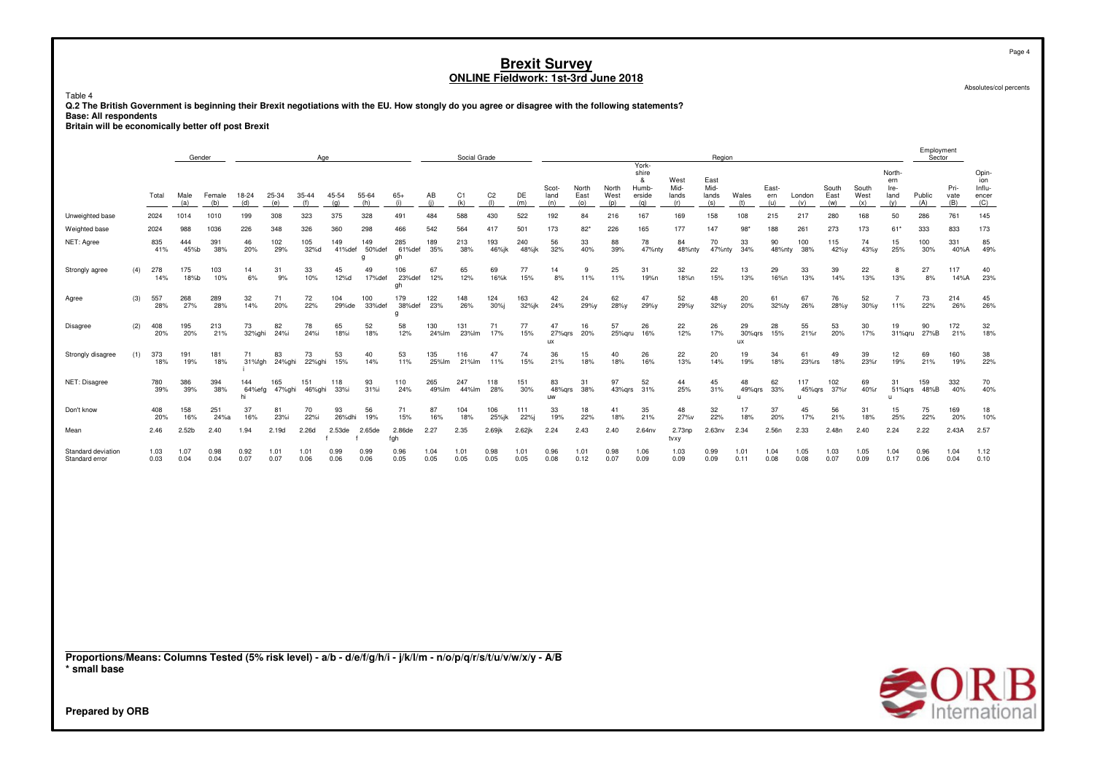Table 4

 **Q.2 The British Government is beginning their Brexit negotiations with the EU. How stongly do you agree or disagree with the following statements?Base: All respondents Britain will be economically better off post Brexit**

|                                                                                                                                                    |     |                    |                          | Gender             |                           |                     |                     | Age                              |                           |                            |                    | Social Grade        |                       |                     |                          |                      |                      |                                               |                              | Region                       |                         |                     |                                     |                      |                      |                                        | Employment        | Sector              |                                        |
|----------------------------------------------------------------------------------------------------------------------------------------------------|-----|--------------------|--------------------------|--------------------|---------------------------|---------------------|---------------------|----------------------------------|---------------------------|----------------------------|--------------------|---------------------|-----------------------|---------------------|--------------------------|----------------------|----------------------|-----------------------------------------------|------------------------------|------------------------------|-------------------------|---------------------|-------------------------------------|----------------------|----------------------|----------------------------------------|-------------------|---------------------|----------------------------------------|
|                                                                                                                                                    |     | Total              | Male<br>(a)              | Female<br>(b)      | 18-24<br>(d)              | 25-34<br>(e)        | 35-44<br>(f)        | 45-54<br>(g)                     | 55-64<br>(h)              | $65+$<br>(i)               | AB<br>(i)          | C1<br>(k)           | C <sub>2</sub><br>(1) | DE<br>(m)           | Scot-<br>land<br>(n)     | North<br>East<br>(o) | North<br>West<br>(p) | York-<br>shire<br>&<br>Humb-<br>erside<br>(q) | West<br>Mid-<br>lands<br>(r) | East<br>Mid-<br>lands<br>(s) | Wales<br>(t)            | East-<br>ern<br>(u) | London<br>(v)                       | South<br>East<br>(w) | South<br>West<br>(x) | North-<br>ern<br>Ire-<br>land<br>(y)   | Public<br>(A)     | Pri-<br>vate<br>(B) | Opin-<br>ion<br>Influ-<br>encer<br>(C) |
| Unweighted base                                                                                                                                    |     | 2024               | 1014                     | 1010               | 199                       | 308                 | 323                 | 375                              | 328                       | 491                        | 484                | 588                 | 430                   | 522                 | 192                      | 84                   | 216                  | 167                                           | 169                          | 158                          | 108                     | 215                 | 217                                 | 280                  | 168                  | 50                                     | 286               | 761                 | 145                                    |
| Weighted base<br>NET: Agree                                                                                                                        |     | 2024<br>835<br>41% | 988<br>444<br>45%b       | 1036<br>391<br>38% | 226<br>46<br>20%          | 348<br>102<br>29%   | 326<br>105<br>32%d  | 360<br>149<br>41%def             | 298<br>149<br>50%def<br>g | 466<br>285<br>61%def<br>gh | 542<br>189<br>35%  | 564<br>213<br>38%   | 417<br>193<br>46%jk   | 501<br>240<br>48%jk | 173<br>56<br>32%         | $82*$<br>33<br>40%   | 226<br>88<br>39%     | 165<br>78<br>47%nty                           | 177<br>84<br>48%nty          | 147<br>70<br>47%nty          | 98<br>33<br>34%         | 188<br>90<br>48%nty | 261<br>100<br>38%                   | 273<br>115<br>42%y   | 173<br>74<br>43%y    | $61*$<br>15<br>25%                     | 333<br>100<br>30% | 833<br>331<br>40%A  | 173<br>85<br>49%                       |
| Strongly agree                                                                                                                                     | (4) | 278<br>14%         | 175<br>18%b              | 103<br>10%         | 14<br>6%                  | 31<br>9%            | 33<br>10%           | 45<br>12%d                       | 49<br>17%def              | 106<br>23%def<br>gh        | 67<br>12%          | 65<br>12%           | 69<br>16%k            | 77<br>15%           | 14<br>8%                 | 9<br>11%             | 25<br>11%            | 31<br>19%n                                    | 32<br>18%n                   | 22<br>15%                    | 13<br>13%               | 29<br>16%n          | 33<br>13%                           | 39<br>14%            | 22<br>13%            | 8<br>13%                               | 27<br>8%          | 117<br>14%A         | 40<br>23%                              |
| Agree                                                                                                                                              | (3) | 557<br>28%         | 268<br>27%               | 289<br>28%         | 32<br>14%                 | 71<br>20%           | 72<br>22%           | 104<br>29%de                     | 100<br>33%def             | 179<br>38%def<br>q         | 122<br>23%         | 148<br>26%          | 124<br>30%            | 163<br>32%jk        | 42<br>24%                | 24<br>29%y           | 62<br>28%y           | 47<br>29%y                                    | 52<br>29%y                   | 48<br>32%y                   | 20<br>20%               | 61<br>32%ty         | 67<br>26%                           | 76<br>28%y           | 52<br>$30\%$ y       | $\overline{7}$<br>11%                  | 73<br>22%         | 214<br>26%          | 45<br>26%                              |
| <b>Disagree</b>                                                                                                                                    | (2) | 408<br>20%         | 195<br>20%               | 213<br>21%         | 73<br>32%ghi              | 82<br>24%i          | 78<br>24%i          | 65<br>18%i                       | 52<br>18%                 | 58<br>12%                  | 130<br>24%lm       | 131<br>23%lm        | 71<br>17%             | 77<br>15%           | 47<br>27%qrs<br>ux       | 16<br>20%            | 57<br>25%qru         | 26<br>16%                                     | 22<br>12%                    | 26<br>17%                    | 29<br>30%qrs<br>ux      | 28<br>15%           | 55<br>21%r                          | 53<br>20%            | 30<br>17%            | 19<br>31%qru                           | 90<br>27%B        | 172<br>21%          | 32<br>18%                              |
| Strongly disagree                                                                                                                                  | (1) | 373<br>18%         | 191<br>19%               | 181<br>18%         | 71<br>31%fgh              | 83<br>24%ghi        | 73<br>22%ghi        | 53<br>15%                        | 40<br>14%                 | 53<br>11%                  | 135<br>25%lm       | 116<br>21%lm        | 47<br>11%             | 74<br>15%           | 36<br>21%                | 15<br>18%            | 40<br>18%            | 26<br>16%                                     | 22<br>13%                    | 20<br>14%                    | 19<br>19%               | 34<br>18%           | 61<br>23%rs                         | 49<br>18%            | 39<br>23%r           | 12<br>19%                              | 69<br>21%         | 160<br>19%          | 38<br>22%                              |
| NET: Disagree<br>Don't know                                                                                                                        |     | 780<br>39%<br>408  | 386<br>39%<br>158        | 394<br>38%<br>251  | 144<br>64%efg<br>hi<br>37 | 165<br>47%ghi<br>81 | 151<br>46%ghi<br>70 | 118<br>33%i<br>93                | 93<br>31%i<br>56          | 110<br>24%<br>71           | 265<br>49%lm<br>87 | 247<br>44%lm<br>104 | 118<br>28%<br>106     | 151<br>30%<br>111   | 83<br>48%grs<br>uw<br>33 | 31<br>38%<br>18      | 97<br>43%grs<br>41   | 52<br>31%<br>35                               | 44<br>25%<br>48              | 45<br>31%<br>32              | 48<br>49%grs<br>u<br>17 | 62<br>33%<br>37     | 117<br>45%grs<br>$\mathbf{u}$<br>45 | 102<br>37%r<br>56    | 69<br>40%r<br>31     | 31<br>$51\%$ grs<br>$\mathbf{u}$<br>15 | 159<br>48%B<br>75 | 332<br>40%<br>169   | 70<br>40%<br>18                        |
| Mean                                                                                                                                               |     | 20%<br>2.46        | 16%<br>2.52 <sub>b</sub> | 24%a<br>2.40       | 16%<br>1.94               | 23%i<br>2.19d       | 22%i<br>2.26d       | 26%dhi<br>2.53de<br>$\mathbf{f}$ | 19%<br>2.65de             | 15%<br>2.86de<br>fgh       | 16%<br>2.27        | 18%<br>2.35         | 25%jk<br>$2.69$ jk    | 22%i<br>2.62jk      | 19%<br>2.24              | 22%<br>2.43          | 18%<br>2.40          | 21%<br>2.64nv                                 | 27%v<br>2.73np<br>tvxy       | 22%<br>2.63nv                | 18%<br>2.34             | 20%<br>2.56n        | 17%<br>2.33                         | 21%<br>2.48n         | 18%<br>2.40          | 25%<br>2.24                            | 22%<br>2.22       | 20%<br>2.43A        | 10%<br>2.57                            |
| Standard deviation<br>Standard error                                                                                                               |     | 1.03<br>0.03       | 1.07<br>0.04             | 0.98<br>0.04       | 0.92<br>0.07              | 1.01<br>0.07        | 1.01<br>0.06        | 0.99<br>0.06                     | 0.99<br>0.06              | 0.96<br>0.05               | 1.04<br>0.05       | 1.01<br>0.05        | 0.98<br>0.05          | 1.01<br>0.05        | 0.96<br>0.08             | 1.01<br>0.12         | 0.98<br>0.07         | 1.06<br>0.09                                  | 1.03<br>0.09                 | 0.99<br>0.09                 | 1.01<br>0.11            | 1.04<br>0.08        | 1.05<br>0.08                        | 1.03<br>0.07         | 1.05<br>0.09         | 1.04<br>0.17                           | 0.96<br>0.06      | 1.04<br>0.04        | 1.12<br>0.10                           |
|                                                                                                                                                    |     |                    |                          |                    |                           |                     |                     |                                  |                           |                            |                    |                     |                       |                     |                          |                      |                      |                                               |                              |                              |                         |                     |                                     |                      |                      |                                        |                   |                     |                                        |
| Proportions/Means: Columns Tested (5% risk level) - a/b - d/e/f/g/h/i - j/k/l/m - n/o/p/q/r/s/t/u/v/w/x/y - A/B<br>* small base<br>Prepared by ORB |     |                    |                          |                    |                           |                     |                     |                                  |                           |                            |                    |                     |                       |                     |                          |                      |                      |                                               |                              |                              |                         |                     |                                     |                      |                      |                                        |                   |                     | $\bigotimes_{\text{International}}$    |

Page 4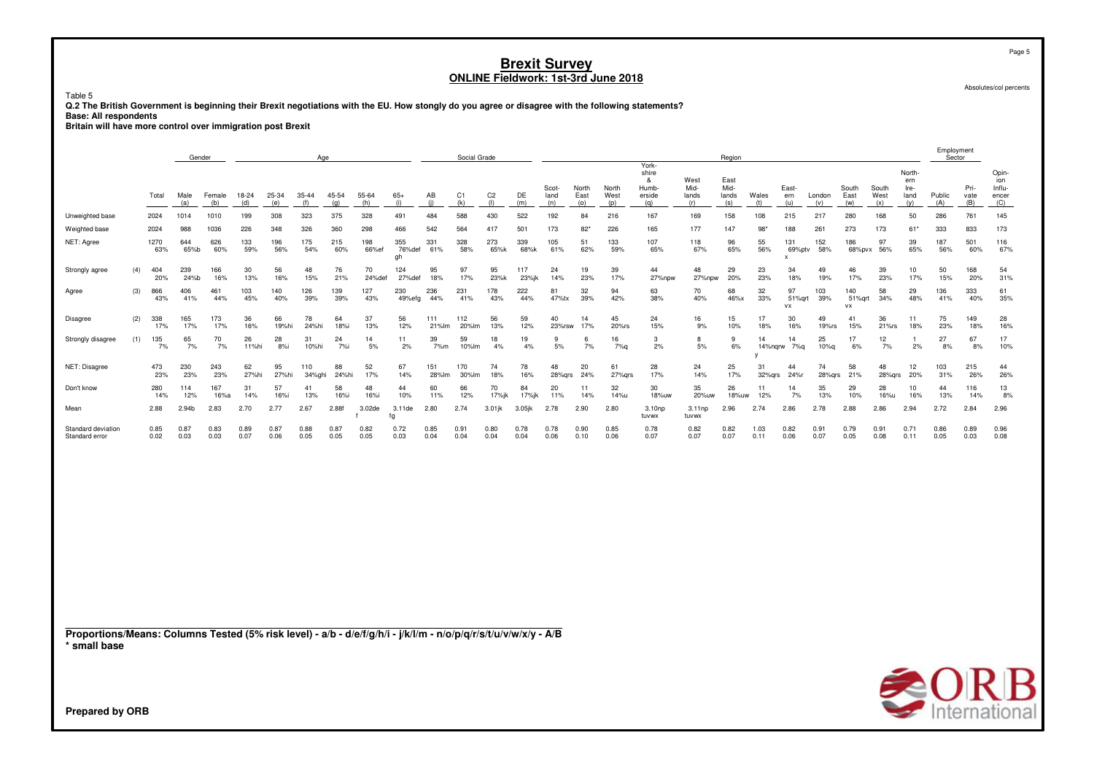Table 5

**Q.2 The British Government is beginning their Brexit negotiations with the EU. How stongly do you agree or disagree with the following statements?**

**Base: All respondents Britain will have more control over immigration post Brexit**

|                                                                                                                 |     |              | Gender       |               |              |              |               | Age          |              |                     |              | Social Grade |                       |              |                      |                      |                      |                                               |                              | Region                       |              |                                            |                |                             |                      |                                      | Employment<br>Sector |                     |                                        |
|-----------------------------------------------------------------------------------------------------------------|-----|--------------|--------------|---------------|--------------|--------------|---------------|--------------|--------------|---------------------|--------------|--------------|-----------------------|--------------|----------------------|----------------------|----------------------|-----------------------------------------------|------------------------------|------------------------------|--------------|--------------------------------------------|----------------|-----------------------------|----------------------|--------------------------------------|----------------------|---------------------|----------------------------------------|
|                                                                                                                 |     | Total        | Male<br>(a)  | Female<br>(b) | 18-24<br>(d) | 25-34<br>(e) | 35-44<br>(f)  | 45-54<br>(g) | 55-64<br>(h) | $65+$<br>(i)        | AB<br>(i)    | C1<br>(k)    | C <sub>2</sub><br>(1) | DE<br>(m)    | Scot-<br>land<br>(n) | North<br>East<br>(0) | North<br>West<br>(p) | York-<br>shire<br>&<br>Humb-<br>erside<br>(q) | West<br>Mid-<br>lands<br>(r) | East<br>Mid-<br>lands<br>(s) | Wales<br>(t) | East-<br>ern<br>(u)                        | London<br>(v)  | South<br>East<br>(w)        | South<br>West<br>(x) | North-<br>ern<br>Ire-<br>land<br>(y) | Public<br>(A)        | Pri-<br>vate<br>(B) | Opin-<br>ion<br>Influ-<br>encer<br>(C) |
| Unweighted base                                                                                                 |     | 2024         | 1014         | 1010          | 199          | 308          | 323           | 375          | 328          | 491                 | 484          | 588          | 430                   | 522          | 192                  | 84                   | 216                  | 167                                           | 169                          | 158                          | 108          | 215                                        | 217            | 280                         | 168                  | 50                                   | 286                  | 761                 | 145                                    |
| Weighted base                                                                                                   |     | 2024         | 988          | 1036          | 226          | 348          | 326           | 360          | 298          | 466                 | 542          | 564          | 417                   | 501          | 173                  | $82*$                | 226                  | 165                                           | 177                          | 147                          | $98*$        | 188                                        | 261            | 273                         | 173                  | 61                                   | 333                  | 833                 | 173                                    |
| NET: Agree                                                                                                      |     | 1270<br>63%  | 644<br>65%b  | 626<br>60%    | 133<br>59%   | 196<br>56%   | 175<br>54%    | 215<br>60%   | 198<br>66%ef | 355<br>76%def<br>gh | 331<br>61%   | 328<br>58%   | 273<br>65%k           | 339<br>68%k  | 105<br>61%           | 51<br>62%            | 133<br>59%           | 107<br>65%                                    | 118<br>67%                   | 96<br>65%                    | 55<br>56%    | 131<br>69%ptv<br>$\boldsymbol{\mathsf{x}}$ | 152<br>58%     | 186<br>68%pvx               | 97<br>56%            | 39<br>65%                            | 187<br>56%           | 501<br>60%          | 116<br>67%                             |
| Strongly agree                                                                                                  | (4) | 404<br>20%   | 239<br>24%b  | 166<br>16%    | 30<br>13%    | 56<br>16%    | 48<br>15%     | 76<br>21%    | 70<br>24%def | 124<br>27%def       | 95<br>18%    | 97<br>17%    | 95<br>23%k            | 117<br>23%jk | 24<br>14%            | 19<br>23%            | 39<br>17%            | 44<br>27%npw                                  | 48<br>27%npw                 | 29<br>20%                    | 23<br>23%    | 34<br>18%                                  | 49<br>19%      | 46<br>17%                   | 39<br>23%            | 10<br>17%                            | 50<br>15%            | 168<br>20%          | 54<br>31%                              |
| Agree                                                                                                           | (3) | 866<br>43%   | 406<br>41%   | 461<br>44%    | 103<br>45%   | 140<br>40%   | 126<br>39%    | 139<br>39%   | 127<br>43%   | 230<br>49%efg       | 236<br>44%   | 231<br>41%   | 178<br>43%            | 222<br>44%   | 81<br>47%tx          | 32<br>39%            | 94<br>42%            | 63<br>38%                                     | 70<br>40%                    | 68<br>46%x                   | 32<br>33%    | 97<br>51%grt<br><b>VX</b>                  | 103<br>39%     | 140<br>51%grt<br><b>v</b> x | 58<br>34%            | 29<br>48%                            | 136<br>41%           | 333<br>40%          | 61<br>35%                              |
| Disagree                                                                                                        | (2) | 338<br>17%   | 165<br>17%   | 173<br>17%    | 36<br>16%    | 66<br>19%hi  | 78<br>24%hi   | 64<br>18%i   | 37<br>13%    | 56<br>12%           | 111<br>21%lm | 112<br>20%lm | 56<br>13%             | 59<br>12%    | 40<br>23%rsw         | 14<br>17%            | 45<br>20%rs          | 24<br>15%                                     | 16<br>9%                     | 15<br>10%                    | 17<br>18%    | 30<br>16%                                  | 49<br>$19%$ rs | 41<br>15%                   | 36<br>21%rs          | 11<br>18%                            | 75<br>23%            | 149<br>18%          | 28<br>16%                              |
| Strongly disagree                                                                                               | (1) | 135<br>7%    | 65<br>7%     | 70<br>7%      | 26<br>11%hi  | 28<br>8%i    | 31<br>10%hi   | 24<br>7%i    | 14<br>$5%$   | 11<br>2%            | 39<br>7%m    | 59<br>10%lm  | 18<br>4%              | 19<br>4%     | -9<br>5%             | 6<br>7%              | 16<br>7%q            | 3<br>2%                                       | 8<br>5%                      | 9<br>6%                      | 14           | 14<br>14%nqrw 7%q                          | 25<br>10%q     | 17<br>6%                    | 12<br>7%             | $\overline{1}$<br>2%                 | 27<br>8%             | 67<br>8%            | 17<br>10%                              |
| NET: Disagree                                                                                                   |     | 473<br>23%   | 230<br>23%   | 243<br>23%    | 62<br>27%hi  | 95<br>27%hi  | 110<br>34%ghi | 88<br>24%hi  | 52<br>17%    | 67<br>14%           | 151<br>28%lm | 170<br>30%lm | 74<br>18%             | 78<br>16%    | 48<br>28%grs         | 20<br>24%            | 61<br>27%grs         | 28<br>17%                                     | 24<br>14%                    | 25<br>17%                    | 31<br>32%grs | 44<br>24%r                                 | 74<br>28%grs   | 58<br>21%                   | 48<br>28%grs         | 12<br>20%                            | 103<br>31%           | 215<br>26%          | 44<br>26%                              |
| Don't know                                                                                                      |     | 280<br>14%   | 114<br>12%   | 167<br>16%a   | 31<br>14%    | 57<br>16%i   | 41<br>13%     | 58<br>16%i   | 48<br>16%i   | 44<br>10%           | 60<br>11%    | 66<br>12%    | 70<br>17%jk           | 84<br>17%jk  | 20<br>11%            | 11<br>14%            | 32<br>14%u           | 30<br>18%uw                                   | 35<br>20%uw                  | 26<br>18%uw                  | 11<br>12%    | 14<br>7%                                   | 35<br>13%      | 29<br>10%                   | 28<br>16%u           | 10<br>16%                            | 44<br>13%            | 116<br>14%          | 13<br>8%                               |
| Mean                                                                                                            |     | 2.88         | 2.94b        | 2.83          | 2.70         | 2.77         | 2.67          | 2.88f        | 3.02de       | 3.11de<br>fg        | 2.80         | 2.74         | $3.01$ jk             | 3.05jk       | 2.78                 | 2.90                 | 2.80                 | 3.10 <sub>np</sub><br>tuvwx                   | $3.11$ np<br>tuvwx           | 2.96                         | 2.74         | 2.86                                       | 2.78           | 2.88                        | 2.86                 | 2.94                                 | 2.72                 | 2.84                | 2.96                                   |
| Standard deviation<br>Standard error                                                                            |     | 0.85<br>0.02 | 0.87<br>0.03 | 0.83<br>0.03  | 0.89<br>0.07 | 0.87<br>0.06 | 0.88<br>0.05  | 0.87<br>0.05 | 0.82<br>0.05 | 0.72<br>0.03        | 0.85<br>0.04 | 0.91<br>0.04 | 0.80<br>0.04          | 0.78<br>0.04 | 0.78<br>0.06         | 0.90<br>0.10         | 0.85<br>0.06         | 0.78<br>0.07                                  | 0.82<br>0.07                 | 0.82<br>0.07                 | 1.03<br>0.11 | 0.82<br>0.06                               | 0.91<br>0.07   | 0.79<br>0.05                | 0.91<br>0.08         | 0.71<br>0.11                         | 0.86<br>0.05         | 0.89<br>0.03        | 0.96<br>0.08                           |
| Proportions/Means: Columns Tested (5% risk level) - a/b - d/e/f/g/h/i - j/k/l/m - n/o/p/q/r/s/t/u/v/w/x/y - A/B |     |              |              |               |              |              |               |              |              |                     |              |              |                       |              |                      |                      |                      |                                               |                              |                              |              |                                            |                |                             |                      |                                      |                      |                     |                                        |
| * small base                                                                                                    |     |              |              |               |              |              |               |              |              |                     |              |              |                       |              |                      |                      |                      |                                               |                              |                              |              |                                            |                |                             |                      |                                      |                      |                     | $\triangle$ $\cap$ D I                 |

Absolutes/col percents

Page 5

International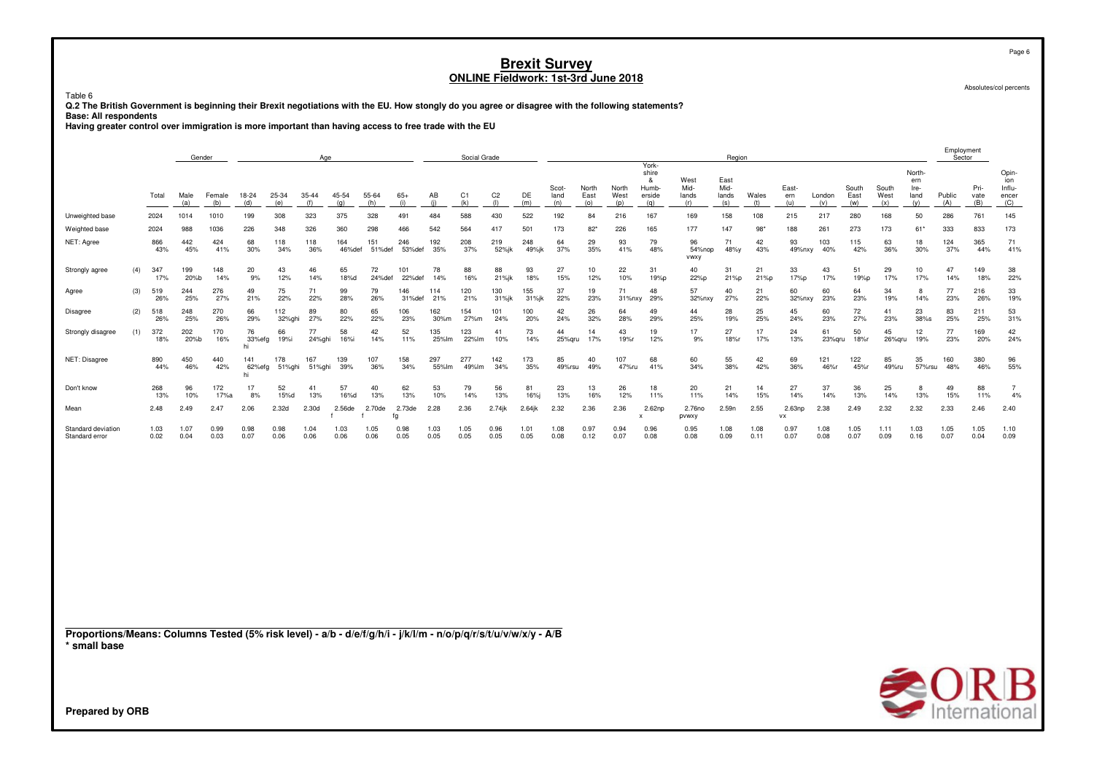Table 6

**Q.2 The British Government is beginning their Brexit negotiations with the EU. How stongly do you agree or disagree with the following statements?**

**Base: All respondents Having greater control over immigration is more important than having access to free trade with the EU**

|                                                                                                                                 |     |              | Gender       |               |                     |               | Age               |               |               |               |              | Social Grade          |                       |              |                      |                        |                      |                                               |                              | Region                       |              |                          |               |                      |                      |                                      | Employment<br>Sector |                     |                                        |
|---------------------------------------------------------------------------------------------------------------------------------|-----|--------------|--------------|---------------|---------------------|---------------|-------------------|---------------|---------------|---------------|--------------|-----------------------|-----------------------|--------------|----------------------|------------------------|----------------------|-----------------------------------------------|------------------------------|------------------------------|--------------|--------------------------|---------------|----------------------|----------------------|--------------------------------------|----------------------|---------------------|----------------------------------------|
|                                                                                                                                 |     | Total        | Male<br>(a)  | Female<br>(b) | 18-24<br>(d)        | 25-34<br>(e)  | 35-44<br>(f)      | 45-54<br>(q)  | 55-64<br>(h)  | $65+$<br>(i)  | AB<br>(i)    | C <sub>1</sub><br>(k) | C <sub>2</sub><br>(1) | DE<br>(m)    | Scot-<br>land<br>(n) | North<br>East<br>(0)   | North<br>West<br>(p) | York-<br>shire<br>&<br>Humb-<br>erside<br>(q) | West<br>Mid-<br>lands<br>(r) | East<br>Mid-<br>lands<br>(s) | Wales<br>(t) | East-<br>ern<br>(u)      | London<br>(v) | South<br>East<br>(w) | South<br>West<br>(x) | North-<br>ern<br>Ire-<br>land<br>(y) | Public<br>(A)        | Pri-<br>vate<br>(B) | Opin-<br>ion<br>Influ-<br>encer<br>(C) |
| Unweighted base                                                                                                                 |     | 2024         | 1014         | 1010          | 199                 | 308           | 323               | 375           | 328           | 491           | 484          | 588                   | 430                   | 522          | 192                  | 84                     | 216                  | 167                                           | 169                          | 158                          | 108          | 215                      | 217           | 280                  | 168                  | 50                                   | 286                  | 761                 | 145                                    |
| Weighted base                                                                                                                   |     | 2024         | 988          | 1036          | 226                 | 348           | 326               | 360           | 298           | 466           | 542          | 564                   | 417                   | 501          | 173                  | $82*$                  | 226                  | 165                                           | 177                          | 147                          | 98           | 188                      | 261           | 273                  | 173                  | $61*$                                | 333                  | 833                 | 173                                    |
| NET: Agree                                                                                                                      |     | 866<br>43%   | 442<br>45%   | 424<br>41%    | 68<br>30%           | 118<br>34%    | 118<br>36%        | 164<br>46%def | 151<br>51%def | 246<br>53%def | 192<br>35%   | 208<br>37%            | 219<br>52%jk          | 248<br>49%jk | 64<br>37%            | 29<br>35%              | 93<br>41%            | 79<br>48%                                     | 96<br>54%nop<br>vwxy         | 71<br>48%y                   | 42<br>43%    | 93<br>49%nxy             | 103<br>40%    | 115<br>42%           | 63<br>36%            | 18<br>30%                            | 124<br>37%           | 365<br>44%          | 71<br>41%                              |
| Strongly agree                                                                                                                  | (4) | 347<br>17%   | 199<br>20%b  | 148<br>14%    | 20<br>9%            | 43<br>12%     | 46<br>14%         | 65<br>18%d    | 72<br>24%def  | 101<br>22%def | 78<br>14%    | 88<br>16%             | 88<br>21%jk           | 93<br>18%    | 27<br>15%            | 10 <sup>1</sup><br>12% | 22<br>10%            | 31<br>19%p                                    | 40<br>22%p                   | 31<br>21%p                   | 21<br>21%p   | 33<br>17%p               | 43<br>17%     | 51<br>19%p           | 29<br>17%            | 10 <sup>10</sup><br>17%              | 47<br>14%            | 149<br>18%          | 38<br>22%                              |
| Agree                                                                                                                           | (3) | 519<br>26%   | 244<br>25%   | 276<br>27%    | 49<br>21%           | 75<br>22%     | 71<br>22%         | 99<br>28%     | 79<br>26%     | 146<br>31%def | 114<br>21%   | 120<br>21%            | 130<br>31%jk          | 155<br>31%jk | 37<br>22%            | 19<br>23%              | 71<br>31%nxy         | 48<br>29%                                     | 57<br>32%nxy                 | 40<br>27%                    | 21<br>22%    | 60<br>32%nxy             | 60<br>23%     | 64<br>23%            | 34<br>19%            | 8<br>14%                             | 77<br>23%            | 216<br>26%          | 33<br>19%                              |
| Disagree                                                                                                                        | (2) | 518<br>26%   | 248<br>25%   | 270<br>26%    | 66<br>29%           | 112<br>32%ghi | 89<br>27%         | 80<br>22%     | 65<br>22%     | 106<br>23%    | 162<br>30%m  | 154<br>27%m           | 101<br>24%            | 100<br>20%   | 42<br>24%            | 26<br>32%              | 64<br>28%            | 49<br>29%                                     | 44<br>25%                    | 28<br>19%                    | 25<br>25%    | 45<br>24%                | 60<br>23%     | 72<br>27%            | 41<br>23%            | 23<br>38%s                           | 83<br>25%            | 211<br>25%          | 53<br>31%                              |
| Strongly disagree                                                                                                               | (1) | 372<br>18%   | 202<br>20%b  | 170<br>16%    | 76<br>33%efg<br>hi  | 66<br>19%i    | 77<br>24%ghi      | 58<br>16%i    | 42<br>14%     | 52<br>11%     | 135<br>25%lm | 123<br>22%lm          | 41<br>10%             | 73<br>14%    | 44<br>25% gru        | 14<br>17%              | 43<br>19%r           | 19<br>12%                                     | 17<br>9%                     | 27<br>18%r                   | 17<br>17%    | 24<br>13%                | 61<br>23%qru  | 50<br>18%r           | 45<br>26%qru         | 12<br>19%                            | 77<br>23%            | 169<br>20%          | 42<br>24%                              |
| NET: Disagree                                                                                                                   |     | 890<br>44%   | 450<br>46%   | 440<br>42%    | 141<br>62%efg<br>hi | 178<br>51%ghi | 167<br>51%ghi     | 139<br>39%    | 107<br>36%    | 158<br>34%    | 297<br>55%lm | 277<br>49%lm          | 142<br>34%            | 173<br>35%   | 85<br>49%rsu         | 40<br>49%              | 107<br>47%ru         | 68<br>41%                                     | 60<br>34%                    | 55<br>38%                    | 42<br>42%    | 69<br>36%                | 121<br>46%r   | 122<br>45%r          | 85<br>49%ru          | 35<br>57%rsu                         | 160<br>48%           | 380<br>46%          | 96<br>55%                              |
| Don't know                                                                                                                      |     | 268<br>13%   | 96<br>10%    | 172<br>17%a   | 17<br>8%            | 52<br>15%d    | 41<br>13%         | 57<br>16%d    | 40<br>13%     | 62<br>13%     | 53<br>10%    | 79<br>14%             | 56<br>13%             | 81<br>16%j   | 23<br>13%            | 13<br>16%              | 26<br>12%            | 18<br>11%                                     | 20<br>11%                    | 21<br>14%                    | 14<br>15%    | 27<br>14%                | 37<br>14%     | 36<br>13%            | 25<br>14%            | 8<br>13%                             | 49<br>15%            | 88<br>11%           | $\overline{7}$<br>4%                   |
| Mean                                                                                                                            |     | 2.48         | 2.49         | 2.47          | 2.06                | 2.32d         | 2.30 <sub>d</sub> | 2.56de        | 2.70de        | 2.73de<br>fg  | 2.28         | 2.36                  | $2.74$ jk             | 2.64jk       | 2.32                 | 2.36                   | 2.36                 | 2.62np<br>x                                   | 2.76no<br>pvwxy              | 2.59n                        | 2.55         | 2.63 <sub>np</sub><br>VX | 2.38          | 2.49                 | 2.32                 | 2.32                                 | 2.33                 | 2.46                | 2.40                                   |
| Standard deviation<br>Standard error                                                                                            |     | 1.03<br>0.02 | 1.07<br>0.04 | 0.99<br>0.03  | 0.98<br>0.07        | 0.98<br>0.06  | 1.04<br>0.06      | 1.03<br>0.06  | 1.05<br>0.06  | 0.98<br>0.05  | 1.03<br>0.05 | 1.05<br>0.05          | 0.96<br>0.05          | 1.01<br>0.05 | 1.08<br>0.08         | 0.97<br>0.12           | 0.94<br>0.07         | 0.96<br>0.08                                  | 0.95<br>0.08                 | 1.08<br>0.09                 | 1.08<br>0.11 | 0.97<br>0.07             | 1.08<br>0.08  | 1.05<br>0.07         | 1.11<br>0.09         | 1.03<br>0.16                         | 1.05<br>0.07         | 1.05<br>0.04        | 1.10<br>0.09                           |
|                                                                                                                                 |     |              |              |               |                     |               |                   |               |               |               |              |                       |                       |              |                      |                        |                      |                                               |                              |                              |              |                          |               |                      |                      |                                      |                      |                     |                                        |
| Proportions/Means: Columns Tested (5% risk level) - a/b - d/e/f/g/h/i - j/k/l/m - n/o/p/q/r/s/t/u/v/w/x/y - A/B<br>* small base |     |              |              |               |                     |               |                   |               |               |               |              |                       |                       |              |                      |                        |                      |                                               |                              |                              |              |                          |               |                      |                      |                                      |                      |                     |                                        |
| <b>Prepared by ORB</b>                                                                                                          |     |              |              |               |                     |               |                   |               |               |               |              |                       |                       |              |                      |                        |                      |                                               |                              |                              |              |                          |               |                      |                      |                                      |                      |                     | <b>SORB</b>                            |

Page 6

Absolutes/col percents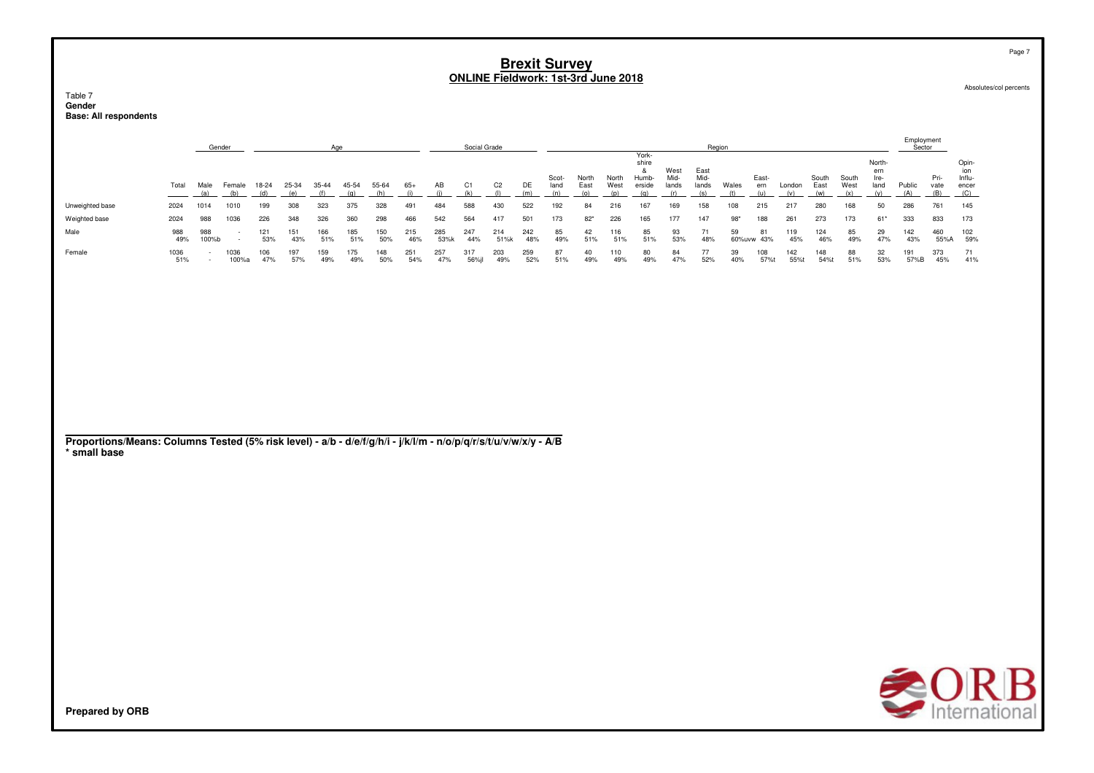#### Table 7 **GenderBase: All respondents**

|                 | Gender<br>Age |              |               |            |            |            |            |            |            |             | Social Grade |                |            |               |               |               |                                  |                       |                       | Region    |                  |             |               |               |                               | Employment<br>Sector |              |                                      |
|-----------------|---------------|--------------|---------------|------------|------------|------------|------------|------------|------------|-------------|--------------|----------------|------------|---------------|---------------|---------------|----------------------------------|-----------------------|-----------------------|-----------|------------------|-------------|---------------|---------------|-------------------------------|----------------------|--------------|--------------------------------------|
|                 | Total         | Male         | Female        | 18-24      |            |            | 45-54      | 55-64      | $65+$      | AB          | (k           | C <sub>2</sub> | DE         | Scot-<br>land | North<br>East | North<br>West | York-<br>shire<br>Humb<br>erside | West<br>Mid-<br>lands | East<br>Mid-<br>lands | Wales     | East-<br>ern     | London      | South<br>East | South<br>West | North-<br>ern<br>Ire-<br>land | Public               | Pri-<br>vate | Opin<br>ion<br>Influ-<br>ence<br>(C) |
| Unweighted base | 2024          | 1014         | 1010          | 199        | 308        | 323        | 375        | 328        | 491        | 484         | 588          | 430            | 522        | 192           | 84            | 216           | 167                              | 169                   | 158                   | 108       | 215              | 217         | 280           | 168           | 50                            | 286                  | 761          | 145                                  |
| Weighted base   | 2024          | 988          | 1036          | 226        | 348        | 326        | 360        | 298        | 466        | 542         | 564          | 417            | 501        | 173           | $82*$         | 226           | 165                              | 177                   | 147                   | $98*$     | 188              | 261         | 273           | 173           | $61*$                         | 333                  | 833          | 173                                  |
| Male            | 988<br>49%    | 988<br>100%b |               | 121<br>53% | 151<br>43% | 166<br>51% | 185<br>51% | 150<br>50% | 215<br>46% | 285<br>53%k | 247<br>44%   | 214<br>51%k    | 242<br>48% | 85<br>49%     | 42<br>51%     | 116<br>51%    | 85<br>51%                        | 93<br>53%             | 71<br>48%             | 59        | 81<br>60%uvw 43% | 119<br>45%  | 124<br>46%    | 85<br>49%     | 29<br>47%                     | 142<br>43%           | 460<br>55%A  | 102<br>59%                           |
| Female          | 1036<br>51%   |              | 1036<br>100%a | 106<br>47% | 197<br>57% | 159<br>49% | 175<br>49% | 148<br>50% | 251<br>54% | 257<br>47%  | 317<br>56%il | 203<br>49%     | 259<br>52% | 87<br>51%     | 40<br>49%     | 110<br>49%    | 80<br>49%                        | 84<br>47%             | 77<br>52%             | 39<br>40% | 108<br>57%t      | 142<br>55%t | 148<br>54%    | 88<br>51%     | 32<br>53%                     | 191<br>57%B          | 373<br>45%   | 71<br>41%                            |

#### **Proportions/Means: Columns Tested (5% risk level) - a/b - d/e/f/g/h/i - j/k/l/m - n/o/p/q/r/s/t/u/v/w/x/y - A/B\* small base**



Page 7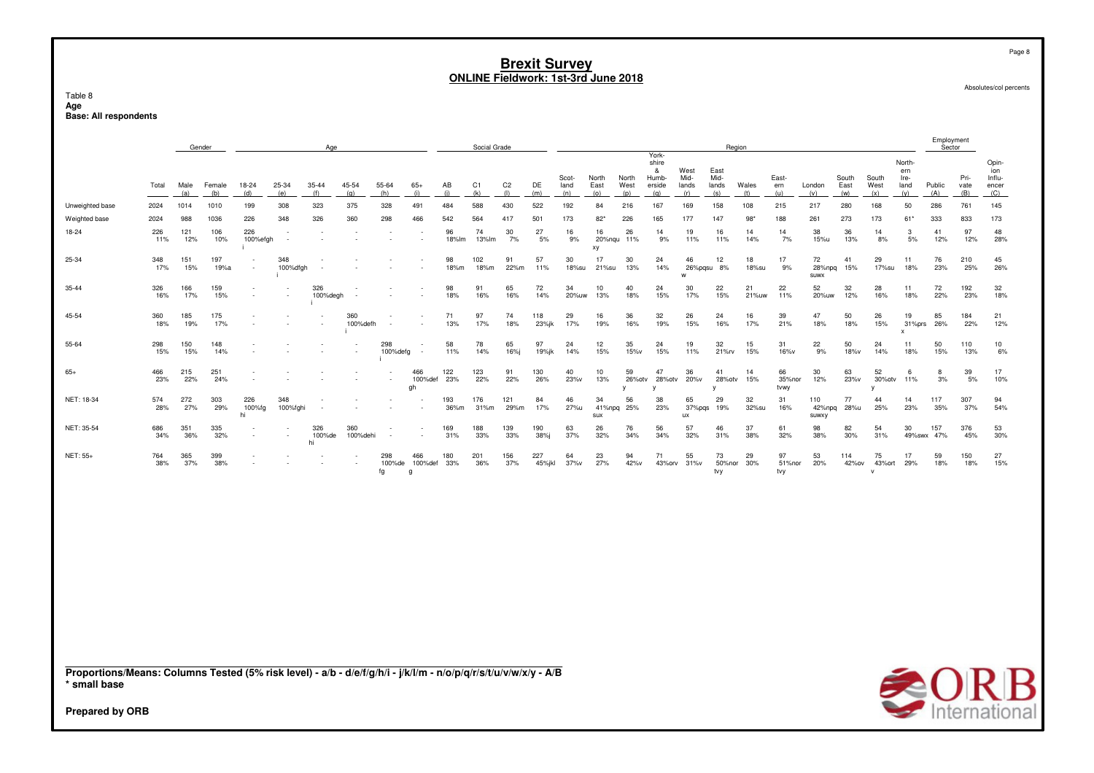Table 8 Age Base: All respondents

|                                                                                                                                                           |            |             | Gender        |                          |                 | Age                 |                 |                     |                          |             | Social Grade |                       |               |                      |                      |                      | York-                                |                                 |                              | Region       |                      |                             |                      |                               |                                           | Employment<br>Sector |                     |                                        |
|-----------------------------------------------------------------------------------------------------------------------------------------------------------|------------|-------------|---------------|--------------------------|-----------------|---------------------|-----------------|---------------------|--------------------------|-------------|--------------|-----------------------|---------------|----------------------|----------------------|----------------------|--------------------------------------|---------------------------------|------------------------------|--------------|----------------------|-----------------------------|----------------------|-------------------------------|-------------------------------------------|----------------------|---------------------|----------------------------------------|
|                                                                                                                                                           | Total      | Male<br>(a) | Female<br>(b) | 18-24<br>(d)             | 25-34<br>(e)    | $35 - 44$<br>(f)    | 45-54<br>(g)    | 55-64<br>(h)        | $65+$<br>(i)             | AB<br>(i)   | C1<br>(k)    | C <sub>2</sub><br>(1) | DE<br>(m)     | Scot-<br>land<br>(n) | North<br>East<br>(o) | North<br>West<br>(p) | shire<br>&<br>Humb-<br>erside<br>(q) | West<br>Mid-<br>lands<br>(r)    | East<br>Mid-<br>lands<br>(s) | Wales<br>(t) | East-<br>ern<br>(u)  | London<br>(v)               | South<br>East<br>(w) | South<br>West<br>(x)          | North-<br>ern<br>Ire-<br>land<br>(y)      | Public<br>(A)        | Pri-<br>vate<br>(B) | Opin-<br>ion<br>Influ-<br>encer<br>(C) |
| Unweighted base                                                                                                                                           | 2024       | 1014        | 1010          | 199                      | 308             | 323                 | 375             | 328                 | 491                      | 484         | 588          | 430                   | 522           | 192                  | 84                   | 216                  | 167                                  | 169                             | 158                          | 108          | 215                  | 217                         | 280                  | 168                           | 50                                        | 286                  | 761                 | 145                                    |
| Weighted base                                                                                                                                             | 2024       | 988         | 1036          | 226                      | 348             | 326                 | 360             | 298                 | 466                      | 542         | 564          | 417                   | 501           | 173                  | $82*$                | 226                  | 165                                  | 177                             | 147                          | 98'          | 188                  | 261                         | 273                  | 173                           | 61*                                       | 333                  | 833                 | 173                                    |
| 18-24                                                                                                                                                     | 226<br>11% | 121<br>12%  | 106<br>10%    | 226<br>100%efgh          |                 |                     |                 |                     |                          | 96<br>18%lm | 74<br>13%lm  | 30<br>7%              | 27<br>5%      | 16<br>9%             | 16<br>20%ngu<br>хy   | 26<br>11%            | 14<br>9%                             | 19<br>11%                       | 16<br>11%                    | 14<br>14%    | 14<br>7%             | 38<br>15%u                  | 36<br>13%            | 14<br>8%                      | 3<br>5%                                   | 41<br>12%            | 97<br>12%           | 48<br>28%                              |
| 25-34                                                                                                                                                     | 348<br>17% | 151<br>15%  | 197<br>19%a   |                          | 348<br>100%dfgh |                     |                 |                     |                          | 98<br>18%m  | 102<br>18%m  | 91<br>22%m            | 57<br>11%     | 30<br>18%su          | 17<br>21%su          | 30<br>13%            | 24<br>14%                            | 46<br>w                         | 12<br>26%pqsu 8%             | 18<br>18%su  | 17<br>9%             | 72<br>28%npg<br><b>SUWX</b> | 41<br>15%            | 29<br>17%su                   | 11<br>18%                                 | 76<br>23%            | 210<br>25%          | 45<br>26%                              |
| 35-44                                                                                                                                                     | 326<br>16% | 166<br>17%  | 159<br>15%    | $\overline{\phantom{a}}$ |                 | 326<br>100%degh     |                 |                     |                          | 98<br>18%   | 91<br>16%    | 65<br>16%             | 72<br>14%     | 34<br>20%uw          | 10<br>13%            | 40<br>18%            | 24<br>15%                            | 30<br>17%                       | 22<br>15%                    | 21<br>21%uw  | 22<br>11%            | 52<br>20%uw                 | 32<br>12%            | 28<br>16%                     | 11<br>18%                                 | 72<br>22%            | 192<br>23%          | 32<br>18%                              |
| 45-54                                                                                                                                                     | 360<br>18% | 185<br>19%  | 175<br>17%    |                          |                 |                     | 360<br>100%defh |                     |                          | 71<br>13%   | 97<br>17%    | 74<br>18%             | 118<br>23%jk  | 29<br>17%            | 16<br>19%            | 36<br>16%            | 32<br>19%                            | 26<br>15%                       | 24<br>16%                    | 16<br>17%    | 39<br>21%            | 47<br>18%                   | 50<br>18%            | 26<br>15%                     | 19<br>31%prs<br>$\boldsymbol{\mathsf{x}}$ | 85<br>26%            | 184<br>22%          | 21<br>12%                              |
| 55-64                                                                                                                                                     | 298<br>15% | 150<br>15%  | 148<br>14%    |                          |                 |                     | $\sim$          | 298<br>100%defg     | $\overline{\phantom{a}}$ | 58<br>11%   | 78<br>14%    | 65<br>16%i            | 97<br>19%jk   | 24<br>14%            | 12<br>15%            | 35<br>15%v           | 24<br>15%                            | 19<br>11%                       | 32<br>21%rv                  | 15<br>15%    | 31<br>16%v           | 22<br>9%                    | 50<br>18%v           | 24<br>14%                     | 11<br>18%                                 | 50<br>15%            | 110<br>13%          | 10<br>6%                               |
| $65+$                                                                                                                                                     | 466<br>23% | 215<br>22%  | 251<br>24%    |                          |                 |                     |                 |                     | 466<br>100%def<br>gh     | 122<br>23%  | 123<br>22%   | 91<br>22%             | 130<br>26%    | 40<br>23%v           | 10<br>13%            | 59<br>26%otv<br>y    | 47<br>28%otv<br>v                    | 36<br>20%v                      | 41<br>28%otv<br>V            | 14<br>15%    | 66<br>35%nor<br>tvwy | 30<br>12%                   | 63<br>23%v           | 52<br>30%otv<br>٧             | 6<br>11%                                  | 8<br>3%              | 39<br>5%            | 17<br>10%                              |
| NET: 18-34                                                                                                                                                | 574<br>28% | 272<br>27%  | 303<br>29%    | 226<br>100%fg<br>hi      | 348<br>100%fghi |                     |                 |                     |                          | 193<br>36%m | 176<br>31%m  | 121<br>29%m           | 84<br>17%     | 46<br>27%u           | 34<br>41%npa<br>SUX  | 56<br>25%            | 38<br>23%                            | 65<br>37%pqs<br>$\overline{11}$ | 29<br>19%                    | 32<br>32%su  | 31<br>16%            | 110<br>42%npg<br>SUWXY      | 77<br>28%u           | 44<br>25%                     | 14<br>23%                                 | 117<br>35%           | 307<br>37%          | 94<br>54%                              |
| NET: 35-54                                                                                                                                                | 686<br>34% | 351<br>36%  | 335<br>32%    |                          |                 | 326<br>100%de<br>hi | 360<br>100%dehi |                     |                          | 169<br>31%  | 188<br>33%   | 139<br>33%            | 190<br>38%j   | 63<br>37%            | 26<br>32%            | 76<br>34%            | 56<br>34%                            | 57<br>32%                       | 46<br>31%                    | 37<br>38%    | 61<br>32%            | 98<br>38%                   | 82<br>30%            | 54<br>31%                     | 30                                        | 157<br>49%swx 47%    | 376<br>45%          | 53<br>30%                              |
| NET: 55+                                                                                                                                                  | 764<br>38% | 365<br>37%  | 399<br>38%    |                          |                 |                     |                 | 298<br>100%de<br>fg | 466<br>100%def<br>a      | 180<br>33%  | 201<br>36%   | 156<br>37%            | 227<br>45%jkl | 64<br>37%v           | 23<br>27%            | 94<br>42%v           | 71<br>43%orv                         | 55<br>31%v                      | 73<br>50%nor<br>tvy          | 29<br>30%    | 97<br>51%nor<br>tvy  | 53<br>20%                   | 114<br>42%ov         | 75<br>43% ort<br>$\mathsf{v}$ | 17<br>29%                                 | 59<br>18%            | 150<br>18%          | 27<br>15%                              |
|                                                                                                                                                           |            |             |               |                          |                 |                     |                 |                     |                          |             |              |                       |               |                      |                      |                      |                                      |                                 |                              |              |                      |                             |                      |                               |                                           |                      |                     |                                        |
| Proportions/Means: Columns Tested (5% risk level) - a/b - d/e/f/g/h/i - j/k/l/m - n/o/p/q/r/s/t/u/v/w/x/y - A/B<br>* small base<br><b>Prepared by ORB</b> |            |             |               |                          |                 |                     |                 |                     |                          |             |              |                       |               |                      |                      |                      |                                      |                                 |                              |              |                      |                             |                      |                               |                                           |                      |                     | <b>SORB</b>                            |

Page 8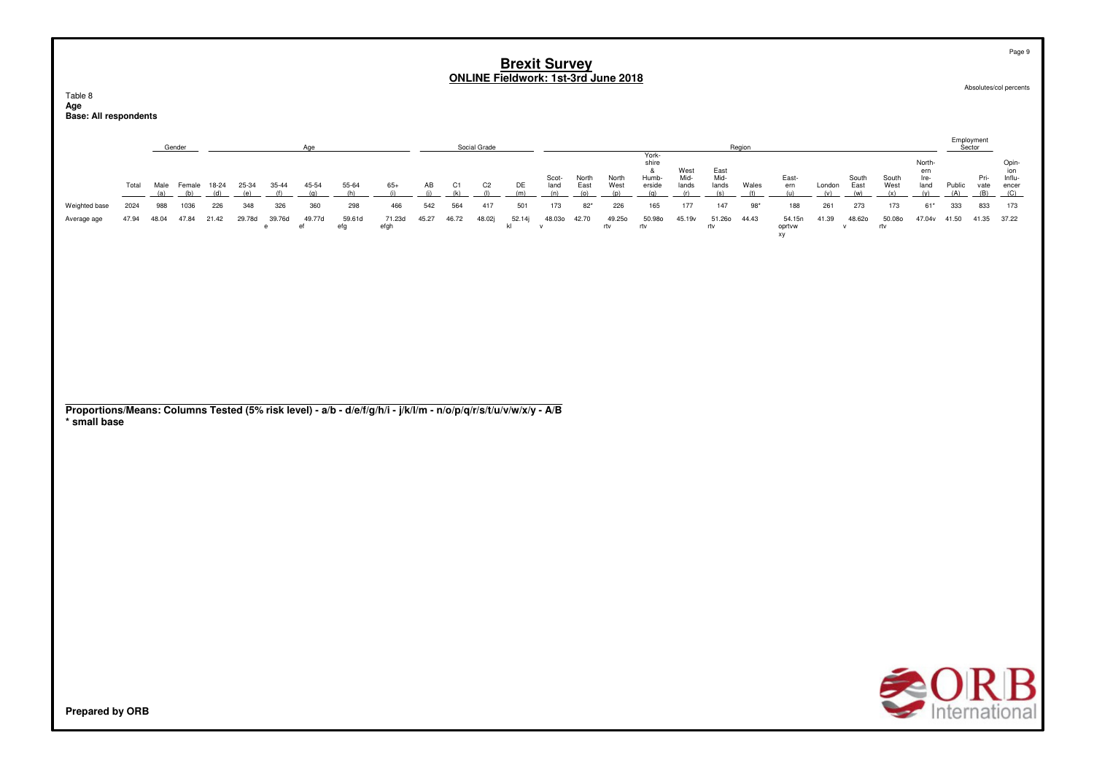|                                                                                                                 |                                                                                                                                                                                                                                                                                                                                                                                                                                                                                                                                                                                                                                                                                                                                                                                                                                                                                                                                                                                                                                           |  |  |  |  |  |  |  |  |  |  |  |  |  |  | Brexit Survey<br>ONLINE Fieldwork: 1st-3rd June 2018 |  |  |  |                      |                      |                                      |                     |                     | Page 9                                 |
|-----------------------------------------------------------------------------------------------------------------|-------------------------------------------------------------------------------------------------------------------------------------------------------------------------------------------------------------------------------------------------------------------------------------------------------------------------------------------------------------------------------------------------------------------------------------------------------------------------------------------------------------------------------------------------------------------------------------------------------------------------------------------------------------------------------------------------------------------------------------------------------------------------------------------------------------------------------------------------------------------------------------------------------------------------------------------------------------------------------------------------------------------------------------------|--|--|--|--|--|--|--|--|--|--|--|--|--|--|------------------------------------------------------|--|--|--|----------------------|----------------------|--------------------------------------|---------------------|---------------------|----------------------------------------|
| Table 8<br>Age<br><b>Base: All respondents</b>                                                                  |                                                                                                                                                                                                                                                                                                                                                                                                                                                                                                                                                                                                                                                                                                                                                                                                                                                                                                                                                                                                                                           |  |  |  |  |  |  |  |  |  |  |  |  |  |  |                                                      |  |  |  |                      |                      |                                      |                     |                     | Absolutes/col percents                 |
|                                                                                                                 | Social Grade<br>Region<br>Gender<br>Age<br>York-<br>shire<br>&<br>West<br>East<br>Mid-<br>Mid-<br>Scot-<br>North<br>North<br>Humb-<br>East-<br>18-24<br>25-34<br>35-44<br>45-54<br>55-64<br>$65+$<br>AB<br>C1<br>C <sub>2</sub><br>DE<br>Wales<br>Total<br>Male<br>Female<br>land<br>East<br>West<br>erside<br>lands<br>lands<br>ern<br>London<br>(h)<br>(i)<br>(i)<br>(k)<br>(1)<br>(e)<br>(f)<br>(m)<br>(0)<br>(r)<br>(a)<br>(b)<br>(d)<br>(g)<br>(n)<br>(q)<br>(s)<br>(u)<br>(w)<br>(p)<br>(t)<br>(v)<br>564<br>360<br>466<br>542<br>417<br>501<br>173<br>$82*$<br>226<br>165<br>177<br>147<br>261<br>2024<br>988<br>1036<br>226<br>348<br>326<br>298<br>$98*$<br>188<br>59.61d<br>45.27<br>49.250<br>50.980<br>51.260<br>21.42<br>29.78d<br>39.76d<br>49.77d<br>71.23d<br>46.72<br>48.02j<br>52.14j<br>48.030<br>42.70<br>45.19v<br>44.43<br>54.15n<br>41.39<br>47.94<br>48.04<br>47.84<br>$_{\rm ef}$<br>efg<br>efgh<br>kl<br>rtv<br>rtv<br>oprtvw<br>$\mathsf{e}% _{t}\left( t\right)$<br>$\mathbf{v}$<br>rtv<br>$\mathsf{v}$<br>xy |  |  |  |  |  |  |  |  |  |  |  |  |  |  |                                                      |  |  |  | Employment<br>Sector |                      |                                      |                     |                     |                                        |
|                                                                                                                 |                                                                                                                                                                                                                                                                                                                                                                                                                                                                                                                                                                                                                                                                                                                                                                                                                                                                                                                                                                                                                                           |  |  |  |  |  |  |  |  |  |  |  |  |  |  |                                                      |  |  |  | South<br>East        | South<br>West<br>(x) | North-<br>ern<br>Ire-<br>land<br>(y) | Public<br>(A)       | Pri-<br>vate<br>(B) | Opin-<br>ion<br>Influ-<br>encer<br>(C) |
| Weighted base<br>Average age                                                                                    |                                                                                                                                                                                                                                                                                                                                                                                                                                                                                                                                                                                                                                                                                                                                                                                                                                                                                                                                                                                                                                           |  |  |  |  |  |  |  |  |  |  |  |  |  |  |                                                      |  |  |  | 273<br>48.620        | 173<br>50.080<br>rtv | $61*$                                | 333<br>47.04v 41.50 | 833<br>41.35        | 173<br>37.22                           |
|                                                                                                                 |                                                                                                                                                                                                                                                                                                                                                                                                                                                                                                                                                                                                                                                                                                                                                                                                                                                                                                                                                                                                                                           |  |  |  |  |  |  |  |  |  |  |  |  |  |  |                                                      |  |  |  |                      |                      |                                      |                     |                     |                                        |
| Proportions/Means: Columns Tested (5% risk level) - a/b - d/e/f/g/h/i - j/k/l/m - n/o/p/q/r/s/t/u/v/w/x/y - A/B |                                                                                                                                                                                                                                                                                                                                                                                                                                                                                                                                                                                                                                                                                                                                                                                                                                                                                                                                                                                                                                           |  |  |  |  |  |  |  |  |  |  |  |  |  |  |                                                      |  |  |  |                      |                      |                                      |                     |                     |                                        |
| * small base                                                                                                    |                                                                                                                                                                                                                                                                                                                                                                                                                                                                                                                                                                                                                                                                                                                                                                                                                                                                                                                                                                                                                                           |  |  |  |  |  |  |  |  |  |  |  |  |  |  |                                                      |  |  |  |                      |                      |                                      |                     |                     |                                        |
|                                                                                                                 |                                                                                                                                                                                                                                                                                                                                                                                                                                                                                                                                                                                                                                                                                                                                                                                                                                                                                                                                                                                                                                           |  |  |  |  |  |  |  |  |  |  |  |  |  |  |                                                      |  |  |  |                      |                      |                                      |                     |                     |                                        |
|                                                                                                                 |                                                                                                                                                                                                                                                                                                                                                                                                                                                                                                                                                                                                                                                                                                                                                                                                                                                                                                                                                                                                                                           |  |  |  |  |  |  |  |  |  |  |  |  |  |  |                                                      |  |  |  |                      |                      |                                      |                     |                     |                                        |
|                                                                                                                 |                                                                                                                                                                                                                                                                                                                                                                                                                                                                                                                                                                                                                                                                                                                                                                                                                                                                                                                                                                                                                                           |  |  |  |  |  |  |  |  |  |  |  |  |  |  |                                                      |  |  |  |                      |                      |                                      |                     |                     |                                        |
| Prepared by ORB                                                                                                 |                                                                                                                                                                                                                                                                                                                                                                                                                                                                                                                                                                                                                                                                                                                                                                                                                                                                                                                                                                                                                                           |  |  |  |  |  |  |  |  |  |  |  |  |  |  |                                                      |  |  |  |                      |                      |                                      |                     |                     | В<br><b>CURB</b><br>Internationa       |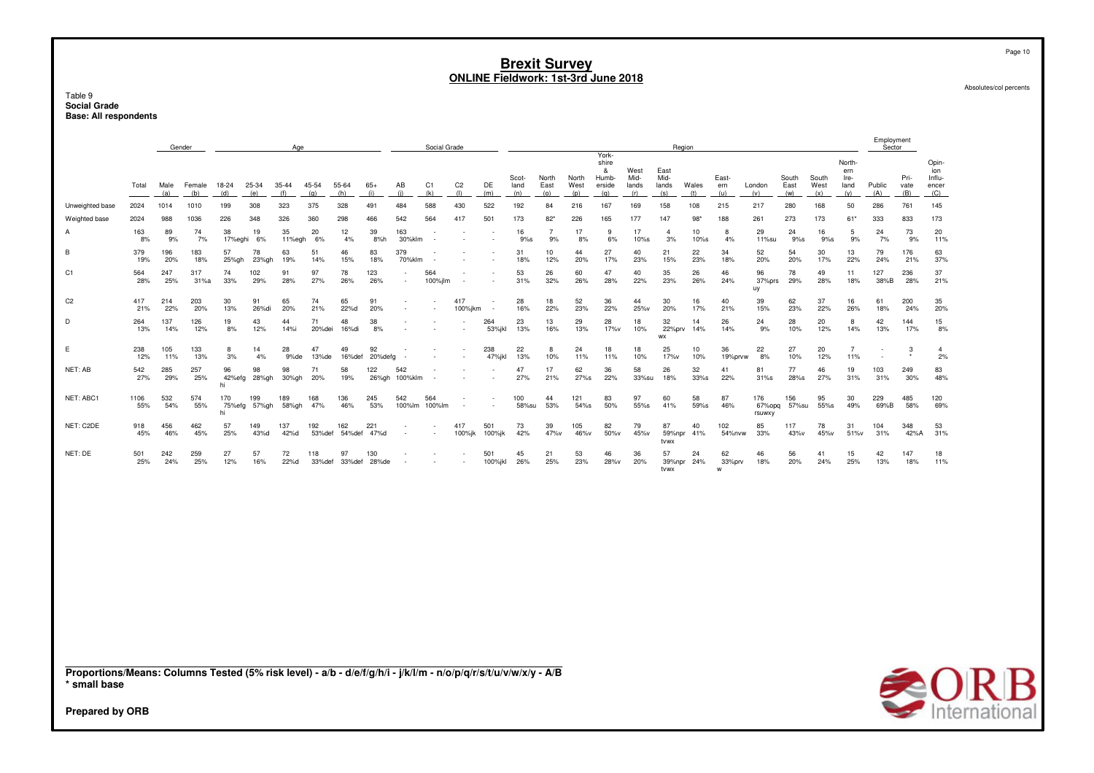Table 9<br>**Social Grade Base: All respondents** 

|                 |             | Gender      |               |                    |              | Age              |               |                       |               |                          | Social Grade             |                       |                |                      |                      |                      |                                               |                              | Region                       |                  |                     |                         |                      |                      |                                      | Employment<br>Sector     |                     |                                        |
|-----------------|-------------|-------------|---------------|--------------------|--------------|------------------|---------------|-----------------------|---------------|--------------------------|--------------------------|-----------------------|----------------|----------------------|----------------------|----------------------|-----------------------------------------------|------------------------------|------------------------------|------------------|---------------------|-------------------------|----------------------|----------------------|--------------------------------------|--------------------------|---------------------|----------------------------------------|
|                 | Total       | Male<br>(a) | Female<br>(b) | 18-24<br>(d)       | 25-34<br>(e) | $35 - 44$<br>(f) | 45-54<br>(q)  | 55-64<br>(h)          | $65+$<br>(i)  | AB<br>(i)                | C <sub>1</sub><br>(k)    | C <sub>2</sub><br>(1) | DE<br>(m)      | Scot-<br>land<br>(n) | North<br>East<br>(o) | North<br>West<br>(p) | York-<br>shire<br>&<br>Humb-<br>erside<br>(a) | West<br>Mid-<br>lands<br>(r) | East<br>Mid-<br>lands<br>(s) | Wales<br>(t)     | East-<br>ern<br>(u) | London<br>(v)           | South<br>East<br>(w) | South<br>West<br>(x) | North-<br>ern<br>Ire-<br>land<br>(v) | Public<br>(A)            | Pri-<br>vate<br>(B) | Opin-<br>ion<br>Influ-<br>encer<br>(C) |
| Unweighted base | 2024        | 1014        | 1010          | 199                | 308          | 323              | 375           | 328                   | 491           | 484                      | 588                      | 430                   | 522            | 192                  | 84                   | 216                  | 167                                           | 169                          | 158                          | 108              | 215                 | 217                     | 280                  | 168                  | 50                                   | 286                      | 761                 | 145                                    |
| Weighted base   | 2024        | 988         | 1036          | 226                | 348          | 326              | 360           | 298                   | 466           | 542                      | 564                      | 417                   | 501            | 173                  | $82*$                | 226                  | 165                                           | 177                          | 147                          | $98*$            | 188                 | 261                     | 273                  | 173                  | $61*$                                | 333                      | 833                 | 173                                    |
|                 | 163<br>8%   | 89<br>9%    | 74<br>7%      | 38<br>17%eghi      | 19<br>6%     | 35<br>11%egh     | 20<br>6%      | 12 <sup>2</sup><br>4% | 39<br>8%h     | 163<br>30%klm            |                          |                       |                | 16<br>9%s            | 9%                   | 17<br>8%             | 9<br>6%                                       | 17<br>10%s                   | 4<br>3%                      | 10<br>10%s       | 8<br>4%             | 29<br>11%su             | 24<br>9%s            | 16<br>9%s            | 5<br>9%                              | 24<br>7%                 | 73<br>9%            | 20<br>11%                              |
| В               | 379<br>19%  | 196<br>20%  | 183<br>18%    | 57<br>25%gh        | 78<br>23%gh  | 63<br>19%        | 51<br>14%     | 46<br>15%             | 83<br>18%     | 379<br>70%klm            |                          |                       |                | 31<br>18%            | 10<br>12%            | 44<br>20%            | 27<br>17%                                     | 40<br>23%                    | 21<br>15%                    | 22<br>23%        | 34<br>18%           | 52<br>20%               | 54<br>20%            | 30<br>17%            | 13<br>22%                            | 79<br>24%                | 176<br>21%          | 63<br>37%                              |
| C1              | 564<br>28%  | 247<br>25%  | 317<br>31%a   | 74<br>33%          | 102<br>29%   | 91<br>28%        | 97<br>27%     | 78<br>26%             | 123<br>26%    | $\overline{\phantom{a}}$ | 564<br>100%jlm           |                       |                | 53<br>31%            | 26<br>32%            | 60<br>26%            | 47<br>28%                                     | 40<br>22%                    | 35<br>23%                    | 26<br>26%        | 46<br>24%           | 96<br>37%prs<br>uy      | 78<br>29%            | 49<br>28%            | 11<br>18%                            | 127<br>38%B              | 236<br>28%          | 37<br>21%                              |
| C <sub>2</sub>  | 417<br>21%  | 214<br>22%  | 203<br>20%    | 30<br>13%          | 91<br>26%di  | 65<br>20%        | 74<br>21%     | 65<br>22%d            | 91<br>20%     | ٠                        |                          | 417<br>100%jkm        |                | 28<br>16%            | 18<br>22%            | 52<br>23%            | 36<br>22%                                     | 44<br>25%v                   | 30<br>20%                    | 16<br>17%        | 40<br>21%           | 39<br>15%               | 62<br>23%            | 37<br>22%            | 16<br>26%                            | 61<br>18%                | 200<br>24%          | 35<br>20%                              |
| D               | 264<br>13%  | 137<br>14%  | 126<br>12%    | 19<br>8%           | 43<br>12%    | 44<br>14%i       | 71<br>20%dei  | 48<br>16%di           | 38<br>8%      |                          |                          |                       | 264<br>53%jkl  | 23<br>13%            | 13<br>16%            | 29<br>13%            | 28<br>17%v                                    | 18<br>10%                    | 32<br>22%prv<br><b>WX</b>    | 14<br>14%        | 26<br>14%           | 24<br>9%                | 28<br>10%            | 20<br>12%            | 8<br>14%                             | 42<br>13%                | 144<br>17%          | 15<br>8%                               |
| E               | 238<br>12%  | 105<br>11%  | 133<br>13%    | 8<br>3%            | 14<br>4%     | 28<br>9%de       | 47<br>13%de   | 49<br>16%def          | 92<br>20%defg |                          |                          |                       | 238<br>47% jkl | 22<br>13%            | 8<br>10%             | 24<br>11%            | 18<br>11%                                     | 18<br>10%                    | 25<br>17%v                   | 10<br>10%        | 36<br>19%prvw       | 22<br>8%                | 27<br>10%            | 20<br>12%            | $\overline{7}$<br>11%                | $\overline{\phantom{a}}$ | 3                   | 4<br>2%                                |
| NET: AB         | 542<br>27%  | 285<br>29%  | 257<br>25%    | 96<br>42%efg<br>hi | 98<br>28%gh  | 98<br>30%gh      | 71<br>20%     | 58<br>19%             | 122<br>26%gh  | 542<br>100%klm           |                          |                       |                | 47<br>27%            | 17<br>21%            | 62<br>27%s           | 36<br>22%                                     | 58<br>33%su                  | 26<br>18%                    | 32<br>33%s       | 41<br>22%           | 81<br>31%s              | 77<br>28%s           | 46<br>27%            | 19<br>31%                            | 103<br>31%               | 249<br>30%          | 83<br>48%                              |
| NET: ABC1       | 1106<br>55% | 532<br>54%  | 574<br>55%    | 170<br>75%efg      | 199<br>57%gh | 189<br>58%gh     | 168<br>47%    | 136<br>46%            | 245<br>53%    | 542<br>100%lm            | 564<br>100%lm            |                       |                | 100<br>58%su         | 44<br>53%            | 121<br>54%s          | 83<br>50%                                     | 97<br>55%s                   | 60<br>41%                    | 58<br>59%s       | 87<br>46%           | 176<br>67%opg<br>rsuwxy | 156<br>57%su         | 95<br>55%s           | 30<br>49%                            | 229<br>69%B              | 485<br>58%          | 120<br>69%                             |
| NET: C2DE       | 918<br>45%  | 456<br>46%  | 462<br>45%    | 57<br>25%          | 149<br>43%d  | 137<br>42%d      | 192<br>53%def | 162<br>54%def         | 221<br>47%d   | ٠                        | $\overline{\phantom{a}}$ | 417<br>100%jk         | 501<br>100%jk  | 73<br>42%            | 39<br>47%v           | 105<br>46%v          | 82<br>50%v                                    | 79<br>45%v                   | 87<br>tvwx                   | 40<br>59%npr 41% | 102<br>54%nvw       | 85<br>33%               | 117<br>43%v          | 78<br>45%v           | 31<br>51%v                           | 104<br>31%               | 348<br>42%A         | 53<br>31%                              |
| NET: DE         | 501<br>25%  | 242<br>24%  | 259<br>25%    | 27<br>12%          | 57<br>16%    | 72<br>22%d       | 118<br>33%def | 97<br>33%def          | 130<br>28%de  |                          |                          |                       | 501<br>100%jkl | 45<br>26%            | 21<br>25%            | 53<br>23%            | 46<br>28%v                                    | 36<br>20%                    | 57<br>39%npr<br>tvwx         | 24<br>24%        | 62<br>33%prv<br>w   | 46<br>18%               | 56<br>20%            | 41<br>24%            | 15<br>25%                            | 42<br>13%                | 147<br>18%          | 18<br>11%                              |
|                 |             |             |               |                    |              |                  |               |                       |               |                          |                          |                       |                |                      |                      |                      |                                               |                              |                              |                  |                     |                         |                      |                      |                                      |                          |                     |                                        |

Proportions/Means: Columns Tested (5% risk level) - a/b - d/e/f/g/h/i - j/k/l/m - n/o/p/q/r/s/t/u/v/w/x/y - A/B<br>\* small base



Page 10

Absolutes/col percents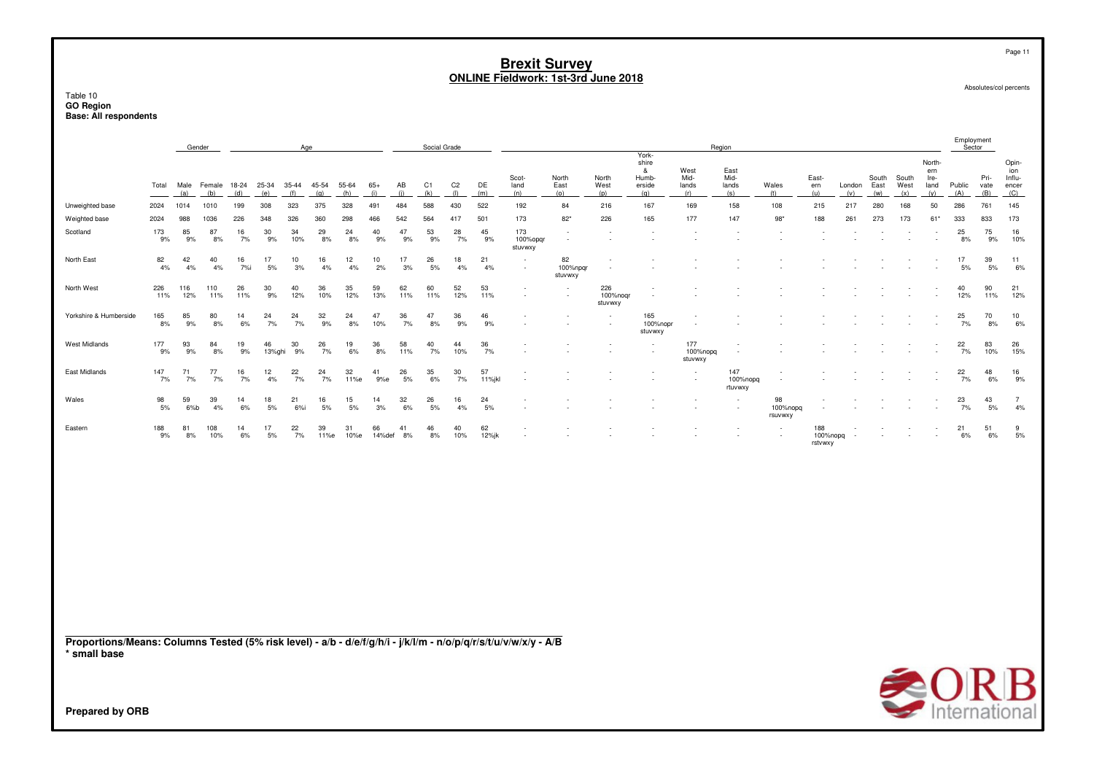Table 10 **GO Region Base: All respondents**

|                                                                                                                                 |            |             | Gender      |            |              |              | Age        |            |              |              | Social Grade |                |              |                            |                           |                            |                                        |                            | Region                     |                           |                            |            |               |               |                               | Employment<br>Sector |              |                                 |
|---------------------------------------------------------------------------------------------------------------------------------|------------|-------------|-------------|------------|--------------|--------------|------------|------------|--------------|--------------|--------------|----------------|--------------|----------------------------|---------------------------|----------------------------|----------------------------------------|----------------------------|----------------------------|---------------------------|----------------------------|------------|---------------|---------------|-------------------------------|----------------------|--------------|---------------------------------|
|                                                                                                                                 | Total      | Male        | Female      | 18-24      | 25-34        | $35 - 44$    | 45-54      | 55-64      | $65+$        | AB           | C1           | C <sub>2</sub> | DE           | Scot-<br>land              | North<br>East             | North<br>West              | York-<br>shire<br>&<br>Humb-<br>erside | West<br>Mid-<br>lands      | East<br>Mid-<br>lands      | Wales                     | East-<br>ern               | London     | South<br>East | South<br>West | North-<br>ern<br>Ire-<br>land | Public               | Pri-<br>vate | Opin-<br>ion<br>Influ-<br>encer |
| Unweighted base                                                                                                                 | 2024       | (a)<br>1014 | (b)<br>1010 | (d)<br>199 | (e)<br>308   | (f)<br>323   | (q)<br>375 | (h)<br>328 | (i)<br>491   | (i)<br>484   | (k)<br>588   | (1)<br>430     | (m)<br>522   | (n)<br>192                 | (o)<br>84                 | (p)<br>216                 | (q)<br>167                             | (r)<br>169                 | (s)<br>158                 | (t)<br>108                | (u)<br>215                 | (v)<br>217 | (w)<br>280    | (x)<br>168    | (y)<br>50                     | (A)<br>286           | (B)<br>761   | (C)<br>145                      |
| Weighted base                                                                                                                   | 2024       | 988         | 1036        | 226        | 348          | 326          | 360        | 298        | 466          | 542          | 564          | 417            | 501          | 173                        | $82*$                     | 226                        | 165                                    | 177                        | 147                        | $98*$                     | 188                        | 261        | 273           | 173           | 61*                           | 333                  | 833          | 173                             |
| Scotland                                                                                                                        | 173<br>9%  | 85<br>9%    | 87<br>8%    | 16<br>7%   | 30<br>9%     | 34<br>10%    | 29<br>8%   | 24<br>8%   | 40<br>9%     | 47<br>9%     | 53<br>9%     | 28<br>7%       | 45<br>9%     | 173<br>100%opgr<br>stuvwxy |                           |                            |                                        |                            |                            |                           |                            |            |               |               |                               | 25<br>8%             | 75<br>9%     | 16<br>10%                       |
| North East                                                                                                                      | 82<br>4%   | 42<br>4%    | 40<br>4%    | 16<br>7%i  | 17<br>5%     | 10<br>3%     | 16<br>4%   | 12<br>4%   | 10<br>2%     | 17<br>3%     | 26<br>5%     | 18<br>4%       | 21<br>4%     |                            | 82<br>100%npgr<br>stuvwxy |                            |                                        |                            |                            |                           |                            |            |               |               |                               | 17<br>5%             | 39<br>5%     | 11<br>6%                        |
| North West                                                                                                                      | 226<br>11% | 116<br>12%  | 110<br>11%  | 26<br>11%  | 30<br>9%     | 40<br>12%    | 36<br>10%  | 35<br>12%  | 59<br>13%    | 62<br>11%    | 60<br>11%    | 52<br>12%      | 53<br>11%    |                            |                           | 226<br>100%noqr<br>stuvwxy |                                        |                            |                            |                           |                            |            |               |               |                               | 40<br>12%            | 90<br>11%    | 21<br>12%                       |
| Yorkshire & Humberside                                                                                                          | 165<br>8%  | 85<br>9%    | 80<br>8%    | 14<br>6%   | 24<br>7%     | 24<br>7%     | 32<br>9%   | 24<br>8%   | 47<br>10%    | $36\,$<br>7% | 47<br>8%     | 36<br>9%       | 46<br>9%     |                            |                           |                            | 165<br>100%nopr<br>stuvwxy             |                            |                            |                           |                            |            |               |               |                               | 25<br>7%             | 70<br>8%     | $\frac{10}{6\%}$                |
| <b>West Midlands</b>                                                                                                            | 177<br>9%  | 93<br>9%    | 84<br>8%    | 19<br>9%   | 46<br>13%ghi | 30<br>9%     | 26<br>7%   | 19<br>6%   | 36<br>8%     | 58<br>11%    | 40<br>7%     | 44<br>10%      | 36<br>7%     |                            |                           |                            |                                        | 177<br>100%nopq<br>stuvwxy |                            |                           |                            |            |               |               |                               | 22<br>7%             | 83<br>10%    | 26<br>15%                       |
| East Midlands                                                                                                                   | 147<br>7%  | 71<br>7%    | 77<br>7%    | 16<br>7%   | 12<br>4%     | 22<br>7%     | 24<br>7%   | 32<br>11%e | 41<br>9%e    | 26<br>5%     | 35<br>6%     | 30<br>7%       | 57<br>11%jkl |                            |                           |                            |                                        |                            | 147<br>100%nopq<br>rtuvwxy |                           |                            |            |               |               |                               | 22<br>7%             | 48<br>6%     | 16<br>9%                        |
| Wales                                                                                                                           | 98<br>5%   | 59<br>6%b   | 39<br>4%    | 14<br>6%   | 18<br>5%     | 21<br>$6%$ i | 16<br>5%   | 15<br>5%   | 14<br>3%     | 32<br>6%     | 26<br>5%     | 16<br>4%       | 24<br>5%     |                            |                           |                            |                                        |                            |                            | 98<br>100%nopg<br>rsuvwxy |                            |            |               |               |                               | 23<br>7%             | 43<br>5%     | $\overline{7}$<br>4%            |
| Eastern                                                                                                                         | 188<br>9%  | 81<br>8%    | 108<br>10%  | 14<br>6%   | 17<br>5%     | 22<br>7%     | 39<br>11%e | 31<br>10%e | 66<br>14%def | 41<br>8%     | 46<br>8%     | 40<br>10%      | 62<br>12%jk  |                            |                           |                            |                                        |                            |                            |                           | 188<br>100%nopq<br>rstvwxy |            |               |               |                               | 21<br>6%             | 51<br>6%     | $\frac{9}{5\%}$                 |
|                                                                                                                                 |            |             |             |            |              |              |            |            |              |              |              |                |              |                            |                           |                            |                                        |                            |                            |                           |                            |            |               |               |                               |                      |              |                                 |
| Proportions/Means: Columns Tested (5% risk level) - a/b - d/e/f/g/h/i - j/k/l/m - n/o/p/q/r/s/t/u/v/w/x/y - A/B<br>* small base |            |             |             |            |              |              |            |            |              |              |              |                |              |                            |                           |                            |                                        |                            |                            |                           |                            |            |               |               |                               | $\triangle$ OR       |              | $\boldsymbol{\mathsf{P}}$       |

International

Page 11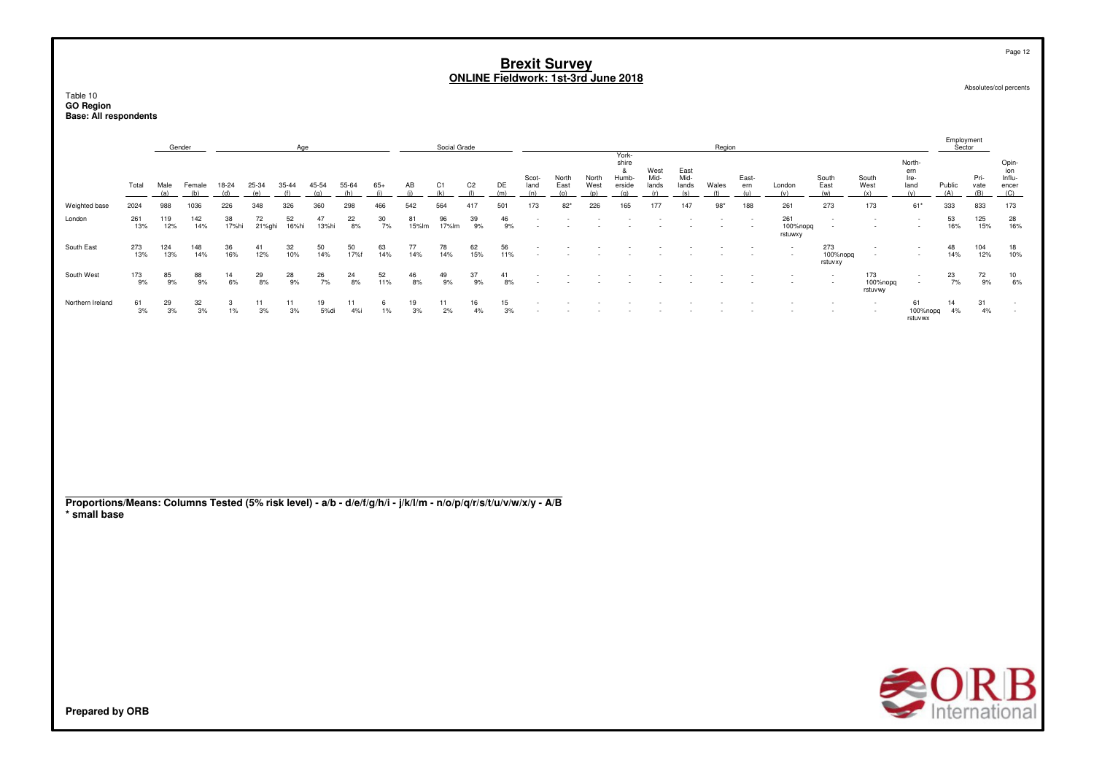|                  |            |            | Gender     |             |              | Age         |             |            |            |             | Social Grade |                |           |               |                      |               |                                               |                       |                       | Region |              |                                                      |                            |                            |                               | Employment<br>Sector |                     |                                        |
|------------------|------------|------------|------------|-------------|--------------|-------------|-------------|------------|------------|-------------|--------------|----------------|-----------|---------------|----------------------|---------------|-----------------------------------------------|-----------------------|-----------------------|--------|--------------|------------------------------------------------------|----------------------------|----------------------------|-------------------------------|----------------------|---------------------|----------------------------------------|
|                  | Total      | (a)        | (b)        |             | (e)          |             |             | 55-64      |            |             |              | C <sub>2</sub> | DE<br>(m) | Scot-<br>land | North<br>East<br>(n) | North<br>West | York-<br>shire<br>ă<br>Humb-<br>erside<br>(n) | West<br>Mid-<br>lands | East<br>Mid-<br>lands | Wales  | East-<br>ern | London<br>(v)                                        | South<br>East<br>(w)       | South<br>West<br>(x)       | North-<br>ern<br>Ire-<br>land | Public<br>(A)        | Pri-<br>vate<br>(B) | Opin-<br>ion<br>Influ-<br>encer<br>(C) |
| Weighted base    | 2024       | 988        | 1036       | 226         | 348          | 326         | 360         | 298        | 466        | 542         | 564          | 417            | 501       | 173           | $82*$                | 226           | 165                                           | 177                   | 147                   | $98*$  | 188          | 261                                                  | 273                        | 173                        | $61*$                         | 333                  | 833                 | 173                                    |
| London           | 261<br>13% | 119<br>12% | 142<br>14% | 38<br>17%hi | 72<br>21%ghi | 52<br>16%hi | 47<br>13%hi | 22<br>8%   | 30<br>7%   | 81<br>15%lm | 96<br>17%lm  | 39<br>9%       | 46<br>9%  |               |                      |               |                                               |                       |                       |        |              | 261<br>100%nopq<br>rstuwxy                           |                            | $\sim$                     | $\sim$<br>$\sim$              | 53<br>16%            | 125<br>15%          | 28<br>16%                              |
| South East       | 273<br>13% | 124<br>13% | 148<br>14% | 36<br>16%   | 41<br>12%    | 32<br>10%   | 50<br>14%   | 50<br>17%f | 63<br>14%  | 77<br>14%   | 78<br>14%    | 62<br>15%      | 56<br>11% |               |                      |               |                                               |                       |                       |        |              | $\overline{\phantom{a}}$<br>$\overline{\phantom{a}}$ | 273<br>100%nopg<br>rstuvxy | $\sim$                     | $\sim$<br>$\sim$              | 48<br>14%            | 104<br>12%          | 18<br>10%                              |
| South West       | 173<br>9%  | 85<br>9%   | 88<br>9%   | 14<br>6%    | 29<br>8%     | 28<br>9%    | 26<br>7%    | 24<br>8%   | 52<br>11%  | 46<br>8%    | 49<br>9%     | 37<br>9%       | 41<br>8%  |               |                      |               |                                               |                       |                       |        |              |                                                      |                            | 173<br>100%nopq<br>rstuvwy | $\sim$<br>$\sim$              | 23<br>7%             | 72<br>9%            | 10<br>6%                               |
| Northern Ireland | 61<br>3%   | 29<br>3%   | 32<br>3%   | 3<br>1%     | 3%           | 11<br>3%    | 19<br>5%di  | 4%i        | 6<br>$1\%$ | 19<br>3%    | 11<br>2%     | 16<br>4%       | 15<br>3%  |               |                      |               |                                               |                       |                       |        |              |                                                      |                            | $\sim$<br>$\sim$           | 61<br>100%nopq<br>rstuvwx     | 14<br>4%             | 31<br>4%            | $\sim$                                 |

**Proportions/Means: Columns Tested (5% risk level) - a/b - d/e/f/g/h/i - j/k/l/m - n/o/p/q/r/s/t/u/v/w/x/y - A/B\* small base**



Page 12

Absolutes/col percents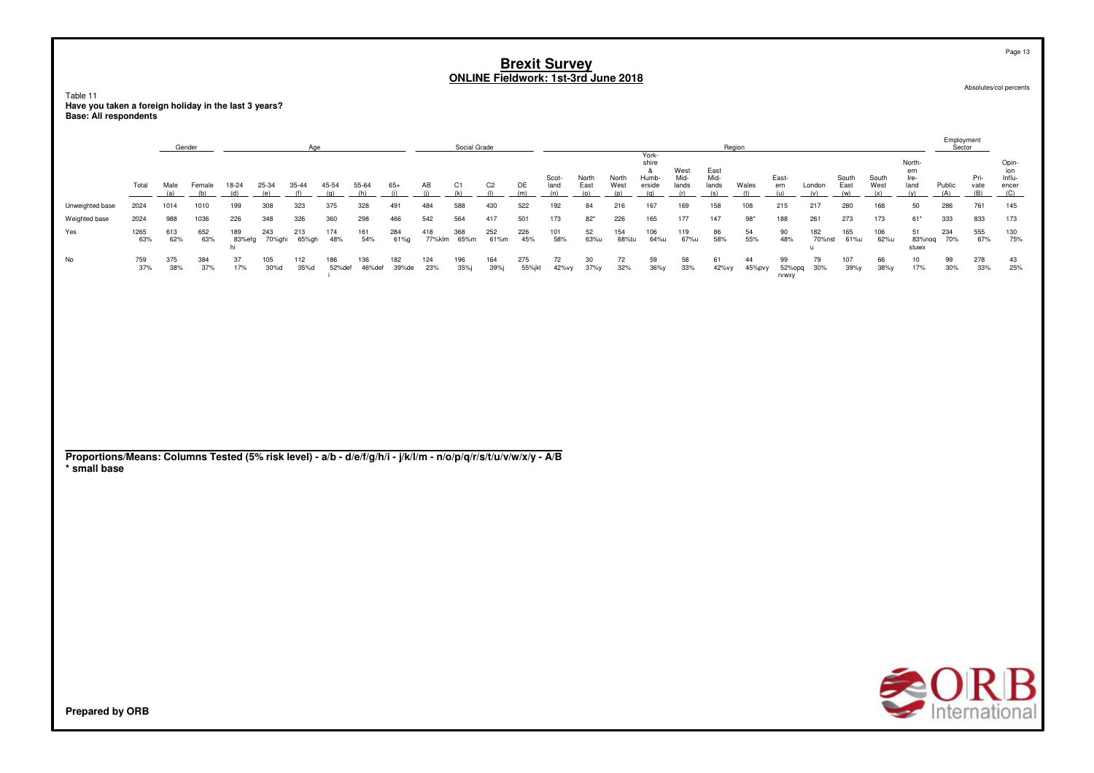Table 11 have you taken a foreign holiday in the last 3 years?<br>Base: All respondents

|                 |             | Gender     |            |               |               |              |               |               |              |               | Social Grade |                |               |               |               |               |                                  |                       |                       | Region       |                       |               |                |               |                               | Employment<br>Sector |              |                                |
|-----------------|-------------|------------|------------|---------------|---------------|--------------|---------------|---------------|--------------|---------------|--------------|----------------|---------------|---------------|---------------|---------------|----------------------------------|-----------------------|-----------------------|--------------|-----------------------|---------------|----------------|---------------|-------------------------------|----------------------|--------------|--------------------------------|
|                 | Total       | Male       | Female     | 18-24         | 25-34         | 35-44        | 45-54         | 55-64         | $65+$        | AB            | C1           | C <sub>2</sub> | DE            | Scot-<br>land | North<br>East | North<br>West | York-<br>shire<br>Humb<br>erside | West<br>Mid-<br>lands | East<br>Mid-<br>lands | Wales        | East-<br>ern          | London        | South<br>East  | South<br>West | North-<br>ern<br>Ire-<br>land | Public               | Pri-<br>vate | Opin<br>Influ-<br>encer<br>(C) |
| Unweighted base | 2024        | 1014       | 1010       | 199           | 308           | 323          | 375           | 328           | 491          | 484           | 588          | 430            | 522           | 192           | 84            | 216           | 167                              | 169                   | 158                   | 108          | 215                   | 217           | 280            | 168           | 50                            | 286                  | 761          | 145                            |
| Weighted base   | 2024        | 988        | 1036       | 226           | 348           | 326          | 360           | 298           | 466          | 542           | 564          | 417            | 501           | 173           | $82*$         | 226           | 165                              | 177                   | 147                   | $98*$        | 188                   | 261           | 273            | 173           | $61*$                         | 333                  | 833          | 173                            |
| Yes             | 1265<br>63% | 613<br>62% | 652<br>63% | 189<br>83%efg | 243<br>70%ghi | 213<br>65%gh | 174<br>48%    | 161<br>54%    | 284<br>61%g  | 418<br>77%klm | 368<br>65%m  | 252<br>61%m    | 226<br>45%    | 101<br>58%    | 52<br>63%u    | 154<br>68%tu  | 106<br>64%u                      | 119<br>67%u           | 86<br>58%             | 54<br>55%    | 90<br>48%             | 182<br>70%nst | 165<br>61%u    | 106<br>62%u   | 51<br>83%noq<br>stuwx         | 234<br>70%           | 555<br>67%   | 130<br>75%                     |
| No              | 759<br>37%  | 375<br>38% | 384<br>37% | 37<br>17%     | 105<br>30%d   | 112<br>35%d  | 186<br>52%def | 136<br>46%def | 182<br>39%de | 124<br>23%    | 196<br>35%i  | 164<br>39%i    | 275<br>55%jkl | 72<br>42%vy   | 30<br>37%     | 72<br>32%     | 59<br>$36\%y$                    | 58<br>33%             | 61<br>42%vy           | 44<br>45%pvy | 99<br>52%opq<br>rvwxy | 79<br>30%     | 107<br>$39\%y$ | 66<br>38%y    | 10<br>17%                     | 99<br>30%            | 278<br>33%   | 43<br>25%                      |

Proportions/Means: Columns Tested (5% risk level) - a/b - d/e/f/g/h/i - j/k/l/m - n/o/p/q/r/s/t/u/v/w/x/y - A/B \* small base



Absolutes/col percents

Page 13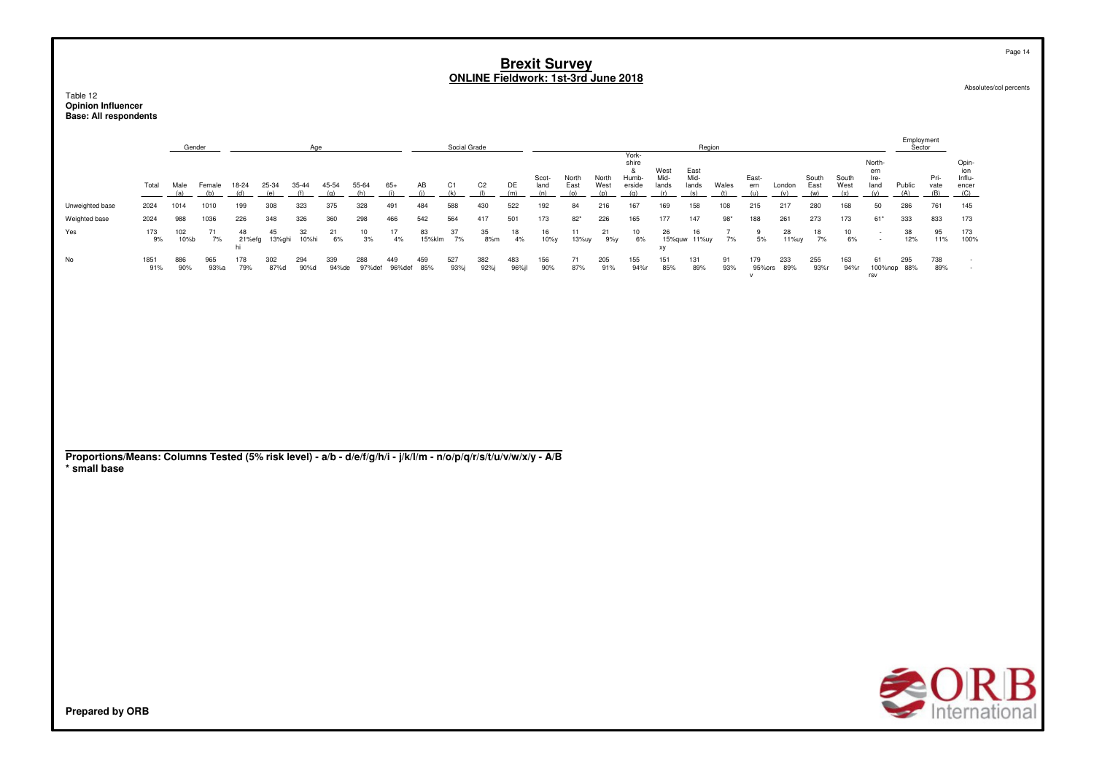Table 12<br>**Opinion Influencer** Base: All respondents

|                                                                                                                 |             |             | Gender        |                    |              | Age          |              |               |               |              | Social Grade          |                       |              |                      |                      |                      | York-                                |                              | Region                       |                      |                     |                   |                      |                      |                                      | Employment<br>Sector |                     |                                        |
|-----------------------------------------------------------------------------------------------------------------|-------------|-------------|---------------|--------------------|--------------|--------------|--------------|---------------|---------------|--------------|-----------------------|-----------------------|--------------|----------------------|----------------------|----------------------|--------------------------------------|------------------------------|------------------------------|----------------------|---------------------|-------------------|----------------------|----------------------|--------------------------------------|----------------------|---------------------|----------------------------------------|
|                                                                                                                 | Total       | Male<br>(a) | Female<br>(b) | 18-24<br>(d)       | 25-34<br>(e) | 35-44<br>(f) | 45-54<br>(g) | 55-64<br>(h)  | $65+$<br>(i)  | AB<br>(i)    | C <sub>1</sub><br>(k) | C <sub>2</sub><br>(1) | DE<br>(m)    | Scot-<br>land<br>(n) | North<br>East<br>(0) | North<br>West<br>(p) | shire<br>&<br>Humb-<br>erside<br>(q) | West<br>Mid-<br>lands<br>(r) | East<br>Mid-<br>lands<br>(s) | Wales<br>(t)         | East-<br>ern<br>(u) | London<br>(v)     | South<br>East<br>(w) | South<br>West<br>(x) | North-<br>ern<br>Ire-<br>land<br>(y) | Public<br>(A)        | Pri-<br>vate<br>(B) | Opin-<br>ion<br>Influ-<br>encer<br>(C) |
| Unweighted base                                                                                                 | 2024        | 1014        | 1010          | 199                | 308          | 323          | 375          | 328           | 491           | 484          | 588                   | 430                   | 522          | 192                  | 84                   | 216                  | 167                                  | 169                          | 158                          | 108                  | 215                 | 217               | 280                  | 168                  | 50                                   | 286                  | 761                 | 145                                    |
| Weighted base                                                                                                   | 2024        | 988         | 1036          | 226                | 348          | 326          | 360          | 298           | 466           | 542          | 564                   | 417                   | 501          | 173                  | $82*$                | 226                  | 165                                  | 177                          | 147                          | $98*$                | 188                 | 261               | 273                  | 173                  | $61*$                                | 333                  | 833                 | 173                                    |
| Yes                                                                                                             | 173<br>9%   | 102<br>10%b | 71<br>7%      | 48<br>21%efg<br>hi | 45<br>13%ghi | 32<br>10%hi  | 21<br>6%     | 10<br>3%      | 17<br>4%      | 83<br>15%klm | 37<br>7%              | 35<br>8%m             | 18<br>4%     | 16<br>10%y           | 11<br>13%uy          | 21<br>9%y            | 10<br>6%                             | 26<br>xy                     | 16<br>15%quw 11%uy           | $\overline{7}$<br>7% | 9<br>5%             | 28<br>11%uy       | 18<br>7%             | 10<br>6%             | $\overline{\phantom{a}}$<br>٠        | $38\,$<br>12%        | 95<br>11%           | 173<br>100%                            |
| No                                                                                                              | 1851<br>91% | 886<br>90%  | 965<br>93%a   | 178<br>79%         | 302<br>87%d  | 294<br>90%d  | 339<br>94%de | 288<br>97%def | 449<br>96%def | 459<br>85%   | 527<br>93%j           | 382<br>92%j           | 483<br>96%jl | 156<br>90%           | 71<br>87%            | 205<br>91%           | 155<br>94%r                          | 151<br>85%                   | 131<br>89%                   | 91<br>$93%$          | 179<br>${\sf v}$    | 233<br>95%ors 89% | 255<br>93%r          | 163<br>94%r          | 61<br>$\mathsf{rsv}$                 | 295<br>100%nop 88%   | 738<br>89%          |                                        |
|                                                                                                                 |             |             |               |                    |              |              |              |               |               |              |                       |                       |              |                      |                      |                      |                                      |                              |                              |                      |                     |                   |                      |                      |                                      |                      |                     |                                        |
|                                                                                                                 |             |             |               |                    |              |              |              |               |               |              |                       |                       |              |                      |                      |                      |                                      |                              |                              |                      |                     |                   |                      |                      |                                      |                      |                     |                                        |
|                                                                                                                 |             |             |               |                    |              |              |              |               |               |              |                       |                       |              |                      |                      |                      |                                      |                              |                              |                      |                     |                   |                      |                      |                                      |                      |                     |                                        |
|                                                                                                                 |             |             |               |                    |              |              |              |               |               |              |                       |                       |              |                      |                      |                      |                                      |                              |                              |                      |                     |                   |                      |                      |                                      |                      |                     |                                        |
|                                                                                                                 |             |             |               |                    |              |              |              |               |               |              |                       |                       |              |                      |                      |                      |                                      |                              |                              |                      |                     |                   |                      |                      |                                      |                      |                     |                                        |
|                                                                                                                 |             |             |               |                    |              |              |              |               |               |              |                       |                       |              |                      |                      |                      |                                      |                              |                              |                      |                     |                   |                      |                      |                                      |                      |                     |                                        |
| Proportions/Means: Columns Tested (5% risk level) - a/b - d/e/f/g/h/i - j/k/l/m - n/o/p/q/r/s/t/u/v/w/x/y - A/B |             |             |               |                    |              |              |              |               |               |              |                       |                       |              |                      |                      |                      |                                      |                              |                              |                      |                     |                   |                      |                      |                                      |                      |                     |                                        |
| * small base                                                                                                    |             |             |               |                    |              |              |              |               |               |              |                       |                       |              |                      |                      |                      |                                      |                              |                              |                      |                     |                   |                      |                      |                                      |                      |                     |                                        |
|                                                                                                                 |             |             |               |                    |              |              |              |               |               |              |                       |                       |              |                      |                      |                      |                                      |                              |                              |                      |                     |                   |                      |                      |                                      |                      |                     |                                        |
|                                                                                                                 |             |             |               |                    |              |              |              |               |               |              |                       |                       |              |                      |                      |                      |                                      |                              |                              |                      |                     |                   |                      |                      |                                      |                      |                     |                                        |
|                                                                                                                 |             |             |               |                    |              |              |              |               |               |              |                       |                       |              |                      |                      |                      |                                      |                              |                              |                      |                     |                   |                      |                      |                                      |                      |                     |                                        |
|                                                                                                                 |             |             |               |                    |              |              |              |               |               |              |                       |                       |              |                      |                      |                      |                                      |                              |                              |                      |                     |                   |                      |                      |                                      |                      |                     |                                        |
|                                                                                                                 |             |             |               |                    |              |              |              |               |               |              |                       |                       |              |                      |                      |                      |                                      |                              |                              |                      |                     |                   |                      |                      |                                      |                      |                     |                                        |
|                                                                                                                 |             |             |               |                    |              |              |              |               |               |              |                       |                       |              |                      |                      |                      |                                      |                              |                              |                      |                     |                   |                      |                      |                                      |                      |                     |                                        |
|                                                                                                                 |             |             |               |                    |              |              |              |               |               |              |                       |                       |              |                      |                      |                      |                                      |                              |                              |                      |                     |                   |                      |                      |                                      |                      |                     |                                        |
|                                                                                                                 |             |             |               |                    |              |              |              |               |               |              |                       |                       |              |                      |                      |                      |                                      |                              |                              |                      |                     |                   |                      |                      |                                      |                      |                     |                                        |
|                                                                                                                 |             |             |               |                    |              |              |              |               |               |              |                       |                       |              |                      |                      |                      |                                      |                              |                              |                      |                     |                   |                      |                      |                                      | ₹OF                  |                     |                                        |

Absolutes/col percents

Page 14

**SORB**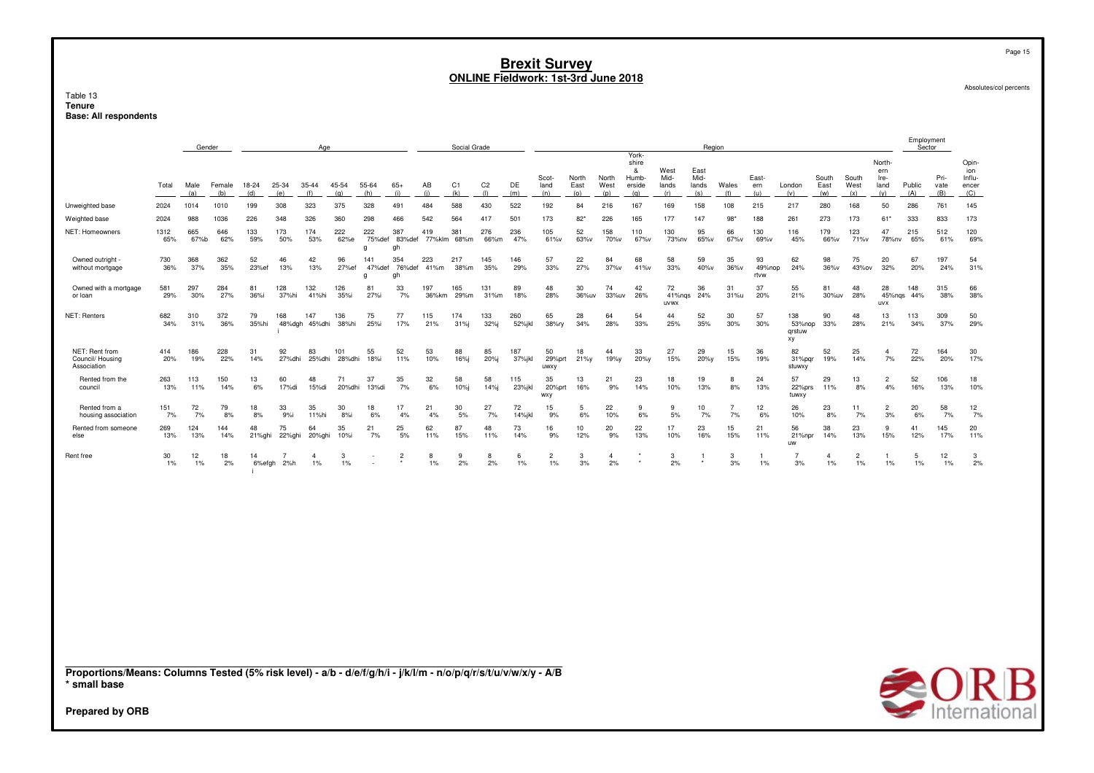Table 13 **TenureBase: All respondents**

|                                                                                                                                                           |             | Gender      |               |              |              | Age                        |               |                    |                     |               | Social Grade |                       |               |                         |                      |                      |                                               |                              | Region                       |                      |                      |                               |                         |                      |                                      | Employment<br>Sector |                     |                                        |
|-----------------------------------------------------------------------------------------------------------------------------------------------------------|-------------|-------------|---------------|--------------|--------------|----------------------------|---------------|--------------------|---------------------|---------------|--------------|-----------------------|---------------|-------------------------|----------------------|----------------------|-----------------------------------------------|------------------------------|------------------------------|----------------------|----------------------|-------------------------------|-------------------------|----------------------|--------------------------------------|----------------------|---------------------|----------------------------------------|
|                                                                                                                                                           | Total       | Male<br>(a) | Female<br>(b) | 18-24<br>(d) | 25-34<br>(e) | 35-44<br>(f)               | 45-54<br>(g)  | 55-64<br>(h)       | $65+$<br>(i)        | AB<br>(i)     | C1<br>(k)    | C <sub>2</sub><br>(1) | DE<br>(m)     | Scot-<br>land<br>(n)    | North<br>East<br>(o) | North<br>West<br>(p) | York-<br>shire<br>&<br>Humb-<br>erside<br>(q) | West<br>Mid-<br>lands<br>(r) | East<br>Mid-<br>lands<br>(s) | Wales<br>(t)         | East-<br>ern<br>(u)  | London<br>(v)                 | South<br>East<br>(w)    | South<br>West<br>(x) | North-<br>ern<br>Ire-<br>land<br>(y) | Public<br>(A)        | Pri-<br>vate<br>(B) | Opin-<br>ion<br>Influ-<br>encer<br>(C) |
| Unweighted base                                                                                                                                           | 2024        | 1014        | 1010          | 199          | 308          | 323                        | 375           | 328                | 491                 | 484           | 588          | 430                   | 522           | 192                     | 84                   | 216                  | 167                                           | 169                          | 158                          | 108                  | 215                  | 217                           | 280                     | 168                  | 50                                   | 286                  | 761                 | 145                                    |
| Weighted base                                                                                                                                             | 2024        | 988         | 1036          | 226          | 348          | 326                        | 360           | 298                | 466                 | 542           | 564          | 417                   | 501           | 173                     | $82*$                | 226                  | 165                                           | 177                          | 147                          | 98'                  | 188                  | 261                           | 273                     | 173                  | 61                                   | 333                  | 833                 | 173                                    |
| NET: Homeowners                                                                                                                                           | 1312<br>65% | 665<br>67%b | 646<br>62%    | 133<br>59%   | 173<br>50%   | 174<br>53%                 | 222<br>62%e   | 222<br>75%def<br>q | 387<br>83%def<br>αh | 419<br>77%klm | 381<br>68%m  | 276<br>66%m           | 236<br>47%    | 105<br>61%v             | 52<br>63%v           | 158<br>70%v          | 110<br>67%v                                   | 130<br>73%nv                 | 95<br>65%v                   | 66<br>67%v           | 130<br>69%v          | 116<br>45%                    | 179<br>66%v             | 123<br>71%v          | $47\,$<br>78%nv                      | 215<br>65%           | 512<br>61%          | 120<br>69%                             |
| Owned outright -<br>without mortgage                                                                                                                      | 730<br>36%  | 368<br>37%  | 362<br>35%    | 52<br>23%ef  | 46<br>13%    | 42<br>13%                  | 96<br>27%ef   | 141<br>47%def<br>g | 354<br>76%def<br>ah | 223<br>41%m   | 217<br>38%m  | 145<br>35%            | 146<br>29%    | 57<br>33%               | 22<br>27%            | 84<br>37%v           | 68<br>41%v                                    | 58<br>33%                    | 59<br>40%v                   | 35<br>36%v           | 93<br>49%nop<br>rtvw | 62<br>24%                     | 98<br>36%v              | 75<br>43%ov          | 20<br>32%                            | 67<br>20%            | 197<br>24%          | 54<br>31%                              |
| Owned with a mortgage<br>or loan                                                                                                                          | 581<br>29%  | 297<br>30%  | 284<br>27%    | 81<br>36%i   | 128<br>37%hi | 132<br>41%hi               | 126<br>35%i   | 81<br>27%i         | 33<br>7%            | 197<br>36%km  | 165<br>29%m  | 131<br>31%m           | 89<br>18%     | 48<br>28%               | 30<br>36%uv          | 74<br>33%uv          | 42<br>26%                                     | 72<br>41%ngs<br><b>UVWX</b>  | 36<br>24%                    | 31<br>31%u           | 37<br>20%            | 55<br>21%                     | 81<br>$30\%$ uv         | 48<br>28%            | 28<br>uvx                            | 148<br>45%ngs 44%    | 315<br>38%          | 66<br>38%                              |
| NET: Renters                                                                                                                                              | 682<br>34%  | 310<br>31%  | 372<br>36%    | 79<br>35%hi  | 168          | 147<br>48%dgh 45%dhi 38%hi | 136           | 75<br>25%i         | 77<br>17%           | 115<br>21%    | 174<br>31%j  | 133<br>$32%$ j        | 260<br>52%jkl | 65<br>38%ry             | 28<br>34%            | 64<br>28%            | 54<br>33%                                     | 44<br>25%                    | 52<br>35%                    | 30<br>30%            | 57<br>30%            | 138<br>53%nop<br>qrstuw<br>xy | 90<br>33%               | 48<br>28%            | 13<br>21%                            | 113<br>34%           | 309<br>37%          | 50<br>29%                              |
| NET: Rent from<br>Council/ Housing<br>Association                                                                                                         | 414<br>20%  | 186<br>19%  | 228<br>22%    | 31<br>14%    | 92<br>27%dhi | 83<br>25%dhi               | 101<br>28%dhi | 55<br>18%i         | 52<br>11%           | 53<br>10%     | 88<br>16%i   | 85<br>20%i            | 187<br>37%jkl | 50<br>29%prt<br>uwxy    | 18<br>21%y           | 44<br>19%y           | 33<br>20%y                                    | 27<br>15%                    | 29<br>20%y                   | 15<br>15%            | 36<br>19%            | 82<br>31%pqr<br>stuwxy        | 52<br>19%               | 25<br>14%            | $\mathbf{4}$<br>7%                   | 72<br>22%            | 164<br>20%          | 30<br>17%                              |
| Rented from the<br>council                                                                                                                                | 263<br>13%  | 113<br>11%  | 150<br>14%    | 13<br>6%     | 60<br>17%di  | 48<br>15%di                | 71<br>20%dhi  | 37<br>13%di        | 35<br>7%            | 32<br>6%      | 58<br>10%j   | 58<br>14%i            | 115<br>23%jkl | 35<br>20%prt<br>wxy     | 13<br>16%            | 21<br>9%             | 23<br>14%                                     | 18<br>10%                    | 19<br>13%                    | 8<br>8%              | 24<br>13%            | 57<br>22%prs<br>tuwxy         | 29<br>11%               | 13<br>8%             | $\overline{2}$<br>4%                 | 52<br>16%            | 106<br>13%          | 18<br>10%                              |
| Rented from a<br>housing association                                                                                                                      | 151<br>7%   | 72<br>7%    | 79<br>8%      | 18<br>8%     | 33<br>9%i    | 35<br>11%hi                | 30<br>8%i     | 18<br>6%           | 17<br>4%            | 21<br>4%      | 30<br>5%     | 27<br>7%              | 72<br>14%jkl  | 15<br>9%                | 5<br>6%              | 22<br>10%            | 9<br>6%                                       | 9<br>5%                      | 10<br>7%                     | $\overline{7}$<br>7% | 12<br>6%             | 26<br>10%                     | 23<br>8%                | 11<br>7%             | $\overline{2}$<br>3%                 | 20<br>6%             | 58<br>7%            | 12<br>7%                               |
| Rented from someone<br>else                                                                                                                               | 269<br>13%  | 124<br>13%  | 144<br>14%    | 48<br>21%ghi | 75<br>22%ghi | 64<br>20%ghi               | 35<br>10%i    | 21<br>7%           | 25<br>5%            | 62<br>11%     | 87<br>15%    | 48<br>11%             | 73<br>14%     | 16<br>9%                | 10<br>12%            | 20<br>9%             | 22<br>13%                                     | 17<br>10%                    | 23<br>16%                    | 15<br>15%            | 21<br>11%            | 56<br>21%npr<br>uw            | 38<br>14%               | 23<br>13%            | 9<br>15%                             | 41<br>12%            | 145<br>17%          | 20<br>11%                              |
| Rent free                                                                                                                                                 | 30<br>$1\%$ | 12<br>1%    | 18<br>2%      | 14<br>6%efgh | 7<br>2%h     | $\mathbf{A}$<br>1%         | 3<br>$1\%$    |                    | $\overline{c}$      | 8<br>1%       | 9<br>2%      | 8<br>2%               | 6<br>$1\%$    | $\overline{2}$<br>$1\%$ | 3<br>3%              | $\overline{4}$<br>2% |                                               | -3<br>2%                     | -1                           | 3<br>3%              | -1<br>1%             | $\overline{7}$<br>3%          | $\overline{4}$<br>$1\%$ | $\overline{2}$<br>1% | -1<br>1%                             | 5<br>$1\%$           | 12<br>1%            | 3<br>2%                                |
| Proportions/Means: Columns Tested (5% risk level) - a/b - d/e/f/g/h/i - j/k/l/m - n/o/p/q/r/s/t/u/v/w/x/y - A/B<br>* small base<br><b>Prepared by ORB</b> |             |             |               |              |              |                            |               |                    |                     |               |              |                       |               |                         |                      |                      |                                               |                              |                              |                      |                      |                               |                         |                      |                                      |                      | <b>SOF</b>          |                                        |

Page 15

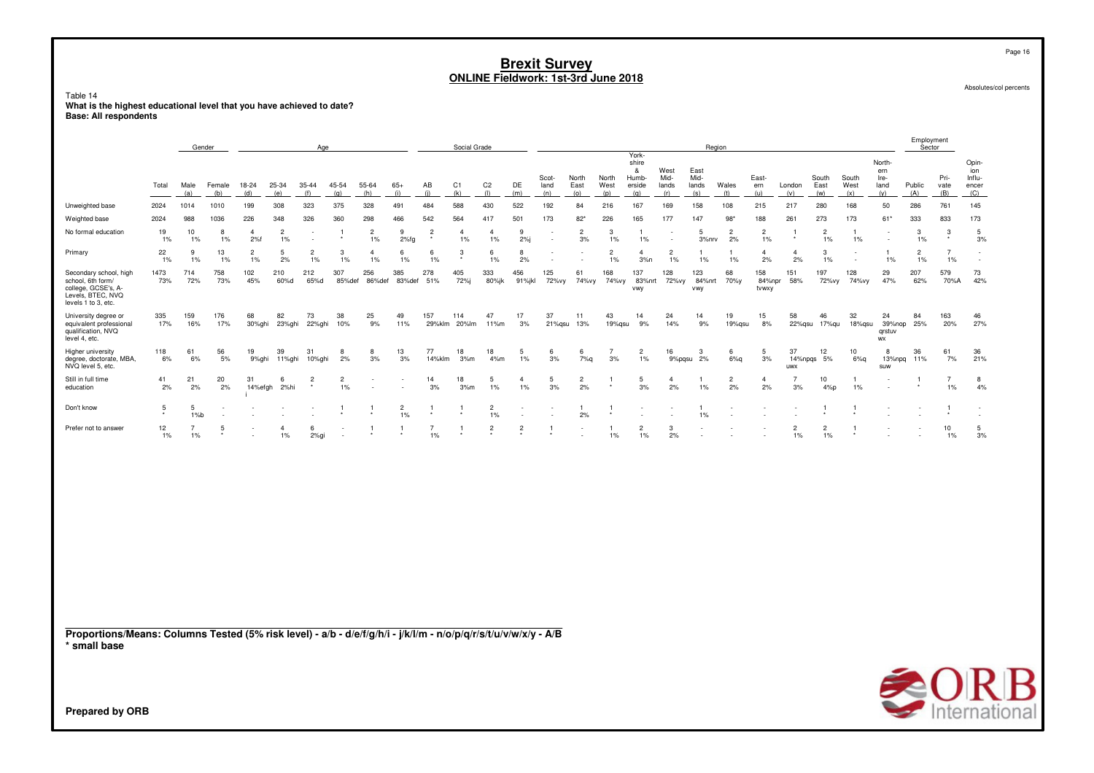## Table 14 **What is the highest educational level that you have achieved to date? Base: All respondents**

|                                                                                                                                 |             |                         | Gender        |                         |                         | Age                                |                      |                      |                      |                           | Social Grade         |                         |                         |                      |                      |                      |                                               |                              |                              | Region               |                         |                         |                      |                          |                                      | Employment<br>Sector |                         |                                               |
|---------------------------------------------------------------------------------------------------------------------------------|-------------|-------------------------|---------------|-------------------------|-------------------------|------------------------------------|----------------------|----------------------|----------------------|---------------------------|----------------------|-------------------------|-------------------------|----------------------|----------------------|----------------------|-----------------------------------------------|------------------------------|------------------------------|----------------------|-------------------------|-------------------------|----------------------|--------------------------|--------------------------------------|----------------------|-------------------------|-----------------------------------------------|
|                                                                                                                                 | Total       | Male<br>(a)             | Female<br>(b) | 18-24<br>(d)            | 25-34<br>(e)            | 35-44<br>(f)                       | 45-54<br>(g)         | 55-64<br>(h)         | $65+$<br>(i)         | AB<br>(i)                 | C1<br>(k)            | C <sub>2</sub><br>(1)   | DE<br>(m)               | Scot-<br>land<br>(n) | North<br>East<br>(o) | North<br>West<br>(p) | York-<br>shire<br>&<br>Humb-<br>erside<br>(q) | West<br>Mid-<br>lands<br>(r) | East<br>Mid-<br>lands<br>(s) | Wales<br>(t)         | East-<br>ern<br>(u)     | London<br>(v)           | South<br>East<br>(w) | South<br>West<br>(x)     | North-<br>ern<br>Ire-<br>land<br>(y) | Public<br>(A)        | Pri-<br>vate<br>(B)     | Opin-<br>ion<br>Influ-<br>encer<br><u>(C)</u> |
| Unweighted base                                                                                                                 | 2024        | 1014                    | 1010          | 199                     | 308                     | 323                                | 375                  | 328                  | 491                  | 484                       | 588                  | 430                     | 522                     | 192                  | 84                   | 216                  | 167                                           | 169                          | 158                          | 108                  | 215                     | 217                     | 280                  | 168                      | 50                                   | 286                  | 761                     | 145                                           |
| Weighted base                                                                                                                   | 2024        | 988                     | 1036          | 226                     | 348                     | 326                                | 360                  | 298                  | 466                  | 542                       | 564                  | 417                     | 501                     | 173                  | $82*$                | 226                  | 165                                           | 177                          | 147                          | $98*$                | 188                     | 261                     | 273                  | 173                      | 61*                                  | 333                  | 833                     | 173                                           |
| No formal education                                                                                                             | 19<br>1%    | 10<br>1%                | 8<br>1%       | $\overline{4}$<br>2%f   | $\overline{2}$<br>$1\%$ | $\overline{\phantom{a}}$<br>$\sim$ | -1                   | $\overline{2}$<br>1% | 9<br>$2%$ fg         | $\overline{2}$<br>$\star$ | $\overline{4}$<br>1% | $\overline{4}$<br>1%    | 9<br>2%j                | $\sim$               | $\overline{c}$<br>3% | 3<br>1%              | $\mathbf{1}$<br>$1\%$                         |                              | 5<br>3%nrv                   | $\overline{2}$<br>2% | $\overline{2}$<br>$1\%$ | -1                      | $\overline{2}$<br>1% | $\mathbf{1}$<br>1%       | $\sim$<br>$\sim$                     | 3<br>1%              | 3                       | 5<br>3%                                       |
| Primary                                                                                                                         | 22<br>$1\%$ | 9<br>1%                 | 13<br>$1\%$   | $\overline{2}$<br>$1\%$ | 5<br>2%                 | $\overline{2}$<br>$1\%$            | 3<br>1%              | $\overline{4}$<br>1% | 6<br>1%              | 6<br>1%                   | $\mathbf{3}$         | 6<br>$1\%$              | 8<br>2%                 |                      |                      | 2<br>1%              | $\overline{4}$<br>3%n                         | $\overline{2}$<br>1%         | $1\%$                        | $1\%$                | 4<br>2%                 | $\overline{4}$<br>2%    | $\mathbf{3}$<br>1%   | $\overline{\phantom{a}}$ | 1%                                   | $\overline{2}$<br>1% | 7<br>$1\%$              | $\sim$                                        |
| Secondary school, high<br>school, 6th form/<br>college, GCSE's, A-<br>Levels, BTEC, NVQ<br>levels 1 to 3, etc.                  | 1473<br>73% | 714<br>72%              | 758<br>73%    | 102<br>45%              | 210<br>60%d             | 212<br>65%d                        | 307<br>85%def        | 256                  | 385<br>86%def 83%def | 278<br>51%                | 405<br>72%j          | 333<br>80%jk            | 456<br>91%jkl           | 125<br>72%vy         | 61<br>74%vy          | 168<br>74%vy         | 137<br>vwy                                    | 128<br>83%nrt 72%vy          | 123<br>84%nrt<br>vwy         | 68<br>70%y           | 158<br>84%npr<br>tvwxy  | 151<br>58%              | 197<br>72%vy         | 128<br>74%vy             | 29<br>47%                            | 207<br>62%           | 579<br>70%A             | 73<br>42%                                     |
| University degree or<br>equivalent professional<br>qualification, NVQ<br>level 4, etc.                                          | 335<br>17%  | 159<br>16%              | 176<br>17%    | 68<br>30%ghi            | 82<br>23%ghi            | 73<br>22%ghi                       | 38<br>10%            | 25<br>9%             | 49<br>11%            | 157                       | 114<br>29%klm 20%lm  | 47<br>11%m              | 17<br>3%                | 37<br>21%qsu         | 11<br>13%            | 43<br>19%qsu         | 14<br>9%                                      | 24<br>14%                    | 14<br>9%                     | 19<br>19%qsu         | 15<br>8%                | 58<br>22%qsu            | 46<br>17%qu          | 32<br>18%qsu             | 24<br>39%nop<br>grstuv<br>WX         | 84<br>25%            | 163<br>20%              | 46<br>27%                                     |
| Higher university<br>degree, doctorate, MBA,<br>NVQ level 5, etc.                                                               | 118<br>6%   | 61<br>6%                | 56<br>5%      | 19<br>9%ghi             | 39<br>11%ghi            | 31<br>10%ghi                       | 8<br>2%              | 8<br>3%              | 13<br>3%             | 77<br>14%klm              | 18<br>3%m            | 18<br>4%m               | 5<br>$1\%$              | 6<br>3%              | 6<br>7%q             | 7<br>3%              | $\overline{2}$<br>1%                          | 16<br>9%pqsu                 | $\mathbf{3}$<br>2%           | 6<br>6%q             | 5<br>3%                 | 37<br>uwx               | 12<br>14% npgs 5%    | 10<br>6%q                | -8<br>13%npq<br>suw                  | 36<br>11%            | 61<br>7%                | 36<br>21%                                     |
| Still in full time<br>education                                                                                                 | 41<br>2%    | 21<br>2%                | 20<br>2%      | 31<br>14%efgh           | 6<br>2%hi               | $\overline{2}$                     | $\overline{2}$<br>1% |                      |                      | 14<br>3%                  | 18<br>3%m            | 5<br>1%                 | $\overline{4}$<br>$1\%$ | 5<br>3%              | $\overline{c}$<br>2% | -1                   | 5<br>3%                                       | $\overline{4}$<br>2%         | $1\%$                        | $\overline{2}$<br>2% | $\overline{4}$<br>2%    | 7<br>3%                 | 10<br>4%p            | 1%                       |                                      |                      | $\overline{7}$<br>$1\%$ | 8<br>4%                                       |
| Don't know                                                                                                                      | 5           | 5<br>1%b                | ٠.            |                         |                         |                                    | -1                   |                      | $\overline{c}$<br>1% | $\overline{1}$            |                      | $\overline{2}$<br>$1\%$ | ٠.                      |                      | 1<br>2%              | -1                   |                                               |                              | $\mathbf{1}$<br>1%           |                      |                         |                         | $\mathbf{1}$         |                          |                                      |                      |                         | $\overline{a}$                                |
| Prefer not to answer                                                                                                            | 12<br>$1\%$ | $\overline{7}$<br>$1\%$ | 5             |                         | 4<br>$1\%$              | 6<br>$2%$ gi                       |                      |                      |                      | $\overline{7}$<br>1%      |                      | $\overline{c}$          | $\overline{c}$          | -1                   |                      | -1<br>1%             | $\overline{2}$<br>1%                          | 3<br>2%                      |                              |                      |                         | $\overline{2}$<br>$1\%$ | $\overline{c}$<br>1% |                          |                                      |                      | 10<br>$1\%$             | 5<br>3%                                       |
|                                                                                                                                 |             |                         |               |                         |                         |                                    |                      |                      |                      |                           |                      |                         |                         |                      |                      |                      |                                               |                              |                              |                      |                         |                         |                      |                          |                                      |                      |                         |                                               |
| Proportions/Means: Columns Tested (5% risk level) - a/b - d/e/f/g/h/i - j/k/l/m - n/o/p/q/r/s/t/u/v/w/x/y - A/B<br>* small base |             |                         |               |                         |                         |                                    |                      |                      |                      |                           |                      |                         |                         |                      |                      |                      |                                               |                              |                              |                      |                         |                         |                      |                          |                                      |                      |                         |                                               |
| Prepared by ORB                                                                                                                 |             |                         |               |                         |                         |                                    |                      |                      |                      |                           |                      |                         |                         |                      |                      |                      |                                               |                              |                              |                      |                         |                         |                      |                          |                                      |                      |                         | Β<br><b>SUKIB</b><br>International            |

Page 16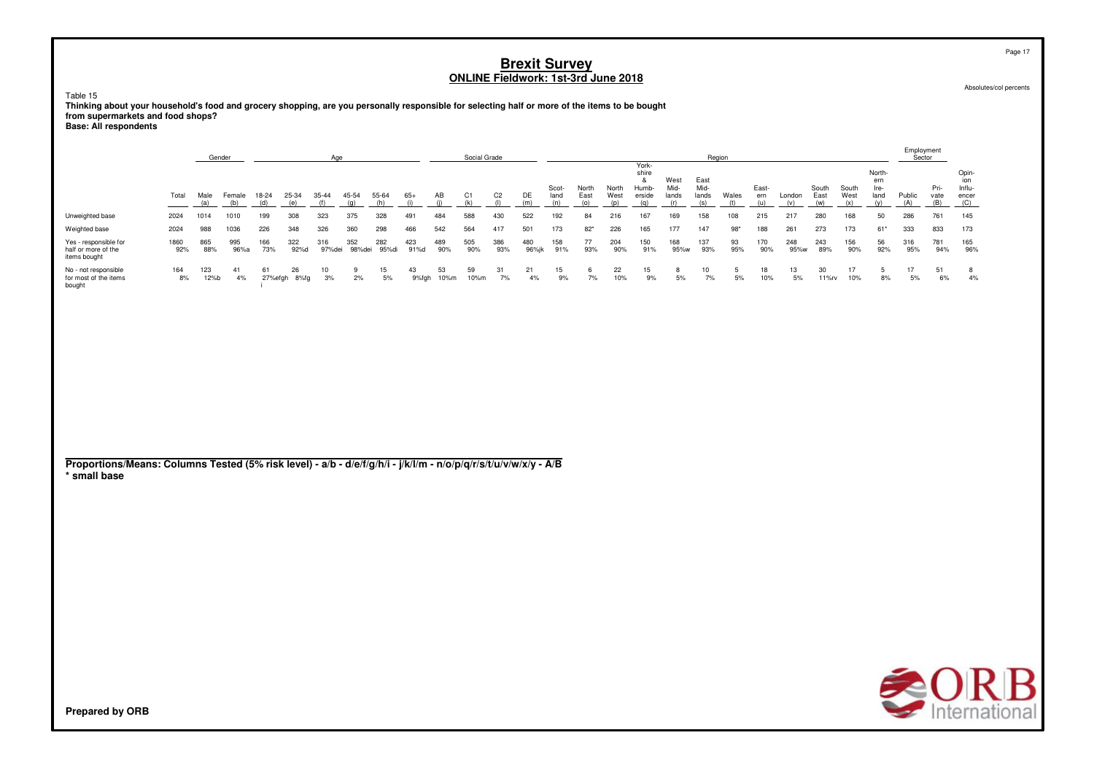Table 15

**Thinking about your household's food and grocery shopping, are you personally responsible for selecting half or more of the items to be bought from supermarkets and food shops? Base: All respondents**

|                                                                                                                                 |             |             | Gender        |              |                    | Age           |               |              |              |                  | Social Grade |                       |              |                      |                      |                      |                                               |                              |                              | Region       |                     |               |                      |                      |                                      | Employment<br>Sector |                     |                                        |
|---------------------------------------------------------------------------------------------------------------------------------|-------------|-------------|---------------|--------------|--------------------|---------------|---------------|--------------|--------------|------------------|--------------|-----------------------|--------------|----------------------|----------------------|----------------------|-----------------------------------------------|------------------------------|------------------------------|--------------|---------------------|---------------|----------------------|----------------------|--------------------------------------|----------------------|---------------------|----------------------------------------|
|                                                                                                                                 | Total       | Male<br>(a) | Female<br>(b) | 18-24<br>(d) | 25-34<br>(e)       | 35-44<br>(f)  | 45-54<br>(q)  | 55-64<br>(h) | $65+$<br>(i) | AB<br>(i)        | C1<br>(k)    | C <sub>2</sub><br>(1) | DE<br>(m)    | Scot-<br>land<br>(n) | North<br>East<br>(o) | North<br>West<br>(p) | York-<br>shire<br>&<br>Humb-<br>erside<br>(q) | West<br>Mid-<br>lands<br>(r) | East<br>Mid-<br>lands<br>(s) | Wales<br>(t) | East-<br>ern<br>(u) | London<br>(v) | South<br>East<br>(w) | South<br>West<br>(x) | North-<br>ern<br>Ire-<br>land<br>(y) | Public<br>(A)        | Pri-<br>vate<br>(B) | Opin-<br>ion<br>Influ-<br>encer<br>(C) |
| Unweighted base                                                                                                                 | 2024        | 1014        | 1010          | 199          | 308                | 323           | 375           | 328          | 491          | 484              | 588          | 430                   | 522          | 192                  | 84                   | 216                  | 167                                           | 169                          | 158                          | 108          | 215                 | 217           | 280                  | 168                  | 50                                   | 286                  | 761                 | 145                                    |
| Weighted base                                                                                                                   | 2024        | 988         | 1036          | 226          | 348                | 326           | 360           | 298          | 466          | 542              | 564          | 417                   | 501          | 173                  | $82*$                | 226                  | 165                                           | 177                          | 147                          | $98*$        | 188                 | 261           | 273                  | 173                  | $61*$                                | 333                  | 833                 | 173                                    |
| Yes - responsible for<br>half or more of the<br>items bought                                                                    | 1860<br>92% | 865<br>88%  | 995<br>96%a   | 166<br>73%   | 322<br>92%d        | 316<br>97%dei | 352<br>98%dei | 282<br>95%di | 423<br>91%d  | 489<br>90%       | 505<br>90%   | 386<br>93%            | 480<br>96%jk | 158<br>91%           | 77<br>93%            | 204<br>90%           | 150<br>91%                                    | 168<br>95%w                  | 137<br>93%                   | 93<br>95%    | 170<br>90%          | 248<br>95%w   | 243<br>89%           | 156<br>90%           | 56<br>92%                            | 316<br>95%           | 781<br>94%          | 165<br>96%                             |
| No - not responsible<br>for most of the items<br>bought                                                                         | 164<br>8%   | 123<br>12%b | 41<br>4%      | 61           | 26<br>27%efgh 8%fg | 10<br>3%      | 9<br>2%       | 15<br>5%     | 43           | 53<br>9%fgh 10%m | 59<br>10%m   | 31<br>7%              | 21<br>4%     | 15<br>9%             | 6<br>7%              | 22<br>10%            | 15<br>9%                                      | 8<br>5%                      | 10<br>7%                     | 5<br>5%      | 18<br>10%           | 13<br>5%      | 30<br>11%rv          | 17<br>10%            | 5<br>$8%$                            | 17<br>5%             | 51<br>6%            | 8<br>4%                                |
| Proportions/Means: Columns Tested (5% risk level) - a/b - d/e/f/g/h/i - j/k/l/m - n/o/p/q/r/s/t/u/v/w/x/y - A/B<br>* small base |             |             |               |              |                    |               |               |              |              |                  |              |                       |              |                      |                      |                      |                                               |                              |                              |              |                     |               |                      |                      |                                      |                      |                     |                                        |



Page 17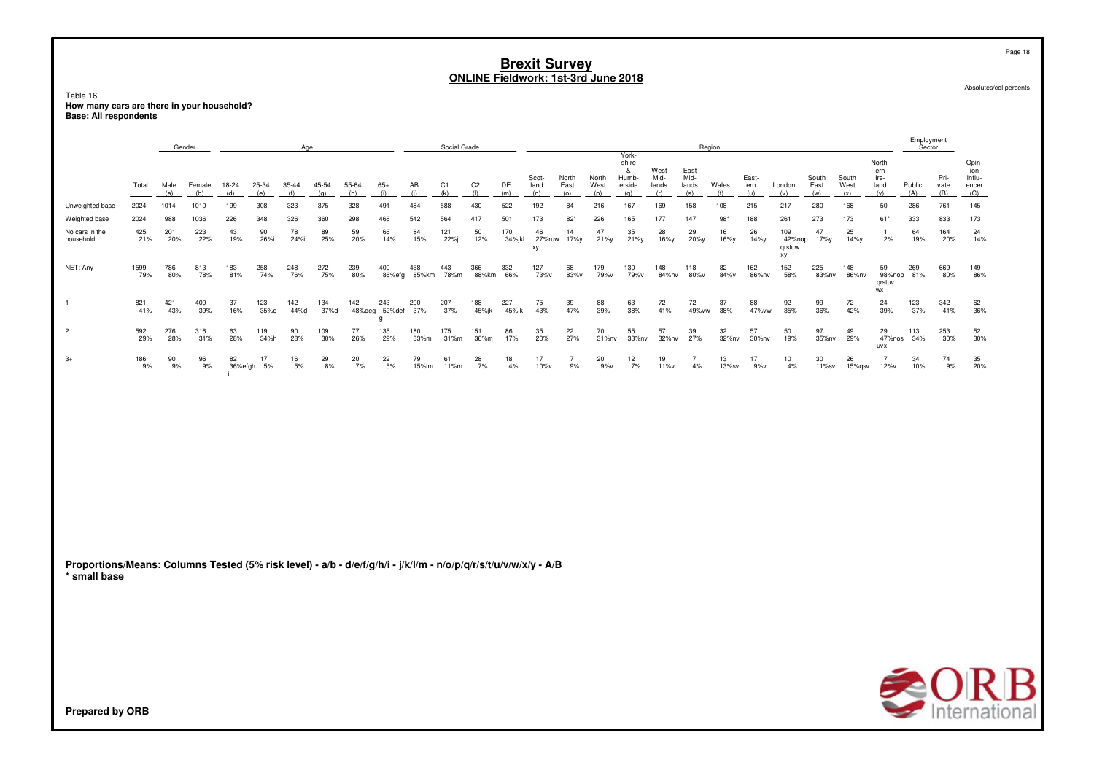Table 16 How many cars are there in your household?<br>Base: All respondents

|                                                                                                                                 |             |             | Gender        |               |              | Age          |              |              |                           |              | Social Grade |                       |               |                      |                      |                      | York-                                |                              |                              | Region       |                     |                               |                      |                      |                                      | Employment<br>Sector |                        |                                        |
|---------------------------------------------------------------------------------------------------------------------------------|-------------|-------------|---------------|---------------|--------------|--------------|--------------|--------------|---------------------------|--------------|--------------|-----------------------|---------------|----------------------|----------------------|----------------------|--------------------------------------|------------------------------|------------------------------|--------------|---------------------|-------------------------------|----------------------|----------------------|--------------------------------------|----------------------|------------------------|----------------------------------------|
|                                                                                                                                 | Total       | Male<br>(a) | Female<br>(b) | 18-24<br>(d)  | 25-34<br>(e) | 35-44<br>(f) | 45-54<br>(g) | 55-64<br>(h) | $65+$<br>(i)              | AB<br>(i)    | C1<br>(k)    | C <sub>2</sub><br>(1) | DE<br>(m)     | Scot-<br>land<br>(n) | North<br>East<br>(0) | North<br>West<br>(p) | shire<br>&<br>Humb-<br>erside<br>(q) | West<br>Mid-<br>lands<br>(r) | East<br>Mid-<br>lands<br>(s) | Wales<br>(t) | East-<br>ern<br>(u) | London<br>(v)                 | South<br>East<br>(w) | South<br>West<br>(x) | North-<br>ern<br>Ire-<br>land<br>(y) | Public<br>(A)        | Pri-<br>vate<br>(B)    | Opin-<br>ion<br>Influ-<br>encer<br>(C) |
| Unweighted base                                                                                                                 | 2024        | 1014        | 1010          | 199           | 308          | 323          | 375          | 328          | 491                       | 484          | 588          | 430                   | 522           | 192                  | 84                   | 216                  | 167                                  | 169                          | 158                          | 108          | 215                 | 217                           | 280                  | 168                  | 50                                   | 286                  | 761                    | 145                                    |
| Weighted base                                                                                                                   | 2024        | 988         | 1036          | 226           | 348          | 326          | 360          | 298          | 466                       | 542          | 564          | 417                   | 501           | 173                  | $82*$                | 226                  | 165                                  | 177                          | 147                          | $98*$        | 188                 | 261                           | 273                  | 173                  | $61*$                                | 333                  | 833                    | 173                                    |
| No cars in the<br>household                                                                                                     | 425<br>21%  | 201<br>20%  | 223<br>22%    | 43<br>19%     | 90<br>26%i   | 78<br>24%i   | 89<br>25%i   | 59<br>20%    | 66<br>14%                 | 84<br>15%    | 121<br>22%jl | 50<br>12%             | 170<br>34%jkl | 46<br>27%ruw<br>xy   | 14<br>17%y           | 47<br>21%y           | 35<br>21%y                           | 28<br>16%y                   | 29<br>20%y                   | 16<br>16%y   | 26<br>14%y          | 109<br>42%nop<br>qrstuw<br>хy | 47<br>17%y           | 25<br>14%y           | $\mathbf{1}$<br>2%                   | 64<br>19%            | 164<br>20%             | 24<br>14%                              |
| NET: Any                                                                                                                        | 1599<br>79% | 786<br>80%  | 813<br>78%    | 183<br>81%    | 258<br>74%   | 248<br>76%   | 272<br>75%   | 239<br>80%   | 400<br>86%efg             | 458<br>85%km | 443<br>78%m  | 366<br>88%km          | 332<br>66%    | 127<br>73%v          | 68<br>83%v           | 179<br>79%v          | 130<br>79%v                          | 148<br>84%nv                 | 118<br>80%v                  | 82<br>84%v   | 162<br>86%nv        | 152<br>58%                    | 225<br>83%nv         | 148<br>86%nv         | 59<br>qrstuv<br>WX                   | 269<br>98%nop 81%    | 669<br>80%             | 149<br>86%                             |
|                                                                                                                                 | 821<br>41%  | 421<br>43%  | 400<br>39%    | 37<br>16%     | 123<br>35%d  | 142<br>44%d  | 134<br>37%d  | 142          | 243<br>48%deg 52%def<br>g | 200<br>37%   | 207<br>37%   | 188<br>45%jk          | 227<br>45%jk  | 75<br>43%            | 39<br>47%            | 88<br>39%            | 63<br>38%                            | 72<br>41%                    | 72<br>49%vw                  | 37<br>38%    | 88<br>47% vw        | 92<br>35%                     | 99<br>36%            | 72<br>42%            | 24<br>39%                            | 123<br>37%           | 342<br>41%             | 62<br>36%                              |
| $\overline{2}$                                                                                                                  | 592<br>29%  | 276<br>28%  | 316<br>31%    | 63<br>28%     | 119<br>34%h  | 90<br>28%    | 109<br>30%   | 77<br>26%    | 135<br>29%                | 180<br>33%m  | 175<br>31%m  | 151<br>36%m           | 86<br>17%     | 35<br>20%            | 22<br>27%            | 70<br>31%nv          | 55<br>33%nv                          | 57<br>32%nv                  | 39<br>27%                    | 32<br>32%nv  | 57<br>30%nv         | 50<br>19%                     | 97<br>35%nv          | 49<br>29%            | 29<br>47%nos<br><b>UVX</b>           | 113<br>34%           | 253<br>30%             | 52<br>30%                              |
| $3+$                                                                                                                            | 186<br>9%   | 90<br>9%    | 96<br>9%      | 82<br>36%efgh | 17<br>5%     | 16<br>$5%$   | 29<br>8%     | 20<br>7%     | 22<br>5%                  | 79<br>15%lm  | 61<br>11%m   | 28<br>7%              | 18<br>4%      | 17<br>$10\%$ v       | $\overline{7}$<br>9% | 20<br>9%v            | 12<br>7%                             | 19<br>11%v                   | $\overline{7}$<br>4%         | 13<br>13%sv  | 17<br>9%v           | 10<br>4%                      | 30<br>11%sv          | 26<br>15%gsv         | $\overline{7}$<br>12%v               | 34<br>10%            | 74<br>9%               | 35<br>20%                              |
| Proportions/Means: Columns Tested (5% risk level) - a/b - d/e/f/g/h/i - j/k/l/m - n/o/p/q/r/s/t/u/v/w/x/y - A/B<br>* small base |             |             |               |               |              |              |              |              |                           |              |              |                       |               |                      |                      |                      |                                      |                              |                              |              |                     |                               |                      |                      |                                      |                      |                        |                                        |
|                                                                                                                                 |             |             |               |               |              |              |              |              |                           |              |              |                       |               |                      |                      |                      |                                      |                              |                              |              |                     |                               |                      |                      |                                      |                      | $\rightarrow$ $\cap$ D |                                        |



Absolutes/col percents

Page 18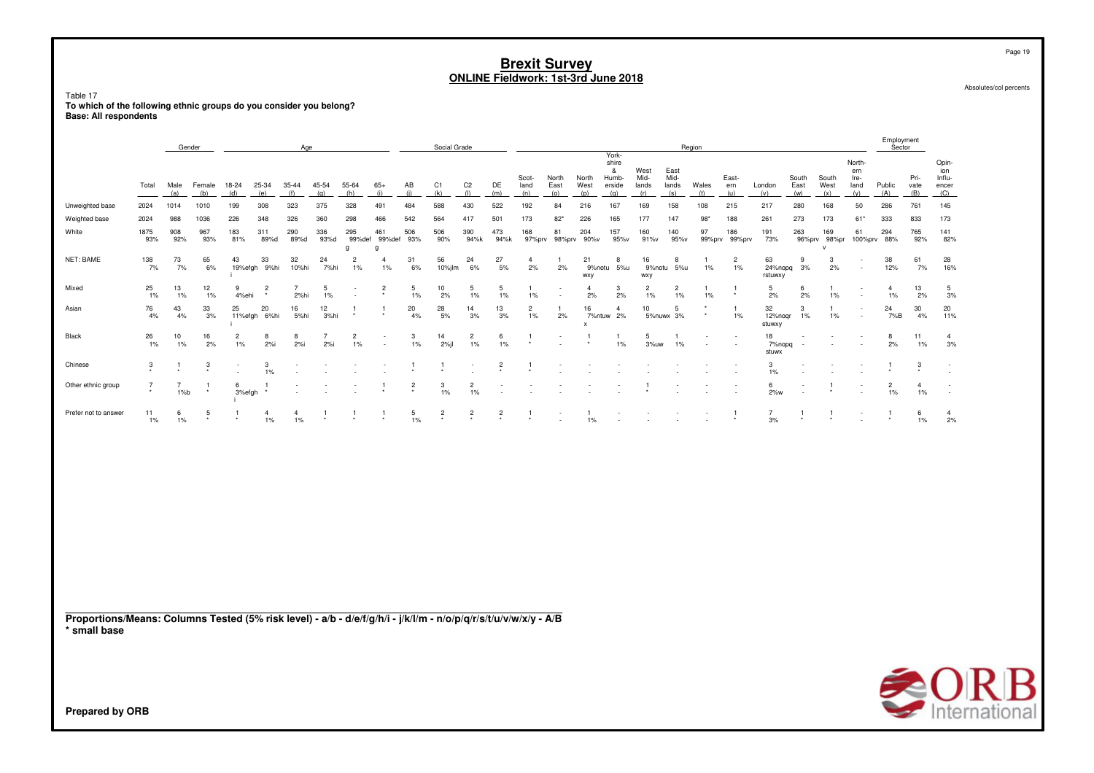Table 17 **To which of the following ethnic groups do you consider you belong?Base: All respondents**

|                      |                  |                       | Gender        |                         |                           | Age                     |                       |                      |                                    |                 | Social Grade  |                         |                           |                         |                      |                            | York-                                |                              |                              | Region                        |                         |                          |                          |                                     |                                      | Employment<br>Sector    |                         |                                        |
|----------------------|------------------|-----------------------|---------------|-------------------------|---------------------------|-------------------------|-----------------------|----------------------|------------------------------------|-----------------|---------------|-------------------------|---------------------------|-------------------------|----------------------|----------------------------|--------------------------------------|------------------------------|------------------------------|-------------------------------|-------------------------|--------------------------|--------------------------|-------------------------------------|--------------------------------------|-------------------------|-------------------------|----------------------------------------|
|                      | Total            | Male<br>(a)           | Female<br>(b) | 18-24<br>(d)            | 25-34<br>(e)              | 35-44<br>(f)            | 45-54<br>(a)          | 55-64<br>(h)         | $65+$<br>(i)                       | AB<br>(i)       | C1<br>(k)     | C <sub>2</sub><br>(1)   | DE<br>(m)                 | Scot-<br>land<br>(n)    | North<br>East<br>(0) | North<br>West<br>(p)       | shire<br>&<br>Humb-<br>erside<br>(q) | West<br>Mid-<br>lands<br>(r) | East<br>Mid-<br>lands<br>(s) | Wales<br>(t)                  | East-<br>ern<br>(u)     | London<br>(v)            | South<br>East<br>(w)     | South<br>West<br>(x)                | North-<br>ern<br>Ire-<br>land<br>(y) | Public<br>(A)           | Pri-<br>vate<br>(B)     | Opin-<br>ion<br>Influ-<br>encer<br>(C) |
| Unweighted base      | 2024             | 1014                  | 1010          | 199                     | 308                       | 323                     | 375                   | 328                  | 491                                | 484             | 588           | 430                     | 522                       | 192                     | 84                   | 216                        | 167                                  | 169                          | 158                          | 108                           | 215                     | 217                      | 280                      | 168                                 | 50                                   | 286                     | 761                     | 145                                    |
| Weighted base        | 2024             | 988                   | 1036          | 226                     | 348                       | 326                     | 360                   | 298                  | 466                                | 542             | 564           | 417                     | 501                       | 173                     | $82*$                | 226                        | 165                                  | 177                          | 147                          | $98*$                         | 188                     | 261                      | 273                      | 173                                 | $61*$                                | 333                     | 833                     | 173                                    |
| White                | 1875<br>93%      | 908<br>92%            | 967<br>93%    | 183<br>81%              | 311<br>89%d               | 290<br>89%d             | 336<br>93%d           | 295<br>99%def<br>q   | 461<br>99%def<br>$\Omega$          | 506<br>93%      | 506<br>90%    | 390<br>94%k             | 473<br>94%k               | 168<br>97%prv           | 81                   | 204<br>98%prv 90%v         | 157<br>95%v                          | 160<br>91%v                  | 140<br>95%v                  | 97                            | 186<br>99%prv 99%prv    | 191<br>73%               | 263                      | 169<br>96%prv 98%pr<br>$\mathbf{v}$ | 61<br>100%prv 88%                    | 294                     | 765<br>92%              | 141<br>82%                             |
| NET: BAME            | 138<br>7%        | 73<br>7%              | 65<br>6%      | 43                      | 33<br>19%efgh 9%hi        | 32<br>10%hi             | 24<br>7%hi            | $\overline{2}$<br>1% | 4<br>$1\%$                         | 31<br>6%        | 56<br>10%jlm  | 24<br>6%                | 27<br>5%                  | $\overline{4}$<br>2%    | 2%                   | 21<br>9%notu<br><b>WXY</b> | 8<br>$5%$ u                          | 16<br>9%notu<br><b>WXV</b>   | 8<br>5%u                     | $1\%$                         | $\overline{2}$<br>$1\%$ | 63<br>24%nopg<br>rstuwxy | 9<br>3%                  | 3<br>2%                             | $\overline{\phantom{a}}$<br>$\sim$   | 38<br>12%               | 61<br>7%                | 28<br>16%                              |
| Mixed                | 25<br>$1\%$      | 13<br>1%              | 12<br>1%      | 9<br>4%ehi              | $\overline{2}$<br>$\star$ | 2%hi                    | 5<br>1%               |                      | $\overline{\mathbf{c}}$<br>$\star$ | 5<br>1%         | 10<br>2%      | 5<br>1%                 | 5<br>1%                   | $\mathbf{1}$<br>1%      |                      | 4<br>2%                    | 3<br>2%                              | $\overline{2}$<br>1%         | $\overline{2}$<br>1%         | $1\%$                         | -1<br>$\star$           | 5<br>2%                  | 6<br>2%                  | 1<br>1%                             | $\overline{\phantom{a}}$<br>٠        | $\overline{4}$<br>$1\%$ | 13<br>2%                | 5<br>3%                                |
| Asian                | 76<br>4%         | 43<br>4%              | 33<br>3%      | 25                      | 20<br>11%efgh 6%hi        | 16<br>5%hi              | 12<br>3%hi            | $\star$              | 1<br>$\star$                       | 20<br>4%        | 28<br>5%      | 14<br>3%                | 13<br>3%                  | $\overline{2}$<br>$1\%$ | 2%                   | 16<br>$\mathsf{x}$         | $\mathbf{4}$<br>7%ntuw 2%            | 10                           | 5<br>5%nuwx 3%               |                               | -1<br>$1\%$             | 32<br>12%nogr<br>stuwxy  | 3<br>$1\%$               | 1<br>1%                             | $\sim$<br>$\overline{\phantom{a}}$   | 24<br>7%B               | 30<br>4%                | 20<br>11%                              |
| Black                | 26<br>$1\%$      | 10<br>1%              | 16<br>2%      | $\overline{2}$<br>$1\%$ | 8<br>2%i                  | 8<br>2%                 | $\overline{7}$<br>2%i | $\overline{2}$<br>1% | $\overline{\phantom{a}}$<br>$\sim$ | 3<br>1%         | 14<br>2%j     | $\overline{2}$<br>1%    | 6<br>1%                   | $\star$                 |                      |                            | $1\%$                                | 5<br>$3%$ uw                 | $\mathbf{1}$<br>1%           | $\overline{\phantom{a}}$<br>٠ |                         | 18<br>7%nopq<br>stuwx    | $\overline{\phantom{a}}$ |                                     | $\overline{\phantom{a}}$             | 8<br>2%                 | 11<br>1%                | $\overline{4}$<br>3%                   |
| Chinese              | $\frac{3}{\ast}$ | $\star$               | 3<br>$\star$  | $\sim$                  | 3<br>1%                   |                         |                       |                      |                                    |                 |               |                         | $\overline{c}$<br>$\star$ |                         |                      |                            |                                      |                              |                              |                               |                         | 3<br>1%                  |                          |                                     |                                      |                         | 3<br>$\star$            |                                        |
| Other ethnic group   | 7                | $\overline{7}$<br>1%b |               | 6<br>3%efgh             |                           |                         |                       |                      |                                    | $\overline{c}$  | 3<br>$1\%$    | $\overline{c}$<br>$1\%$ |                           |                         |                      |                            |                                      |                              |                              |                               |                         | 6<br>2%w                 | $\sim$                   |                                     |                                      | $\overline{c}$<br>$1\%$ | $\overline{4}$<br>$1\%$ | $\sim$                                 |
| Prefer not to answer | 11<br>$1\%$      | 6<br>$1\%$            | $\frac{5}{x}$ | $\star$                 | $\overline{4}$<br>$1\%$   | $\overline{4}$<br>$1\%$ | $\star$               | -1<br>$\star$        | 1<br>$\star$                       | $\frac{5}{1\%}$ | $\frac{2}{x}$ | $\frac{2}{x}$           | $\frac{2}{x}$             | -1<br>$\star$           |                      | $1\%$                      |                                      |                              | $\sim$                       | $\overline{\phantom{a}}$      | -1<br>$\star$           | $7^{\circ}$<br>3%        | $\mathbf{1}$<br>$\star$  | -1<br>$\star$                       | $\overline{\phantom{a}}$             |                         | 6<br>$1\%$              | $\overline{4}$<br>2%                   |
|                      |                  |                       |               |                         |                           |                         |                       |                      |                                    |                 |               |                         |                           |                         |                      |                            |                                      |                              |                              |                               |                         |                          |                          |                                     |                                      |                         |                         |                                        |
|                      |                  |                       |               |                         |                           |                         |                       |                      |                                    |                 |               |                         |                           |                         |                      |                            |                                      |                              |                              |                               |                         |                          |                          |                                     |                                      |                         |                         |                                        |
|                      |                  |                       |               |                         |                           |                         |                       |                      |                                    |                 |               |                         |                           |                         |                      |                            |                                      |                              |                              |                               |                         |                          |                          |                                     |                                      |                         |                         |                                        |
|                      |                  |                       |               |                         |                           |                         |                       |                      |                                    |                 |               |                         |                           |                         |                      |                            |                                      |                              |                              |                               |                         |                          |                          |                                     |                                      |                         |                         |                                        |
|                      |                  |                       |               |                         |                           |                         |                       |                      |                                    |                 |               |                         |                           |                         |                      |                            |                                      |                              |                              |                               |                         |                          |                          |                                     |                                      |                         |                         |                                        |

**Proportions/Means: Columns Tested (5% risk level) - a/b - d/e/f/g/h/i - j/k/l/m - n/o/p/q/r/s/t/u/v/w/x/y - A/B\* small base**



Page 19

Absolutes/col percents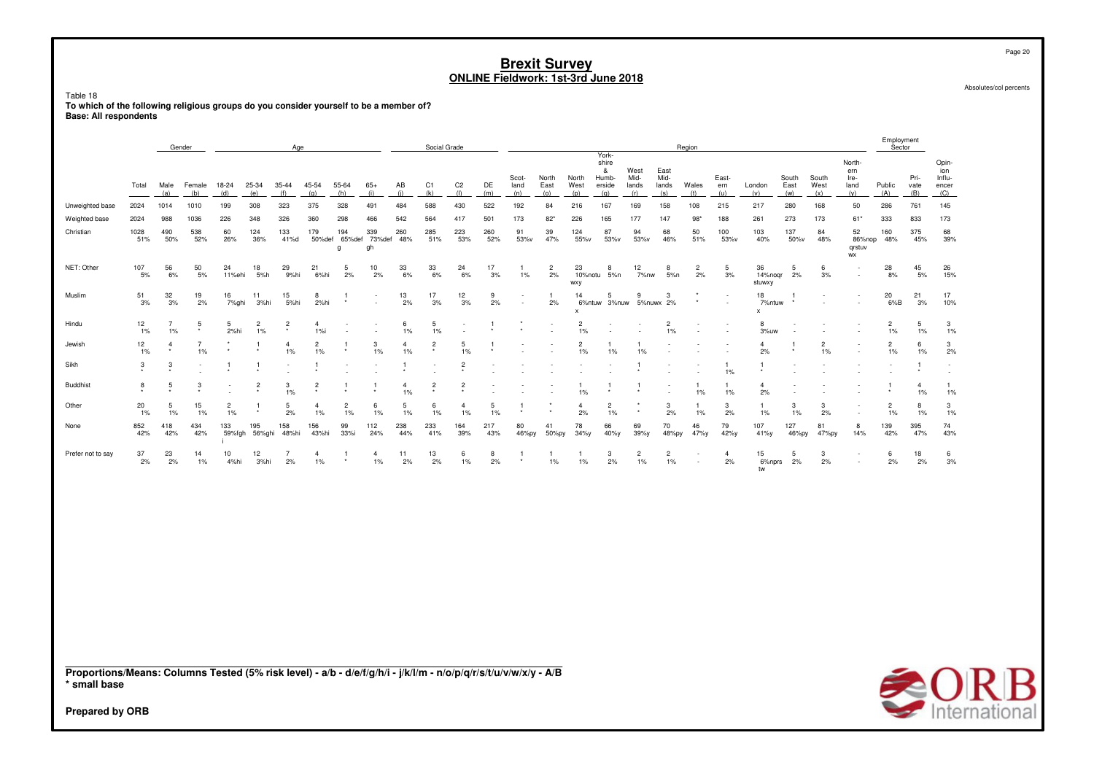Table 18

To which of the following religious groups do you consider yourself to be a member of? **Base: All respondents** 

|                   |             |             | Gender        |               |                      | Aae                       |                      |                    |                          |            | Social Grade              |                          |            |                          |                      |                      | York-                                |                              |                              | Region                             |                     |                              |                      |                      |                                                      | Employment<br>Sector |                     |                                        |
|-------------------|-------------|-------------|---------------|---------------|----------------------|---------------------------|----------------------|--------------------|--------------------------|------------|---------------------------|--------------------------|------------|--------------------------|----------------------|----------------------|--------------------------------------|------------------------------|------------------------------|------------------------------------|---------------------|------------------------------|----------------------|----------------------|------------------------------------------------------|----------------------|---------------------|----------------------------------------|
|                   | Total       | Male<br>(a) | Female<br>(b) | 18-24<br>(d)  | 25-34<br>(e)         | $35 - 44$<br>(f)          | 45-54<br>(g)         | 55-64<br>(h)       | $65+$<br>(i)             | AB<br>(i)  | C <sub>1</sub><br>(k)     | C <sub>2</sub><br>$($  ) | DE<br>(m)  | Scot-<br>land<br>(n)     | North<br>East<br>(0) | North<br>West<br>(p) | shire<br>&<br>Humb-<br>erside<br>(a) | West<br>Mid-<br>lands<br>(r) | East<br>Mid-<br>lands<br>(s) | Wales<br>(t)                       | East-<br>ern<br>(u) | London<br>(v)                | South<br>East<br>(w) | South<br>West<br>(x) | North-<br>ern<br>Ire-<br>land<br>(v)                 | Public<br>(A)        | Pri-<br>vate<br>(B) | Opin-<br>ion<br>Influ-<br>encer<br>(C) |
| Unweighted base   | 2024        | 1014        | 1010          | 199           | 308                  | 323                       | 375                  | 328                | 491                      | 484        | 588                       | 430                      | 522        | 192                      | 84                   | 216                  | 167                                  | 169                          | 158                          | 108                                | 215                 | 217                          | 280                  | 168                  | 50                                                   | 286                  | 761                 | 145                                    |
| Weighted base     | 2024        | 988         | 1036          | 226           | 348                  | 326                       | 360                  | 298                | 466                      | 542        | 564                       | 417                      | 501        | 173                      | $82*$                | 226                  | 165                                  | 177                          | 147                          | $98*$                              | 188                 | 261                          | 273                  | 173                  | $61*$                                                | 333                  | 833                 | 173                                    |
| Christian         | 1028<br>51% | 490<br>50%  | 538<br>52%    | 60<br>26%     | 124<br>36%           | 133<br>41%d               | 179<br>50%def        | 194<br>65%def<br>g | 339<br>73%def<br>gh      | 260<br>48% | 285<br>51%                | 223<br>53%               | 260<br>52% | 91<br>53%v               | 39<br>47%            | 124<br>55%v          | 87<br>53%v                           | 94<br>53%v                   | 68<br>46%                    | 50<br>51%                          | 100<br>53%v         | 103<br>40%                   | 137<br>50%v          | 84<br>48%            | 52<br>86%nop<br>grstuv<br><b>WX</b>                  | 160<br>48%           | 375<br>45%          | 68<br>39%                              |
| NET: Other        | 107<br>5%   | 56<br>6%    | 50<br>5%      | 24<br>11%ehi  | 18<br>5%h            | 29<br>9%hi                | 21<br>6%hi           | 5<br>2%            | 10<br>2%                 | 33<br>6%   | 33<br>6%                  | 24<br>6%                 | 17<br>3%   | $1\%$                    | $\overline{c}$<br>2% | 23<br><b>WXY</b>     | 8<br>10%notu 5%n                     | 12<br>7%nw                   | 8<br>5%n                     | $\overline{2}$<br>2%               | 5<br>3%             | 36<br>14%noar<br>stuwxy      | 5<br>2%              | 6<br>3%              | $\overline{\phantom{a}}$<br>$\overline{\phantom{a}}$ | 28<br>8%             | 45<br>5%            | 26<br>15%                              |
| Muslim            | 51<br>3%    | 32<br>3%    | 19<br>2%      | 16<br>7%ghi   | 11<br>3%hi           | 15<br>5%hi                | 8<br>2%hi            |                    | $\overline{\phantom{a}}$ | 13<br>2%   | 17<br>3%                  | 12<br>3%                 | 9<br>2%    | $\overline{\phantom{a}}$ | 2%                   | 14<br>$\mathbf{x}$   | 5<br>6%ntuw 3%nuw 5%nuwx 2%          | 9                            | 3                            |                                    | $\overline{a}$      | 18<br>7%ntuw<br>$\mathsf{x}$ |                      |                      | $\overline{\phantom{0}}$<br>$\overline{\phantom{a}}$ | 20<br>$6\%B$         | 21<br>3%            | 17<br>10%                              |
| Hindu             | 12<br>1%    | 1%          | 5<br>$\star$  | 5<br>2%hi     | $\overline{c}$<br>1% | $\overline{2}$<br>$\star$ | $\overline{4}$<br>1% |                    |                          | 6<br>1%    | 5<br>1%                   |                          |            |                          | $\sim$               | $\overline{c}$<br>1% |                                      |                              | 2<br>1%                      | $\overline{\phantom{a}}$           |                     | 8<br>3%uw                    |                      |                      |                                                      | $\overline{2}$<br>1% | 5<br>1%             | 3<br>1%                                |
| Jewish            | 12<br>1%    | $\star$     | 1%            |               |                      | $\overline{4}$<br>1%      | $\overline{2}$<br>1% | $\star$            | 3<br>1%                  | 1%         | $\overline{c}$<br>$\star$ | 5<br>1%                  |            |                          |                      | $\overline{c}$<br>1% | 1%                                   | 1%                           |                              |                                    |                     | 4<br>2%                      |                      | $\overline{c}$<br>1% | $\overline{\phantom{a}}$<br>٠                        | $\overline{c}$<br>1% | 6<br>1%             | 3<br>2%                                |
| Sikh              | 3           | 3           |               |               |                      | $\overline{\phantom{a}}$  |                      |                    |                          |            |                           | 2                        |            |                          |                      |                      |                                      |                              |                              | $\overline{\phantom{a}}$           | 1%                  |                              |                      |                      |                                                      |                      |                     |                                        |
| <b>Buddhist</b>   | 8           | 5           | 3             |               | $\overline{c}$       | 3<br>1%                   | $\overline{2}$       |                    |                          | 1%         | $\overline{c}$            | $\overline{c}$           |            |                          |                      | 1%                   |                                      |                              |                              | 1%                                 | 1%                  | 4<br>2%                      |                      |                      |                                                      | $\star$              | 4<br>1%             | 1%                                     |
| Other             | 20<br>1%    | 5<br>1%     | 15<br>1%      | 2<br>1%       | - *                  | 5<br>2%                   | 1%                   | 2<br>1%            | 6<br>1%                  | 1%         | 6<br>1%                   | 1%                       | 5<br>$1\%$ |                          |                      | 4<br>2%              | 1%                                   | $\star$                      | 3<br>2%                      | $1\%$                              | 3<br>2%             | 1%                           | 3<br>1%              | 3<br>2%              | $\overline{\phantom{a}}$<br>$\overline{\phantom{a}}$ | $\overline{2}$<br>1% | 8<br>1%             | 3<br>1%                                |
| None              | 852<br>42%  | 418<br>42%  | 434<br>42%    | 133<br>59%fgh | 195<br>56%ghi        | 158<br>48%hi              | 156<br>43%hi         | 99<br>33%i         | 112<br>24%               | 238<br>44% | 233<br>41%                | 164<br>39%               | 217<br>43% | 80<br>46%py              | 41<br>50%py          | 78<br>$34\%$ y       | 66<br>40%y                           | 69<br>39%y                   | 70<br>48%py                  | 46<br>47%y                         | 79<br>42%y          | 107<br>41%y                  | 127<br>46%py         | 81<br>47%py          | 8<br>14%                                             | 139<br>42%           | 395<br>47%          | 74<br>43%                              |
| Prefer not to say | 37<br>2%    | 23<br>2%    | 14<br>1%      | 10<br>4%hi    | 12<br>3%hi           | 2%                        | 4<br>1%              | $\star$            | 4<br>1%                  | 11<br>2%   | 13<br>2%                  | 6<br>1%                  | 8<br>2%    |                          | 1%                   | $1\%$                | 3<br>2%                              | 2<br>1%                      | $\overline{2}$<br>1%         | $\sim$<br>$\overline{\phantom{a}}$ | 4<br>2%             | 15<br>6%nprs<br>tw           | 5<br>2%              | 3<br>2%              | $\overline{\phantom{a}}$<br>$\overline{\phantom{a}}$ | 6<br>2%              | 18<br>2%            | 6<br>3%                                |
|                   |             |             |               |               |                      |                           |                      |                    |                          |            |                           |                          |            |                          |                      |                      |                                      |                              |                              |                                    |                     |                              |                      |                      |                                                      |                      |                     |                                        |

Proportions/Means: Columns Tested (5% risk level) - a/b - d/e/f/g/h/i - j/k/l/m - n/o/p/q/r/s/t/u/v/w/x/y - A/B \* small base



Page 20

Absolutes/col percents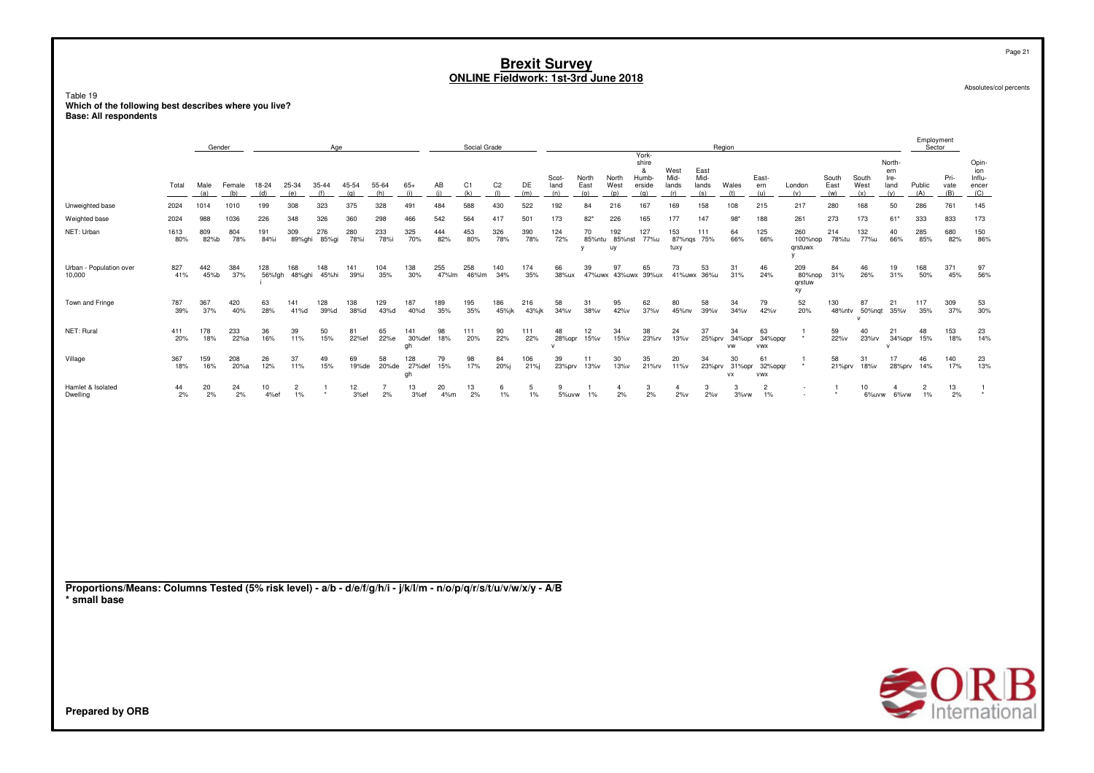Table 19<br>Which of the following best describes where you live?<br>Base: All respondents

|                                                                                                                                 |             | Gender      |               |               |                      | Age                 |              |                      |                           |              | Social Grade |                       |              |                      |                      |                            |                                               |                              |                              | Region          |                                    |                               |                      |                      |                                      | Employment<br>Sector    |                                     |                                        |
|---------------------------------------------------------------------------------------------------------------------------------|-------------|-------------|---------------|---------------|----------------------|---------------------|--------------|----------------------|---------------------------|--------------|--------------|-----------------------|--------------|----------------------|----------------------|----------------------------|-----------------------------------------------|------------------------------|------------------------------|-----------------|------------------------------------|-------------------------------|----------------------|----------------------|--------------------------------------|-------------------------|-------------------------------------|----------------------------------------|
|                                                                                                                                 | Total       | Male<br>(a) | Female<br>(b) | 18-24<br>(d)  | 25-34<br>(e)         | 35-44<br>(f)        | 45-54<br>(g) | 55-64<br>(h)         | $65+$<br>(i)              | AB<br>(i)    | C1<br>(k)    | C <sub>2</sub><br>(1) | DE<br>(m)    | Scot-<br>land<br>(n) | North<br>East<br>(0) | North<br>West<br>(p)       | York-<br>shire<br>&<br>Humb-<br>erside<br>(q) | West<br>Mid-<br>lands<br>(r) | East<br>Mid-<br>lands<br>(s) | Wales<br>(t)    | East-<br>ern<br>(u)                | London<br>(v)                 | South<br>East<br>(w) | South<br>West<br>(x) | North-<br>ern<br>Ire-<br>land<br>(y) | Public<br>(A)           | Pri-<br>vate<br>(B)                 | Opin-<br>ion<br>Influ-<br>encer<br>(C) |
| Unweighted base                                                                                                                 | 2024        | 1014        | 1010          | 199           | 308                  | 323                 | 375          | 328                  | 491                       | 484          | 588          | 430                   | 522          | 192                  | 84                   | 216                        | 167                                           | 169                          | 158                          | 108             | 215                                | 217                           | 280                  | 168                  | 50                                   | 286                     | 761                                 | 145                                    |
| Weighted base                                                                                                                   | 2024        | 988         | 1036          | 226           | 348                  | 326                 | 360          | 298                  | 466                       | 542          | 564          | 417                   | 501          | 173                  | $82*$                | 226                        | 165                                           | 177                          | 147                          | 98'             | 188                                | 261                           | 273                  | 173                  | $61*$                                | 333                     | 833                                 | 173                                    |
| NET: Urban                                                                                                                      | 1613<br>80% | 809<br>82%b | 804<br>78%    | 191<br>84%i   | 309                  | 276<br>89%ghi 85%gi | 280<br>78%i  | 233<br>78%i          | 325<br>70%                | 444<br>82%   | 453<br>80%   | 326<br>78%            | 390<br>78%   | 124<br>72%           | 70<br>у              | 192<br>85%ntu 85%nst<br>uy | 127<br>77%u                                   | 153<br>tuxy                  | 111<br>87%ngs 75%            | 64<br>66%       | 125<br>66%                         | 260<br>100%nop<br>qrstuwx     | 214<br>78%tu         | 132<br>77%u          | 40<br>66%                            | 285<br>85%              | 680<br>82%                          | 150<br>86%                             |
| Urban - Population over<br>10,000                                                                                               | 827<br>41%  | 442<br>45%b | 384<br>37%    | 128<br>56%fgh | 168<br>48%ghi        | 148<br>45%hi        | 141<br>39%i  | 104<br>35%           | 138<br>30%                | 255<br>47%lm | 258<br>46%lm | 140<br>34%            | 174<br>35%   | 66<br>38%ux          | 39                   | 97<br>47%uwx 43%uwx 39%ux  | 65                                            | 73                           | 53<br>41%uwx 36%u            | 31<br>31%       | 46<br>24%                          | 209<br>80%nop<br>qrstuw<br>xy | 84<br>31%            | 46<br>26%            | 19<br>31%                            | 168<br>50%              | 371<br>45%                          | 97<br>56%                              |
| Town and Fringe                                                                                                                 | 787<br>39%  | 367<br>37%  | 420<br>40%    | 63<br>28%     | 141<br>41%d          | 128<br>39%d         | 138<br>38%d  | 129<br>43%d          | 187<br>40%d               | 189<br>35%   | 195<br>35%   | 186<br>45%jk          | 216<br>43%jk | 58<br>34%v           | 31<br>38%v           | 95<br>42%v                 | 62<br>37%v                                    | 80<br>45%nv                  | 58<br>39%v                   | 34<br>34%v      | 79<br>42%v                         | 52<br>20%                     | 130<br>48%ntv        | 87<br>50%nqt         | 21<br>35%v                           | 117<br>35%              | 309<br>37%                          | 53<br>30%                              |
| NET: Rural                                                                                                                      | 411<br>20%  | 178<br>18%  | 233<br>22%a   | 36<br>16%     | 39<br>11%            | 50<br>15%           | 81<br>22%ef  | 65<br>22%e           | 141<br>30%def<br>gh       | 98<br>18%    | 111<br>20%   | 90<br>22%             | 111<br>22%   | 48<br>28%opr<br>v    | 12<br>15%v           | 34<br>15%v                 | 38<br>23%rv                                   | 24<br>13%v                   | 37<br>25%prv                 | 34<br>VW        | 63<br>34%opr 34%opqr<br><b>VWX</b> | -1                            | 59<br>22%v           | 40<br>23%rv          | 21<br>34%opr                         | 48<br>15%               | 153<br>18%                          | 23<br>14%                              |
| Village                                                                                                                         | 367<br>18%  | 159<br>16%  | 208<br>20%a   | 26<br>12%     | 37<br>11%            | 49<br>15%           | 69<br>19%de  | 58                   | 128<br>20%de 27%def<br>gh | 79<br>15%    | 98<br>17%    | 84<br>20%j            | 106<br>21%j  | 39<br>23%prv         | 11<br>13%v           | 30<br>13%v                 | 35<br>21%rv                                   | 20<br>11%v                   | 34<br>23%prv                 | 30<br><b>VX</b> | 61<br>31%opr 32%opgr<br><b>VWX</b> |                               | 58<br>21%prv         | 31<br>18%v           | 17<br>28%prv                         | 46<br>14%               | 140<br>17%                          | 23<br>13%                              |
| Hamlet & Isolated<br>Dwelling                                                                                                   | 44<br>2%    | 20<br>2%    | 24<br>2%      | 10<br>4%ef    | $\overline{2}$<br>1% | -1                  | 12<br>3%ef   | $\overline{7}$<br>2% | 13<br>3%ef                | 20<br>4%m    | 13<br>2%     | 6<br>1%               | 5<br>1%      | 9<br>5%uvw           | 1<br>1%              | $\overline{4}$<br>2%       | 3<br>2%                                       | $\overline{4}$<br>$2\%v$     | 3<br>$2\%v$                  | 3<br>3%vw       | $\overline{2}$<br>1%               | $\overline{\phantom{a}}$      | -1                   | 10<br>6%uvw          | $\overline{4}$<br>6%vw               | $\overline{2}$<br>$1\%$ | 13<br>2%                            | -1                                     |
|                                                                                                                                 |             |             |               |               |                      |                     |              |                      |                           |              |              |                       |              |                      |                      |                            |                                               |                              |                              |                 |                                    |                               |                      |                      |                                      |                         |                                     |                                        |
| Proportions/Means: Columns Tested (5% risk level) - a/b - d/e/f/g/h/i - j/k/l/m - n/o/p/q/r/s/t/u/v/w/x/y - A/B<br>* small base |             |             |               |               |                      |                     |              |                      |                           |              |              |                       |              |                      |                      |                            |                                               |                              |                              |                 |                                    |                               |                      |                      |                                      |                         |                                     |                                        |
| Prepared by ORB                                                                                                                 |             |             |               |               |                      |                     |              |                      |                           |              |              |                       |              |                      |                      |                            |                                               |                              |                              |                 |                                    |                               |                      |                      |                                      |                         | $\bigotimes_{\text{International}}$ |                                        |

Absolutes/col percents

Page 21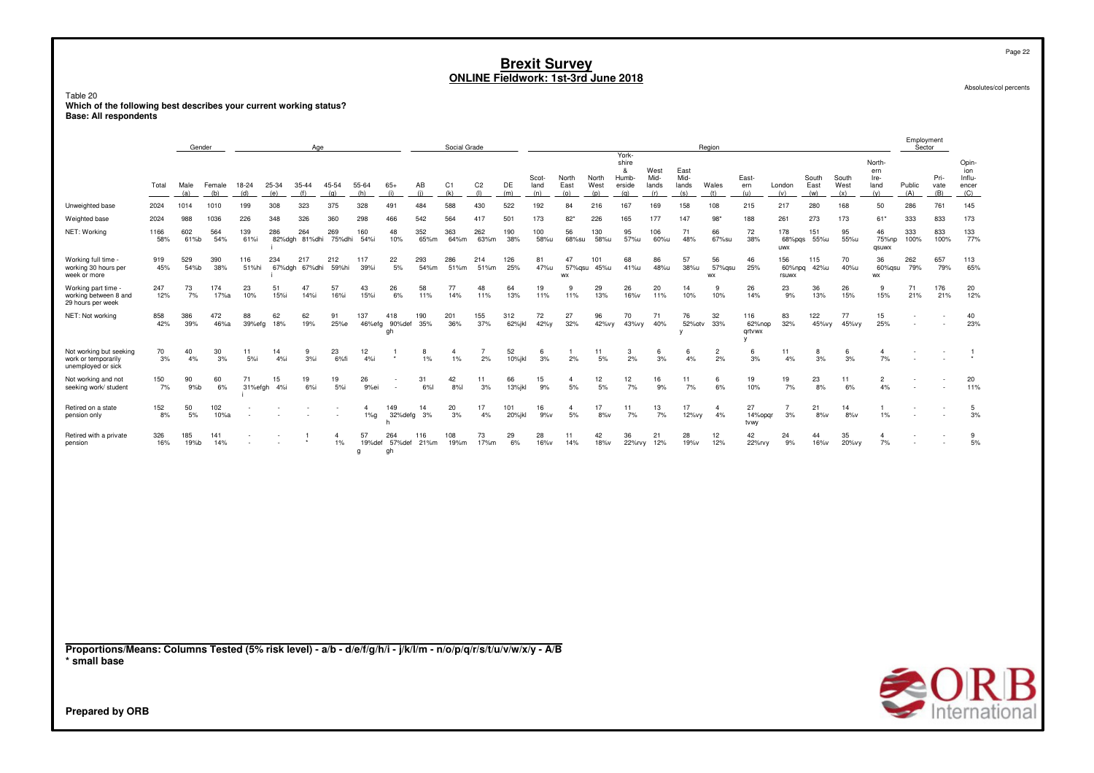Page 22

Absolutes/col percents

## Table 20 **Which of the following best describes your current working status? Base: All respondents**

|                                                                                                                                 |              | Gender      |             |               |            | Age                  |                      |                   |                            |             | Social Grade         |                |               |               |                      |               |                                        |                       |                       | Region               |                                     |                        |               |               |                               | Employment<br>Sector                                 |              |                                 |  |
|---------------------------------------------------------------------------------------------------------------------------------|--------------|-------------|-------------|---------------|------------|----------------------|----------------------|-------------------|----------------------------|-------------|----------------------|----------------|---------------|---------------|----------------------|---------------|----------------------------------------|-----------------------|-----------------------|----------------------|-------------------------------------|------------------------|---------------|---------------|-------------------------------|------------------------------------------------------|--------------|---------------------------------|--|
|                                                                                                                                 | Total        | Male        | Female      | 18-24         | 25-34      | 35-44                | 45-54                | 55-64             | $65+$                      | AB          | C1                   | C <sub>2</sub> | DE            | Scot-<br>land | North<br>East        | North<br>West | York-<br>shire<br>&<br>Humb-<br>erside | West<br>Mid-<br>lands | East<br>Mid-<br>lands | Wales                | East-<br>ern                        | London                 | South<br>East | South<br>West | North-<br>ern<br>Ire-<br>land | Public                                               | Pri-<br>vate | Opin-<br>ion<br>Influ-<br>encer |  |
|                                                                                                                                 |              | (a)         | (b)<br>1010 | (d)           | (e)        | (f)                  | (g)<br>375           | (h)               | (i)                        | (i)         | (k)<br>588           | (1)            | (m)           | (n)           | (0)                  | (p)           | (q)                                    | (r)                   | (s)                   | (t)                  | (u)                                 | (v)                    | (w)           | (x)           | (y)                           | (A)                                                  | (B)          | (C)                             |  |
| Unweighted base<br>Weighted base                                                                                                | 2024<br>2024 | 1014<br>988 | 1036        | 199<br>226    | 308<br>348 | 323<br>326           | 360                  | 328<br>298        | 491<br>466                 | 484<br>542  | 564                  | 430<br>417     | 522<br>501    | 192<br>173    | 84<br>$82*$          | 216<br>226    | 167<br>165                             | 169<br>177            | 158<br>147            | 108<br>$98*$         | 215<br>188                          | 217<br>261             | 280<br>273    | 168<br>173    | 50<br>$61*$                   | 286<br>333                                           | 761<br>833   | 145<br>173                      |  |
| NET: Working                                                                                                                    | 1166         | 602         | 564         | 139           | 286        | 264                  | 269                  | 160               | 48                         | 352         | 363                  | 262            | 190           | 100           | 56                   | 130           | 95                                     | 106                   | 71                    | 66                   | 72                                  | 178                    | 151           | 95            | 46                            | 333                                                  | 833          | 133                             |  |
|                                                                                                                                 | 58%          | 61%b        | 54%         | 61%i          |            | 82%dgh 81%dhi        | 75%dhi               | 54%i              | 10%                        | 65%m        | 64%m                 | 63%m           | 38%           | 58%u          | 68%su                | 58%u          | 57%u                                   | 60%u                  | 48%                   | 67%su                | 38%                                 | 68%pgs<br><b>UWX</b>   | 55%u          | 55%u          | 75%np<br>qsuwx                | 100%                                                 | 100%         | 77%                             |  |
| Working full time -<br>working 30 hours per<br>week or more                                                                     | 919<br>45%   | 529<br>54%b | 390<br>38%  | 116<br>51%hi  | 234        | 217<br>67%dgh 67%dhi | 212<br>59%hi         | 117<br>39%i       | 22<br>5%                   | 293<br>54%m | 286<br>51%m          | 214<br>51%m    | 126<br>25%    | 81<br>47%u    | 47<br>57%qsu<br>WX   | 101<br>45%u   | 68<br>41%u                             | 86<br>48%u            | 57<br>38%u            | 56<br>57%qsu<br>WX   | 46<br>25%                           | 156<br>60%npq<br>rsuwx | 115<br>42%u   | 70<br>40%u    | 36<br>60%gsu<br>WX            | 262<br>79%                                           | 657<br>79%   | 113<br>65%                      |  |
| Working part time<br>working between 8 and<br>29 hours per week                                                                 | 247<br>12%   | 73<br>7%    | 174<br>17%a | 23<br>10%     | 51<br>15%i | 47<br>14%i           | 57<br>16%i           | 43<br>15%i        | 26<br>6%                   | 58<br>11%   | 77<br>14%            | 48<br>11%      | 64<br>13%     | 19<br>11%     | 9<br>11%             | 29<br>13%     | 26<br>16%v                             | 20<br>11%             | 14<br>10%             | 9<br>10%             | 26<br>14%                           | 23<br>9%               | 36<br>13%     | 26<br>15%     | 9<br>15%                      | 71<br>21%                                            | 176<br>21%   | 20<br>12%                       |  |
| NET: Not working                                                                                                                | 858<br>42%   | 386<br>39%  | 472<br>46%a | 88<br>39%efg  | 62<br>18%  | 62<br>19%            | 91<br>25%e           | 137               | 418<br>46%efg 90%def<br>gh | 190<br>35%  | 201<br>36%           | 155<br>37%     | 312<br>62%jkl | 72<br>42%y    | 27<br>32%            | 96<br>42%vy   | 70<br>43%vy                            | 71<br>40%             | 76<br>52%otv<br>v     | 32<br>33%            | 116<br>62%nop<br>qrtvwx<br><b>V</b> | 83<br>32%              | 122<br>45%vy  | 77<br>45%vy   | 15<br>25%                     | $\overline{\phantom{a}}$<br>$\overline{\phantom{a}}$ | ٠            | 40<br>23%                       |  |
| Not working but seeking<br>work or temporarily<br>unemployed or sick                                                            | 70<br>3%     | 40<br>4%    | 30<br>3%    | 11<br>5%      | 14<br>4%i  | 9<br>$3%$ i          | 23<br>6%fi           | 12<br>4%i         |                            | 8<br>1%     | $\overline{4}$<br>1% | 7<br>2%        | 52<br>10%jkl  | 6<br>3%       | 2%                   | 11<br>5%      | 3<br>2%                                | 6<br>3%               | 6<br>4%               | $\overline{2}$<br>2% | 6<br>3%                             | 11<br>4%               | 8<br>3%       | 6<br>3%       | $\overline{4}$<br>7%          | $\overline{\phantom{a}}$                             |              | $\mathbf{1}$                    |  |
| Not working and not<br>seeking work/ student                                                                                    | 150<br>7%    | 90<br>9%b   | 60<br>6%    | 71<br>31%efgh | 15<br>4%i  | 19<br>$6%$ i         | 19<br>5%i            | 26<br>9%ei        |                            | 31<br>6%l   | 42<br>8%             | 11<br>3%       | 66<br>13%jkl  | 15<br>9%      | $\overline{4}$<br>5% | 12<br>5%      | 12<br>7%                               | 16<br>9%              | 11<br>7%              | 6<br>6%              | 19<br>10%                           | 19<br>7%               | 23<br>8%      | 11<br>6%      | $\overline{2}$<br>4%          | $\sim$                                               |              | 20<br>11%                       |  |
| Retired on a state<br>pension only                                                                                              | 152<br>8%    | 50<br>5%    | 102<br>10%a |               |            |                      |                      | 4<br>$1\%g$       | 149<br>32%defg<br>h        | 14<br>3%    | 20<br>3%             | 17<br>4%       | 101<br>20%jkl | 16<br>9%v     | $\overline{4}$<br>5% | 17<br>$8\%v$  | 11<br>7%                               | 13<br>7%              | 17<br>12%vy           | $\overline{4}$<br>4% | 27<br>14%opqr<br>tvwy               | $\overline{7}$<br>3%   | 21<br>8%v     | 14<br>8%v     | $\mathbf{1}$<br>1%            |                                                      |              | 5<br>3%                         |  |
| Retired with a private<br>pension                                                                                               | 326<br>16%   | 185<br>19%b | 141<br>14%  |               |            |                      | $\overline{a}$<br>1% | 57<br>19%def<br>g | 264<br>57%def<br>gh        | 116<br>21%m | 108<br>19%m          | 73<br>17%m     | 29<br>6%      | 28<br>16%v    | 11<br>14%            | 42<br>18%v    | 36<br>22%rvy                           | 21<br>12%             | 28<br>19%v            | 12<br>12%            | 42<br>22%rvy                        | 24<br>9%               | 44<br>16%v    | 35<br>20%vy   | $\overline{4}$<br>7%          |                                                      |              | 9<br>$5%$                       |  |
| Proportions/Means: Columns Tested (5% risk level) - a/b - d/e/f/g/h/i - j/k/l/m - n/o/p/q/r/s/t/u/v/w/x/y - A/B<br>* small base |              |             |             |               |            |                      |                      |                   |                            |             |                      |                |               |               |                      |               |                                        |                       |                       |                      |                                     |                        |               |               |                               |                                                      |              |                                 |  |
|                                                                                                                                 |              |             |             |               |            |                      |                      |                   |                            |             |                      |                |               |               |                      |               |                                        |                       |                       |                      |                                     |                        |               |               |                               |                                                      |              | <b>SORB</b>                     |  |
| Prepared by ORB                                                                                                                 |              |             |             |               |            |                      |                      |                   |                            |             |                      |                |               |               |                      |               |                                        |                       |                       |                      |                                     |                        |               |               |                               |                                                      |              |                                 |  |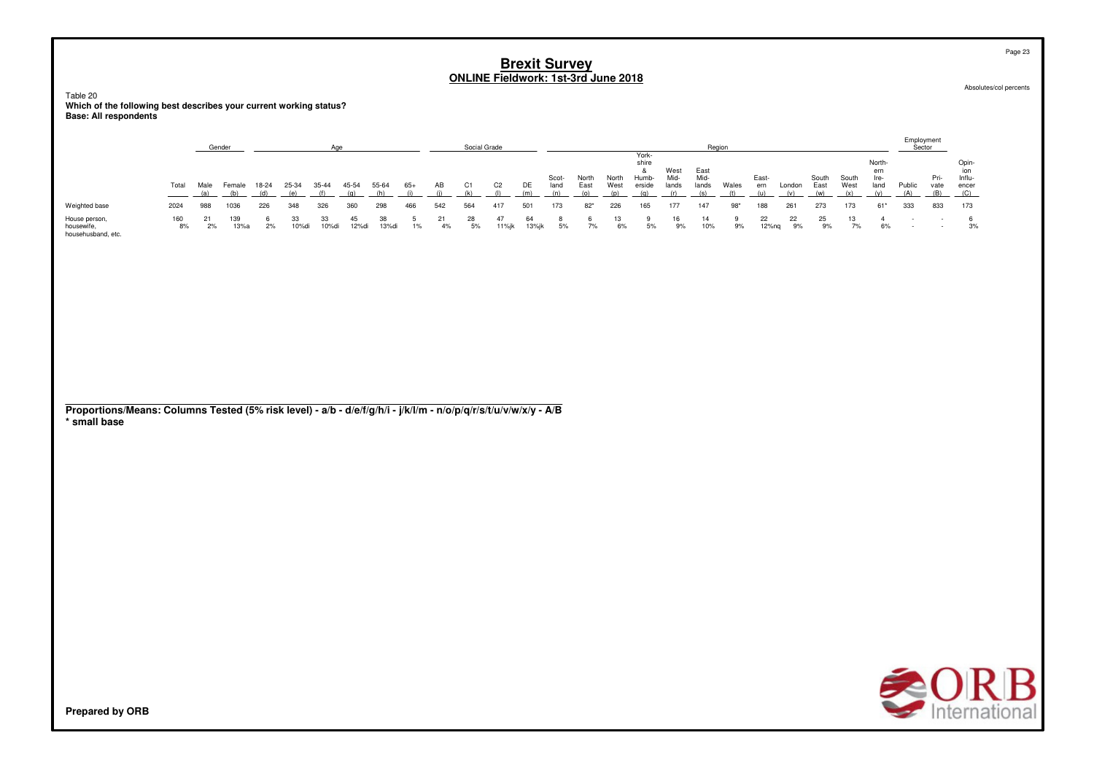Table 20 **Which of the following best describes your current working status?Base: All respondents**

|                                                   |           |      | Gender      |       |             |             |             |             |     |     | Social Grade |                |             |               |               |               |                                   |                       |                       | Region |                |          |               |               |                              | Employment<br>Sector |                     |                                        |
|---------------------------------------------------|-----------|------|-------------|-------|-------------|-------------|-------------|-------------|-----|-----|--------------|----------------|-------------|---------------|---------------|---------------|-----------------------------------|-----------------------|-----------------------|--------|----------------|----------|---------------|---------------|------------------------------|----------------------|---------------------|----------------------------------------|
|                                                   | Total     | Male | Female      | 18-24 | 25-34       | 35-44       | 45-54       | 55-64       | 65+ | AB  | C1           | C <sub>2</sub> | DE          | Scot-<br>land | North<br>East | North<br>West | York-<br>shire<br>Humb-<br>erside | West<br>Mid-<br>lands | East<br>Mid-<br>lands | Wales  | East-<br>ern   | London   | South<br>East | South<br>West | North<br>ern<br>Ire-<br>land | Public               | Pri-<br>vate<br>(B) | Opin-<br>ior<br>Influ-<br>encer<br>(C) |
| Weighted base                                     | 2024      | 988  | 1036        | 226   | 348         | 326         | 360         | 298         | 466 | 542 | 564          | 417            | 501         | 173           | $82*$         | 226           | 165                               | 177                   | 147                   | $98*$  | 188            | 261      | 273           | 173           | $61*$                        | 333                  | 833                 | 173                                    |
| House person,<br>housewife,<br>househusband, etc. | 160<br>8% | 2%   | 139<br>13%a | 2%    | 33<br>10%di | 33<br>10%di | 45<br>12%di | 38<br>13%di | 1%  | 4%  | 28<br>5%     | 11%jk          | 64<br>13%jk | 5%            | 7%            | 6%            | 5%                                | 16<br>9%              | 14<br>10%             | 9%     | 22<br>$12%$ ng | 22<br>9% | 25<br>9%      | 13<br>7%      | 6%                           | $\sim$               |                     | 3%                                     |

| Proportions/Means: Columns Tested (5% risk level) - a/b - d/e/f/g/h/i - j/k/l/m - n/o/p/q/r/s/t/u/v/w/x/y - A/B |  |  |  |  |
|-----------------------------------------------------------------------------------------------------------------|--|--|--|--|
| * small base                                                                                                    |  |  |  |  |



**Prepared by ORB**

Page 23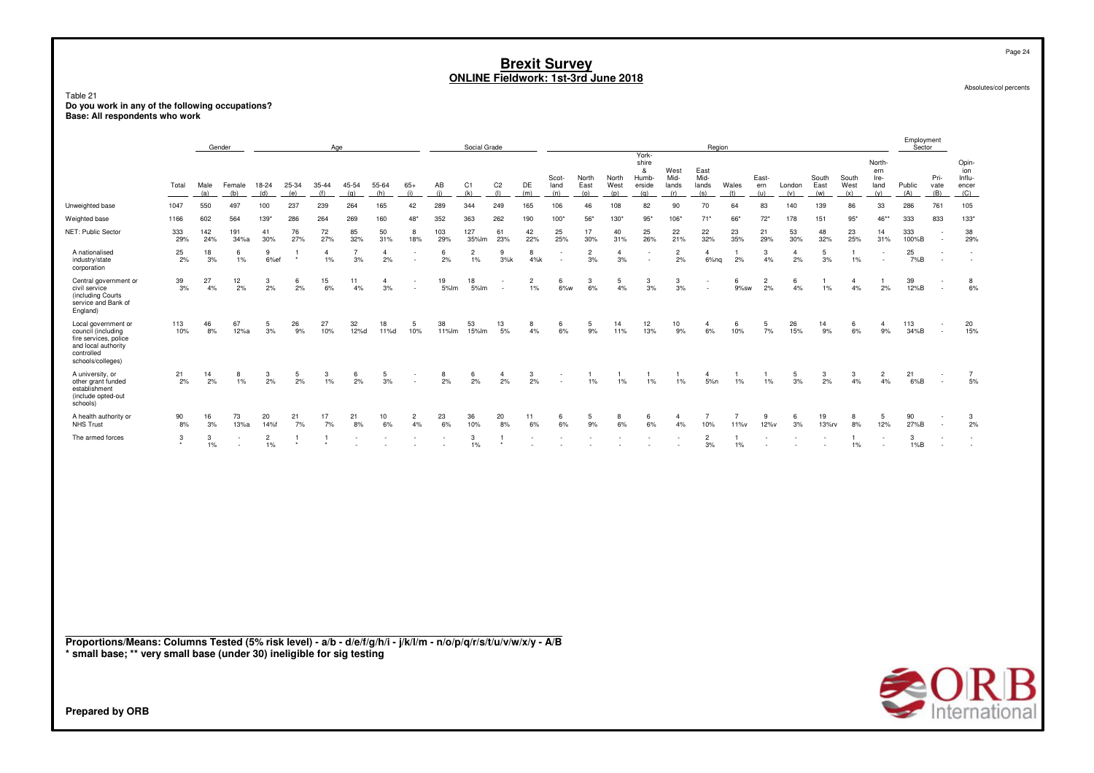| Table 21                                                                                                                     | <b>Brexit Survey</b><br><b>ONLINE Fieldwork: 1st-3rd June 2018</b><br>Do you work in any of the following occupations?                                                                                                                                                                                                                                                                                                                                                                                    |            |                          |                         |           |                         |                      |                      |                                            |                          |                         |                                                      |                                                      |           |                      |                                      | Page 24<br>Absolutes/col percents  |                      |                                                      |                        |                                                      |                      |             |                       |                      |                      |                          |                                                      |
|------------------------------------------------------------------------------------------------------------------------------|-----------------------------------------------------------------------------------------------------------------------------------------------------------------------------------------------------------------------------------------------------------------------------------------------------------------------------------------------------------------------------------------------------------------------------------------------------------------------------------------------------------|------------|--------------------------|-------------------------|-----------|-------------------------|----------------------|----------------------|--------------------------------------------|--------------------------|-------------------------|------------------------------------------------------|------------------------------------------------------|-----------|----------------------|--------------------------------------|------------------------------------|----------------------|------------------------------------------------------|------------------------|------------------------------------------------------|----------------------|-------------|-----------------------|----------------------|----------------------|--------------------------|------------------------------------------------------|
| Base: All respondents who work                                                                                               |                                                                                                                                                                                                                                                                                                                                                                                                                                                                                                           |            |                          |                         |           |                         |                      |                      |                                            |                          |                         |                                                      |                                                      |           |                      |                                      |                                    |                      |                                                      |                        |                                                      |                      |             |                       |                      |                      |                          |                                                      |
|                                                                                                                              |                                                                                                                                                                                                                                                                                                                                                                                                                                                                                                           | Gender     |                          |                         |           | Age                     |                      |                      |                                            |                          | Social Grade            |                                                      |                                                      |           |                      |                                      | York-                              |                      | Region                                               |                        |                                                      |                      |             |                       |                      | Employment<br>Sector |                          |                                                      |
|                                                                                                                              | shire<br>West<br>East<br>&<br>Scot-<br>North<br>Mid-<br>Mid-<br>South<br>South<br>North<br>Humb-<br>East-<br>C <sub>2</sub><br>Total<br>Male<br>18-24<br>45-54<br>55-64<br>$65+$<br>AB<br>C <sub>1</sub><br>DE<br>Wales<br>West<br>Female<br>25-34<br>35-44<br>East<br>West<br>erside<br>lands<br>London<br>East<br>land<br>lands<br>ern<br>(b)<br>(d)<br>(f)<br>(g)<br>(h)<br>(k)<br>(1)<br>(a)<br>(e)<br>(i)<br>(i)<br>(m)<br>(n)<br>(o)<br>(p)<br>(q)<br>(r)<br>(s)<br>(t)<br>(u)<br>(v)<br>(w)<br>(x) |            |                          |                         |           |                         |                      |                      |                                            |                          |                         |                                                      |                                                      |           |                      | North-<br>ern<br>Ire-<br>land<br>(y) | Public<br>(A)                      | Pri-<br>vate<br>(B)  | Opin-<br>ion<br>Influ-<br>encer<br>(C)               |                        |                                                      |                      |             |                       |                      |                      |                          |                                                      |
| Unweighted base                                                                                                              | 550<br>497<br>100<br>237<br>239<br>264<br>165<br>42<br>289<br>344<br>249<br>165<br>106<br>108<br>82<br>90<br>64<br>83<br>140<br>139<br>86<br>33<br>1047<br>46<br>70<br>564<br>264<br>269<br>352<br>363<br>56*<br>$95*$<br>178<br>151<br>$95*$<br>$46**$<br>1166<br>602<br>$139*$<br>286<br>160<br>$48*$<br>262<br>190<br>100"<br>130*<br>106*<br>$71*$<br>66*<br>$72*$                                                                                                                                    |            |                          |                         |           |                         |                      |                      |                                            |                          |                         |                                                      |                                                      |           |                      | 286                                  | 761                                | 105                  |                                                      |                        |                                                      |                      |             |                       |                      |                      |                          |                                                      |
| Weighted base                                                                                                                | 333                                                                                                                                                                                                                                                                                                                                                                                                                                                                                                       |            |                          |                         |           |                         |                      |                      |                                            |                          |                         |                                                      |                                                      |           |                      |                                      | 833                                | $133*$               |                                                      |                        |                                                      |                      |             |                       |                      |                      |                          |                                                      |
| NET: Public Sector                                                                                                           | 333<br>29%                                                                                                                                                                                                                                                                                                                                                                                                                                                                                                | 142<br>24% | 191<br>34%a              | 41<br>30%               | 76<br>27% | 72<br>27%               | 85<br>32%            | 50<br>31%            | 8<br>18%                                   | 103<br>29%               | 127<br>35%lm            | 61<br>23%                                            | 42<br>22%                                            | 25<br>25% | 17<br>30%            | 40<br>31%                            | 25<br>26%                          | 22<br>21%            | 22<br>32%                                            | 23<br>35%              | 21<br>29%                                            | 53<br>30%            | 48<br>32%   | 23<br>25%             | 14<br>31%            | 333<br>100%B         |                          | 38<br>29%                                            |
| A nationalised<br>industry/state<br>corporation                                                                              | 25<br>2%                                                                                                                                                                                                                                                                                                                                                                                                                                                                                                  | 18<br>3%   | 6<br>1%                  | 9<br>6%ef               |           | $\overline{4}$<br>$1\%$ | $\overline{7}$<br>3% | $\overline{4}$<br>2% | $\overline{\phantom{a}}$                   | 6<br>2%                  | $\overline{2}$<br>$1\%$ | 9<br>3%k                                             | 8<br>4%k                                             |           | $\overline{2}$<br>3% | $\overline{4}$<br>3%                 | $\overline{\phantom{a}}$           | $\overline{2}$<br>2% | $\overline{4}$<br>6%nq                               | 1<br>2%                | 3<br>4%                                              | $\overline{4}$<br>2% | 5<br>3%     | $\mathbf{1}$<br>$1\%$ |                      | 25<br>7%B            |                          | $\overline{\phantom{a}}$<br>$\overline{\phantom{a}}$ |
| Central government or<br>civil service<br>(including Courts<br>service and Bank of<br>England)                               | 39<br>3%                                                                                                                                                                                                                                                                                                                                                                                                                                                                                                  | 27<br>4%   | 12<br>2%                 | 3<br>2%                 | 6<br>2%   | 15<br>6%                | 11<br>4%             | $\overline{4}$<br>3% | $\overline{\phantom{a}}$<br>$\overline{a}$ | 19<br>5%lm               | 18<br>5%lm              | $\overline{\phantom{a}}$<br>$\overline{\phantom{a}}$ | $\overline{2}$<br>$1\%$                              | 6<br>6%w  | 3<br>6%              | 5<br>4%                              | 3<br>3%                            | 3<br>3%              | $\overline{\phantom{a}}$<br>$\overline{\phantom{a}}$ | 6<br>9%sw              | $\overline{2}$<br>2%                                 | 6<br>4%              | -1<br>1%    | $\mathbf{4}$<br>4%    | -1<br>2%             | 39<br>12%B           |                          | 8<br>6%                                              |
| Local government or<br>council (including<br>fire services, police<br>and local authority<br>controlled<br>schools/colleges) | 113<br>10%                                                                                                                                                                                                                                                                                                                                                                                                                                                                                                | 46<br>8%   | 67<br>12%a               | 5<br>3%                 | 26<br>9%  | 27<br>10%               | 32<br>12%d           | 18<br>11%d           | 5<br>10%                                   | 38<br>11%lm              | 53<br>15%lm             | 13<br>5%                                             | 8<br>4%                                              | 6<br>6%   | 5<br>9%              | 14<br>11%                            | 12<br>13%                          | 10<br>9%             | $\overline{4}$<br>6%                                 | 6<br>10%               | 5<br>7%                                              | 26<br>15%            | 14<br>9%    | 6<br>6%               | $\overline{4}$<br>9% | 113<br>34%B          | $\overline{\phantom{a}}$ | 20<br>15%                                            |
| A university, or<br>other grant funded<br>establishment<br>(include opted-out<br>schools)                                    | 21<br>2%                                                                                                                                                                                                                                                                                                                                                                                                                                                                                                  | 14<br>2%   | 8<br>1%                  | 3<br>2%                 | 5<br>2%   | 3<br>$1\%$              | 6<br>2%              | 5<br>3%              | $\overline{a}$                             | 8<br>2%                  | 6<br>2%                 | $\mathbf{A}$<br>2%                                   | 3<br>2%                                              |           | 1<br>1%              | -1<br>$1\%$                          | 1<br>$1\%$                         | -1<br>1%             | $\overline{4}$<br>5%n                                | $1\%$                  | -1<br>1%                                             | 5<br>3%              | 3<br>2%     | 3<br>4%               | $\overline{2}$<br>4% | 21<br>6%B            |                          | $\overline{7}$<br>$5%$                               |
| A health authority or<br>NHS Trust                                                                                           | 90<br>8%                                                                                                                                                                                                                                                                                                                                                                                                                                                                                                  | 16<br>3%   | 73<br>13%a               | 20<br>14%f              | 21<br>7%  | 17<br>7%                | 21<br>8%             | 10<br>6%             | $\overline{c}$<br>4%                       | 23<br>6%                 | 36<br>10%               | 20<br>8%                                             | 11<br>6%                                             | 6<br>6%   | 5<br>9%              | 8<br>6%                              | 6<br>6%                            | $\mathbf{A}$<br>4%   | $\overline{7}$<br>10%                                | $\overline{7}$<br>11%v | 9<br>12%v                                            | 6<br>3%              | 19<br>13%rv | 8<br>8%               | 5<br>12%             | 90<br>27%B           |                          | 3<br>2%                                              |
| The armed forces                                                                                                             | 3                                                                                                                                                                                                                                                                                                                                                                                                                                                                                                         | 3<br>$1\%$ | $\overline{\phantom{a}}$ | $\overline{2}$<br>$1\%$ |           | -1                      |                      |                      | $\overline{\phantom{a}}$                   | $\overline{\phantom{a}}$ | 3<br>$1\%$              | 1                                                    | $\overline{\phantom{a}}$<br>$\overline{\phantom{a}}$ |           |                      |                                      | $\overline{\phantom{a}}$<br>$\sim$ |                      | $\overline{2}$<br>3%                                 | $\mathbf{1}$<br>$1\%$  | $\overline{\phantom{a}}$<br>$\overline{\phantom{a}}$ |                      |             | $\mathbf{1}$<br>1%    | $\sim$               | 3<br>1%B             |                          | $\sim$                                               |
|                                                                                                                              |                                                                                                                                                                                                                                                                                                                                                                                                                                                                                                           |            |                          |                         |           |                         |                      |                      |                                            |                          |                         |                                                      |                                                      |           |                      |                                      |                                    |                      |                                                      |                        |                                                      |                      |             |                       |                      |                      |                          |                                                      |
|                                                                                                                              |                                                                                                                                                                                                                                                                                                                                                                                                                                                                                                           |            |                          |                         |           |                         |                      |                      |                                            |                          |                         |                                                      |                                                      |           |                      |                                      |                                    |                      |                                                      |                        |                                                      |                      |             |                       |                      |                      |                          |                                                      |
|                                                                                                                              |                                                                                                                                                                                                                                                                                                                                                                                                                                                                                                           |            |                          |                         |           |                         |                      |                      |                                            |                          |                         |                                                      |                                                      |           |                      |                                      |                                    |                      |                                                      |                        |                                                      |                      |             |                       |                      |                      |                          |                                                      |
|                                                                                                                              |                                                                                                                                                                                                                                                                                                                                                                                                                                                                                                           |            |                          |                         |           |                         |                      |                      |                                            |                          |                         |                                                      |                                                      |           |                      |                                      |                                    |                      |                                                      |                        |                                                      |                      |             |                       |                      |                      |                          |                                                      |

**Proportions/Means: Columns Tested (5% risk level) - a/b - d/e/f/g/h/i - j/k/l/m - n/o/p/q/r/s/t/u/v/w/x/y - A/B\* small base; \*\* very small base (under 30) ineligible for sig testing**

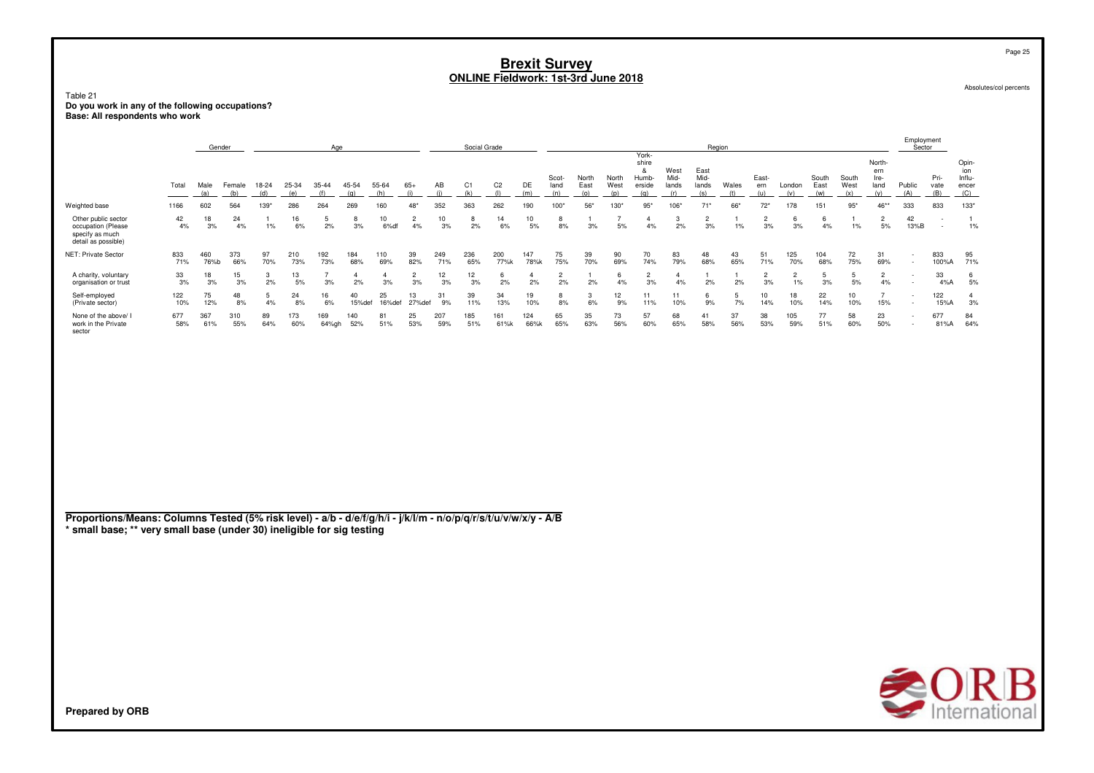Table 21**Do you work in any of the following occupations? Base: All respondents who work**

| York-<br>Opin-<br>shire<br>North-<br>&<br>West<br>East<br>ion<br>ern<br>Mid-<br>Mid-<br>East-<br>South<br>Pri-<br>Influ-<br>Scot-<br>North<br>North<br>Humb-<br>South<br>Ire-<br>Total<br>$65+$<br>C <sub>2</sub><br>DE<br>Male<br>Female<br>18-24<br>25-34<br>35-44<br>45-54<br>55-64<br>AB<br>C1<br>East<br>West<br>erside<br>lands<br>lands<br>Wales<br>East<br>West<br>Public<br>land<br>London<br>land<br>vate<br>ern<br>encer<br>(d)<br>(h)<br>(i)<br>(k)<br>(1)<br>(B)<br>(a)<br>(b)<br>(e)<br>(f)<br>(q)<br>(i)<br>(m)<br>(n)<br>(o)<br>(p)<br>(q)<br>(r)<br>(s)<br>(t)<br>(u)<br>(v)<br>(w)<br>(x)<br>(y)<br>(A)<br>(C)<br>Weighted base<br>1166<br>602<br>564<br>$139*$<br>286<br>264<br>269<br>160<br>$48*$<br>352<br>363<br>262<br>190<br>100*<br>56*<br>130*<br>$95*$<br>106*<br>$71*$<br>66*<br>$72*$<br>178<br>151<br>$95*$<br>46**<br>333<br>833<br>133*<br>Other public sector<br>42<br>5<br>10<br>$\overline{2}$<br>14<br>3<br>$\overline{2}$<br>$\overline{2}$<br>$\overline{2}$<br>42<br>18<br>24<br>16<br>10<br>8<br>10<br>8<br>$\overline{7}$<br>6<br>$\overline{1}$<br>$\overline{1}$<br>8<br>$\overline{1}$<br>$\overline{4}$<br>6<br>$\mathbf{1}$<br>-1<br>$\overline{\phantom{a}}$<br>2%<br>3%<br>6%<br>3%<br>3%<br>5%<br>1%<br>occupation (Please<br>4%<br>3%<br>4%<br>1%<br>6%<br>3%<br>6%df<br>4%<br>2%<br>5%<br>8%<br>5%<br>4%<br>2%<br>$1\%$<br>3%<br>3%<br>4%<br>1%<br>13%B<br>specify as much<br>detail as possible)<br>75<br>72<br>NET: Private Sector<br>833<br>373<br>97<br>210<br>192<br>184<br>39<br>249<br>236<br>200<br>147<br>39<br>90<br>70<br>83<br>43<br>51<br>125<br>833<br>95<br>460<br>110<br>48<br>104<br>31<br>70%<br>71%<br>65%<br>77%k<br>75%<br>70%<br>79%<br>68%<br>65%<br>75%<br>71%<br>71%<br>76%b<br>66%<br>73%<br>73%<br>68%<br>69%<br>82%<br>78%k<br>69%<br>74%<br>71%<br>70%<br>68%<br>69%<br>100%A<br>$\sim$<br>33<br>33<br>A charity, voluntary<br>18<br>15<br>13<br>$\overline{7}$<br>$\overline{2}$<br>12<br>12<br>6<br>$\overline{2}$<br>6<br>$\overline{c}$<br>$\overline{c}$<br>5<br>$\overline{c}$<br>6<br>3<br>$\mathbf{4}$<br>4<br>$\overline{1}$<br>$\overline{2}$<br>$\overline{4}$<br>5<br>$\mathbf{1}$<br>$\overline{4}$<br>-1<br>$\overline{\phantom{a}}$<br>3%<br>2%<br>3%<br>2%<br>3%<br>2%<br>3%<br>3%<br>5%<br>organisation or trust<br>3%<br>3%<br>5%<br>3%<br>3%<br>3%<br>3%<br>2%<br>2%<br>2%<br>2%<br>4%<br>4%<br>2%<br>1%<br>4%<br>4%A<br>5%<br>$\overline{\phantom{a}}$<br>75<br>25<br>Self-employed<br>122<br>48<br>24<br>40<br>13<br>31<br>39<br>34<br>19<br>3<br>12<br>11<br>11<br>5<br>10<br>18<br>22<br>10<br>$\overline{7}$<br>122<br>-5<br>16<br>6<br>$\mathbf{4}$<br>8<br>$\overline{\phantom{a}}$<br>13%<br>7%<br>15%<br>3%<br>(Private sector)<br>10%<br>12%<br>8%<br>4%<br>8%<br>6%<br>15%def<br>16%def<br>27%def<br>9%<br>11%<br>10%<br>8%<br>6%<br>9%<br>11%<br>10%<br>9%<br>14%<br>10%<br>14%<br>10%<br>15%A<br>$\overline{a}$<br>57<br>None of the above/<br>677<br>367<br>310<br>89<br>173<br>169<br>140<br>81<br>25<br>207<br>185<br>161<br>124<br>65<br>35<br>73<br>68<br>37<br>38<br>105<br>77<br>58<br>23<br>677<br>84<br>41<br>$\overline{\phantom{a}}$<br>63%<br>65%<br>56%<br>53%<br>60%<br>50%<br>64%<br>work in the Private<br>58%<br>61%<br>55%<br>64%<br>60%<br>64%gh<br>52%<br>51%<br>53%<br>59%<br>51%<br>61%k<br>66%k<br>65%<br>56%<br>60%<br>58%<br>59%<br>51%<br>81%A<br>$\overline{\phantom{a}}$<br>sector<br>Proportions/Means: Columns Tested (5% risk level) - a/b - d/e/f/g/h/i - j/k/l/m - n/o/p/q/r/s/t/u/v/w/x/y - A/B<br>* small base; ** very small base (under 30) ineligible for sig testing | Gender<br>Age |  |  |  |  |  |  |  |  |  | Social Grade |  |  |  |  | Region |  |  | Employment<br>Sector |  |
|------------------------------------------------------------------------------------------------------------------------------------------------------------------------------------------------------------------------------------------------------------------------------------------------------------------------------------------------------------------------------------------------------------------------------------------------------------------------------------------------------------------------------------------------------------------------------------------------------------------------------------------------------------------------------------------------------------------------------------------------------------------------------------------------------------------------------------------------------------------------------------------------------------------------------------------------------------------------------------------------------------------------------------------------------------------------------------------------------------------------------------------------------------------------------------------------------------------------------------------------------------------------------------------------------------------------------------------------------------------------------------------------------------------------------------------------------------------------------------------------------------------------------------------------------------------------------------------------------------------------------------------------------------------------------------------------------------------------------------------------------------------------------------------------------------------------------------------------------------------------------------------------------------------------------------------------------------------------------------------------------------------------------------------------------------------------------------------------------------------------------------------------------------------------------------------------------------------------------------------------------------------------------------------------------------------------------------------------------------------------------------------------------------------------------------------------------------------------------------------------------------------------------------------------------------------------------------------------------------------------------------------------------------------------------------------------------------------------------------------------------------------------------------------------------------------------------------------------------------------------------------------------------------------------------------------------------------------------------------------------------------------------------------------------------------------------------------------------------------------------------------------------------------------------------------------------------------------------------------------------------------------------------------------------------------------------------------------------------------------------------------------------------------------------------------------------------------------------------------------------------------------------------------------------------------------------------------------------------------------------------|---------------|--|--|--|--|--|--|--|--|--|--------------|--|--|--|--|--------|--|--|----------------------|--|
|                                                                                                                                                                                                                                                                                                                                                                                                                                                                                                                                                                                                                                                                                                                                                                                                                                                                                                                                                                                                                                                                                                                                                                                                                                                                                                                                                                                                                                                                                                                                                                                                                                                                                                                                                                                                                                                                                                                                                                                                                                                                                                                                                                                                                                                                                                                                                                                                                                                                                                                                                                                                                                                                                                                                                                                                                                                                                                                                                                                                                                                                                                                                                                                                                                                                                                                                                                                                                                                                                                                                                                                                                              |               |  |  |  |  |  |  |  |  |  |              |  |  |  |  |        |  |  |                      |  |
|                                                                                                                                                                                                                                                                                                                                                                                                                                                                                                                                                                                                                                                                                                                                                                                                                                                                                                                                                                                                                                                                                                                                                                                                                                                                                                                                                                                                                                                                                                                                                                                                                                                                                                                                                                                                                                                                                                                                                                                                                                                                                                                                                                                                                                                                                                                                                                                                                                                                                                                                                                                                                                                                                                                                                                                                                                                                                                                                                                                                                                                                                                                                                                                                                                                                                                                                                                                                                                                                                                                                                                                                                              |               |  |  |  |  |  |  |  |  |  |              |  |  |  |  |        |  |  |                      |  |
|                                                                                                                                                                                                                                                                                                                                                                                                                                                                                                                                                                                                                                                                                                                                                                                                                                                                                                                                                                                                                                                                                                                                                                                                                                                                                                                                                                                                                                                                                                                                                                                                                                                                                                                                                                                                                                                                                                                                                                                                                                                                                                                                                                                                                                                                                                                                                                                                                                                                                                                                                                                                                                                                                                                                                                                                                                                                                                                                                                                                                                                                                                                                                                                                                                                                                                                                                                                                                                                                                                                                                                                                                              |               |  |  |  |  |  |  |  |  |  |              |  |  |  |  |        |  |  |                      |  |
|                                                                                                                                                                                                                                                                                                                                                                                                                                                                                                                                                                                                                                                                                                                                                                                                                                                                                                                                                                                                                                                                                                                                                                                                                                                                                                                                                                                                                                                                                                                                                                                                                                                                                                                                                                                                                                                                                                                                                                                                                                                                                                                                                                                                                                                                                                                                                                                                                                                                                                                                                                                                                                                                                                                                                                                                                                                                                                                                                                                                                                                                                                                                                                                                                                                                                                                                                                                                                                                                                                                                                                                                                              |               |  |  |  |  |  |  |  |  |  |              |  |  |  |  |        |  |  |                      |  |
|                                                                                                                                                                                                                                                                                                                                                                                                                                                                                                                                                                                                                                                                                                                                                                                                                                                                                                                                                                                                                                                                                                                                                                                                                                                                                                                                                                                                                                                                                                                                                                                                                                                                                                                                                                                                                                                                                                                                                                                                                                                                                                                                                                                                                                                                                                                                                                                                                                                                                                                                                                                                                                                                                                                                                                                                                                                                                                                                                                                                                                                                                                                                                                                                                                                                                                                                                                                                                                                                                                                                                                                                                              |               |  |  |  |  |  |  |  |  |  |              |  |  |  |  |        |  |  |                      |  |
|                                                                                                                                                                                                                                                                                                                                                                                                                                                                                                                                                                                                                                                                                                                                                                                                                                                                                                                                                                                                                                                                                                                                                                                                                                                                                                                                                                                                                                                                                                                                                                                                                                                                                                                                                                                                                                                                                                                                                                                                                                                                                                                                                                                                                                                                                                                                                                                                                                                                                                                                                                                                                                                                                                                                                                                                                                                                                                                                                                                                                                                                                                                                                                                                                                                                                                                                                                                                                                                                                                                                                                                                                              |               |  |  |  |  |  |  |  |  |  |              |  |  |  |  |        |  |  |                      |  |
|                                                                                                                                                                                                                                                                                                                                                                                                                                                                                                                                                                                                                                                                                                                                                                                                                                                                                                                                                                                                                                                                                                                                                                                                                                                                                                                                                                                                                                                                                                                                                                                                                                                                                                                                                                                                                                                                                                                                                                                                                                                                                                                                                                                                                                                                                                                                                                                                                                                                                                                                                                                                                                                                                                                                                                                                                                                                                                                                                                                                                                                                                                                                                                                                                                                                                                                                                                                                                                                                                                                                                                                                                              |               |  |  |  |  |  |  |  |  |  |              |  |  |  |  |        |  |  |                      |  |
|                                                                                                                                                                                                                                                                                                                                                                                                                                                                                                                                                                                                                                                                                                                                                                                                                                                                                                                                                                                                                                                                                                                                                                                                                                                                                                                                                                                                                                                                                                                                                                                                                                                                                                                                                                                                                                                                                                                                                                                                                                                                                                                                                                                                                                                                                                                                                                                                                                                                                                                                                                                                                                                                                                                                                                                                                                                                                                                                                                                                                                                                                                                                                                                                                                                                                                                                                                                                                                                                                                                                                                                                                              |               |  |  |  |  |  |  |  |  |  |              |  |  |  |  |        |  |  |                      |  |



Absolutes/col percents

Page 25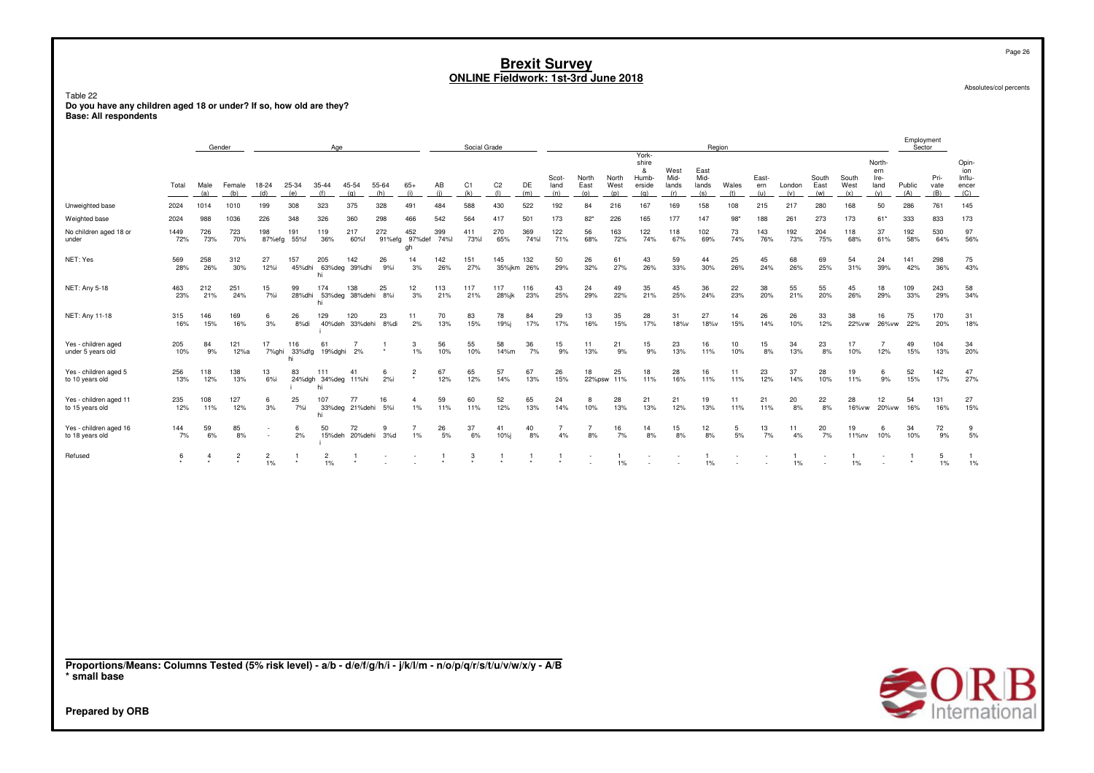Page 26

Absolutes/col percents

# Table 22<br>Do you have any children aged 18 or under? If so, how old are they?<br>Base: All respondents

|                                                                                                                                 |             |                | Gender         |                         |                     | Age                              |                             |              |                            |             | Social Grade |                          |                   |                      |                      |                       |                                               |                              | Region                       |              |                     |                    |                      |                      |                                      | Employment<br>Sector |                     |                                        |
|---------------------------------------------------------------------------------------------------------------------------------|-------------|----------------|----------------|-------------------------|---------------------|----------------------------------|-----------------------------|--------------|----------------------------|-------------|--------------|--------------------------|-------------------|----------------------|----------------------|-----------------------|-----------------------------------------------|------------------------------|------------------------------|--------------|---------------------|--------------------|----------------------|----------------------|--------------------------------------|----------------------|---------------------|----------------------------------------|
|                                                                                                                                 | Total       | Male<br>(a)    | Female<br>(b)  | 18-24<br>(d)            | 25-34<br>(e)        | 35-44<br>(f)                     | 45-54<br>(g)                | 55-64<br>(h) | $65+$<br>(i)               | AB<br>(i)   | C1<br>(k)    | C <sub>2</sub><br>$($  ) | DE<br>(m)         | Scot-<br>land<br>(n) | North<br>East<br>(0) | North<br>West<br>(p)  | York-<br>shire<br>&<br>Humb-<br>erside<br>(q) | West<br>Mid-<br>lands<br>(r) | East<br>Mid-<br>lands<br>(s) | Wales<br>(t) | East-<br>ern<br>(u) | London<br>(v)      | South<br>East<br>(w) | South<br>West<br>(x) | North-<br>ern<br>Ire-<br>land<br>(y) | Public<br>(A)        | Pri-<br>vate<br>(B) | Opin-<br>ion<br>Influ-<br>encer<br>(C) |
| Unweighted base                                                                                                                 | 2024        | 1014           | 1010           | 199                     | 308                 | 323                              | 375                         | 328          | 491                        | 484         | 588          | 430                      | 522               | 192                  | 84                   | 216                   | 167                                           | 169                          | 158                          | 108          | 215                 | 217                | 280                  | 168                  | 50                                   | 286                  | 761                 | 145                                    |
| Weighted base                                                                                                                   | 2024        | 988            | 1036           | 226                     | 348                 | 326                              | 360                         | 298          | 466                        | 542         | 564          | 417                      | 501               | 173                  | 82'                  | 226                   | 165                                           | 177                          | 147                          | 98'          | 188                 | 261                | 273                  | 173                  | $61*$                                | 333                  | 833                 | 173                                    |
| No children aged 18 or<br>under                                                                                                 | 1449<br>72% | 726<br>73%     | 723<br>70%     | 198<br>87%efg           | 191<br>55%f         | 119<br>36%                       | 217<br>60%f                 | 272          | 452<br>91%efg 97%def<br>gh | 399<br>74%l | 411<br>73%l  | 270<br>65%               | 369<br>74%        | 122<br>71%           | 56<br>68%            | 163<br>72%            | 122<br>74%                                    | 118<br>67%                   | 102<br>69%                   | 73<br>74%    | 143<br>76%          | 192<br>73%         | 204<br>75%           | 118<br>68%           | 37<br>61%                            | 192<br>58%           | 530<br>64%          | 97<br>56%                              |
| NET: Yes                                                                                                                        | 569<br>28%  | 258<br>26%     | 312<br>30%     | 27<br>12%i              | 157                 | 205<br>hi                        | 142<br>45%dhi 63%deg 39%dhi | 26<br>9%i    | 14<br>3%                   | 142<br>26%  | 151<br>27%   | 145                      | 132<br>35%jkm 26% | 50<br>29%            | 26<br>32%            | 61<br>27%             | 43<br>26%                                     | 59<br>33%                    | 44<br>30%                    | 25<br>26%    | 45<br>24%           | 68<br>26%          | 69<br>25%            | 54<br>31%            | 24<br>39%                            | 141<br>42%           | 298<br>36%          | 75<br>43%                              |
| NET: Any 5-18                                                                                                                   | 463<br>23%  | 212<br>21%     | 251<br>24%     | 15<br>7%i               | 99<br>28%dhi        | 174<br>hi                        | 138<br>53%deg 38%dehi       | 25<br>8%i    | 12<br>3%                   | 113<br>21%  | 117<br>21%   | 117<br>28%jk             | 116<br>23%        | 43<br>25%            | 24<br>29%            | 49<br>22%             | 35<br>21%                                     | 45<br>25%                    | 36<br>24%                    | 22<br>23%    | 38<br>20%           | 55<br>21%          | 55<br>20%            | 45<br>26%            | 18<br>29%                            | 109<br>33%           | 243<br>29%          | 58<br>34%                              |
| NET: Any 11-18                                                                                                                  | 315<br>16%  | 146<br>15%     | 169<br>16%     | 6<br>3%                 | 26<br>8%di          | 129                              | 120<br>40%deh 33%dehi 8%di  | 23           | 11<br>2%                   | 70<br>13%   | 83<br>15%    | 78<br>19%i               | 84<br>17%         | 29<br>17%            | 13<br>16%            | 35<br>15%             | 28<br>17%                                     | 31<br>18%v                   | 27<br>18%v                   | 14<br>15%    | 26<br>14%           | 26<br>10%          | 33<br>12%            | 38<br>22%vw          | 16<br>26% vw                         | 75<br>22%            | 170<br>20%          | 31<br>18%                              |
| Yes - children aged<br>under 5 years old                                                                                        | 205<br>10%  | 84<br>9%       | 121<br>12%a    | 17<br>7%ghi             | 116<br>33%dfg<br>hi | 61<br>19%dghi                    | $\overline{7}$<br>2%        | -1           | 3<br>1%                    | 56<br>10%   | 55<br>10%    | 58<br>14%m               | 36<br>7%          | 15<br>9%             | 11<br>13%            | 21<br>9%              | 15<br>9%                                      | 23<br>13%                    | 16<br>11%                    | 10<br>10%    | 15<br>8%            | 34<br>13%          | 23<br>8%             | 17<br>10%            | $\overline{7}$<br>12%                | 49<br>15%            | 104<br>13%          | 34<br>20%                              |
| Yes - children aged 5<br>to 10 years old                                                                                        | 256<br>13%  | 118<br>12%     | 138<br>13%     | 13<br>$6%$ i            | 83                  | 111<br>24%dgh 34%deg 11%hi<br>hi | 41                          | -6<br>2%i    | $\overline{2}$             | 67<br>12%   | 65<br>12%    | 57<br>14%                | 67<br>13%         | 26<br>15%            | 18<br>22%psw         | 25<br>11%             | 18<br>11%                                     | 28<br>16%                    | 16<br>11%                    | 11<br>11%    | 23<br>12%           | 37<br>14%          | 28<br>10%            | 19<br>11%            | 6<br>9%                              | 52<br>15%            | 142<br>17%          | 47<br>27%                              |
| Yes - children aged 11<br>to 15 years old                                                                                       | 235<br>12%  | 108<br>11%     | 127<br>12%     | 6<br>3%                 | 25<br>7%i           | 107<br>hi                        | 77<br>33%deg 21%dehi 5%i    | 16           | $\mathbf{4}$<br>1%         | 59<br>11%   | 60<br>11%    | 52<br>12%                | 65<br>13%         | 24<br>14%            | $\mathbf{g}$<br>10%  | 28<br>13%             | 21<br>13%                                     | 21<br>12%                    | 19<br>13%                    | 11<br>11%    | 21<br>11%           | 20<br>8%           | 22<br>8%             | 28<br>16%vw          | 12<br>20% vw                         | 54<br>16%            | 131<br>16%          | 27<br>15%                              |
| Yes - children aged 16<br>to 18 years old                                                                                       | 144<br>7%   | 59<br>6%       | 85<br>8%       |                         | 6<br>2%             | 50                               | 72<br>15%deh 20%dehi        | 9<br>3%d     | $\overline{7}$<br>$1\%$    | 26<br>5%    | 37<br>6%     | 41<br>10%                | 40<br>8%          | 7<br>4%              | $\overline{7}$<br>8% | 16<br>7%              | 14<br>8%                                      | 15<br>8%                     | 12<br>8%                     | -5<br>5%     | 13<br>7%            | 11<br>4%           | 20<br>7%             | 19<br>11%nv          | 6<br>10%                             | 34<br>10%            | 72<br>9%            | 9<br>5%                                |
| Refused                                                                                                                         | 6           | $\overline{4}$ | $\overline{2}$ | $\overline{c}$<br>$1\%$ | $\mathbf{1}$        | $\frac{2}{1\%}$                  | -1                          |              |                            | 1           | 3            | -1                       | $\overline{1}$    | -1                   |                      | $\mathbf{1}$<br>$1\%$ |                                               |                              | -1<br>$1\%$                  |              |                     | $\mathbf{1}$<br>1% |                      | -1.<br>1%            |                                      | $\overline{1}$       | 5<br>$1\%$          | $\mathbf{1}$<br>1%                     |
|                                                                                                                                 |             |                |                |                         |                     |                                  |                             |              |                            |             |              |                          |                   |                      |                      |                       |                                               |                              |                              |              |                     |                    |                      |                      |                                      |                      |                     |                                        |
|                                                                                                                                 |             |                |                |                         |                     |                                  |                             |              |                            |             |              |                          |                   |                      |                      |                       |                                               |                              |                              |              |                     |                    |                      |                      |                                      |                      |                     |                                        |
|                                                                                                                                 |             |                |                |                         |                     |                                  |                             |              |                            |             |              |                          |                   |                      |                      |                       |                                               |                              |                              |              |                     |                    |                      |                      |                                      |                      |                     |                                        |
|                                                                                                                                 |             |                |                |                         |                     |                                  |                             |              |                            |             |              |                          |                   |                      |                      |                       |                                               |                              |                              |              |                     |                    |                      |                      |                                      |                      |                     |                                        |
|                                                                                                                                 |             |                |                |                         |                     |                                  |                             |              |                            |             |              |                          |                   |                      |                      |                       |                                               |                              |                              |              |                     |                    |                      |                      |                                      |                      |                     |                                        |
|                                                                                                                                 |             |                |                |                         |                     |                                  |                             |              |                            |             |              |                          |                   |                      |                      |                       |                                               |                              |                              |              |                     |                    |                      |                      |                                      |                      |                     |                                        |
| Proportions/Means: Columns Tested (5% risk level) - a/b - d/e/f/g/h/i - j/k/l/m - n/o/p/q/r/s/t/u/v/w/x/y - A/B<br>* small base |             |                |                |                         |                     |                                  |                             |              |                            |             |              |                          |                   |                      |                      |                       |                                               |                              |                              |              |                     |                    |                      |                      |                                      |                      |                     |                                        |
| <b>Prepared by ORB</b>                                                                                                          |             |                |                |                         |                     |                                  |                             |              |                            |             |              |                          |                   |                      |                      |                       |                                               |                              |                              |              |                     |                    |                      |                      |                                      |                      |                     | <b>SORB</b>                            |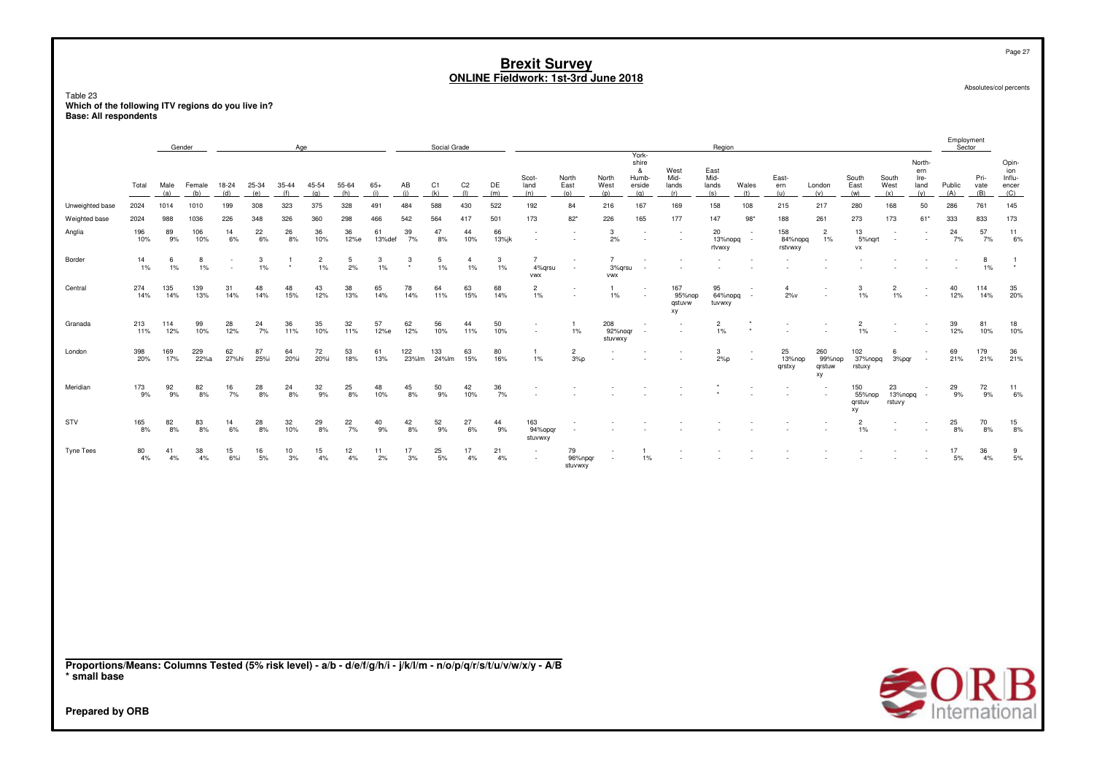## Table 23 **Which of the following ITV regions do you live in? Base: All respondents**

|                                                                                                                 |            | Gender      |               |              |              | Age              |                         |              |              |              | Social Grade |                             |             |                                                      |                          |                                 |                                               |                               | Region                       |              |                           |                               |                               |                         |                                      | Employment<br>Sector |                                          |                                        |
|-----------------------------------------------------------------------------------------------------------------|------------|-------------|---------------|--------------|--------------|------------------|-------------------------|--------------|--------------|--------------|--------------|-----------------------------|-------------|------------------------------------------------------|--------------------------|---------------------------------|-----------------------------------------------|-------------------------------|------------------------------|--------------|---------------------------|-------------------------------|-------------------------------|-------------------------|--------------------------------------|----------------------|------------------------------------------|----------------------------------------|
|                                                                                                                 | Total      | Male<br>(a) | Female<br>(b) | 18-24<br>(d) | 25-34<br>(e) | $35 - 44$<br>(f) | 45-54<br>(g)            | 55-64<br>(h) | $65+$<br>(i) | AB<br>(i)    | C1<br>(k)    | C <sub>2</sub><br>$($ l $)$ | DE<br>(m)   | Scot-<br>land<br>(n)                                 | North<br>East<br>(o)     | North<br>West<br>(p)            | York-<br>shire<br>&<br>Humb-<br>erside<br>(q) | West<br>Mid-<br>lands<br>(r)  | East<br>Mid-<br>lands<br>(s) | Wales<br>(t) | East-<br>ern<br>(u)       | London<br>(v)                 | South<br>East<br>(w)          | South<br>West<br>(x)    | North-<br>ern<br>Ire-<br>land<br>(y) | Public<br>(A)        | Pri-<br>$\frac{\text{vate}}{(\text{B})}$ | Opin-<br>ion<br>Influ-<br>encer<br>(C) |
| Unweighted base                                                                                                 | 2024       | 1014        | 1010          | 199          | 308          | 323              | 375                     | 328          | 491          | 484          | 588          | 430                         | 522         | 192                                                  | 84                       | 216                             | 167                                           | 169                           | 158                          | 108          | 215                       | 217                           | 280                           | 168                     | 50                                   | 286                  | 761                                      | 145                                    |
| Weighted base                                                                                                   | 2024       | 988         | 1036          | 226          | 348          | 326              | 360                     | 298          | 466          | 542          | 564          | 417                         | 501         | 173                                                  | $82*$                    | 226                             | 165                                           | 177                           | 147                          | $98*$        | 188                       | 261                           | 273                           | 173                     | 61*                                  | 333                  | 833                                      | 173                                    |
| Anglia                                                                                                          | 196<br>10% | 89<br>9%    | 106<br>10%    | 14<br>6%     | 22<br>$6\%$  | 26<br>8%         | 36<br>10%               | 36<br>12%e   | 61<br>13%def | 39<br>7%     | 47<br>8%     | 44<br>10%                   | 66<br>13%jk |                                                      |                          | 3<br>2%                         |                                               |                               | 20<br>13%nopq<br>rtvwxy      |              | 158<br>84%nopq<br>rstvwxy | $\overline{2}$<br>$1\%$       | 13<br>5% nqrt<br>VX           |                         |                                      | 24<br>7%             | 57<br>7%                                 | 11<br>6%                               |
| Border                                                                                                          | 14<br>1%   | -6<br>1%    | 8<br>$1\%$    |              | 3<br>$1\%$   |                  | $\overline{c}$<br>$1\%$ | 5<br>2%      | 3<br>1%      | 3            | 5<br>1%      | $\overline{4}$<br>1%        | 3<br>1%     | $\overline{7}$<br>4%qrsu<br><b>VWX</b>               |                          | $\overline{7}$<br>3%qrsu<br>vwx |                                               |                               |                              |              |                           |                               |                               |                         |                                      |                      | 8<br>$1\%$                               | $\overline{1}$<br>$\star$              |
| Central                                                                                                         | 274<br>14% | 135<br>14%  | 139<br>13%    | 31<br>14%    | 48<br>14%    | 48<br>15%        | 43<br>12%               | 38<br>13%    | 65<br>14%    | 78<br>14%    | 64<br>11%    | 63<br>15%                   | 68<br>14%   | $\overline{c}$<br>1%                                 |                          | $\mathbf{1}$<br>1%              |                                               | 167<br>95%nop<br>qstuvw<br>xy | 95<br>64%nopq<br>tuvwxy      | $\sim$       | $\overline{4}$<br>$2\%v$  |                               | 3<br>$1\%$                    | $\overline{2}$<br>1%    |                                      | 40<br>12%            | 114<br>14%                               | 35<br>20%                              |
| Granada                                                                                                         | 213<br>11% | 114<br>12%  | 99<br>10%     | 28<br>12%    | 24<br>7%     | 36<br>11%        | 35<br>10%               | 32<br>11%    | 57<br>12%e   | 62<br>12%    | 56<br>10%    | 44<br>11%                   | 50<br>10%   | $\overline{\phantom{a}}$<br>$\overline{\phantom{a}}$ | $\mathbf{1}$<br>1%       | 208<br>92%noqr<br>stuvwxy       |                                               |                               | $\overline{2}$<br>$1\%$      |              |                           |                               | $\overline{2}$<br>$1\%$       |                         |                                      | 39<br>12%            | 81<br>10%                                | 18<br>10%                              |
| London                                                                                                          | 398<br>20% | 169<br>17%  | 229<br>22%a   | 62<br>27%hi  | 87<br>25%i   | 64<br>20%i       | 72<br>20%i              | 53<br>18%    | 61<br>13%    | 122<br>23%lm | 133<br>24%lm | 63<br>15%                   | 80<br>16%   | -1<br>1%                                             | $\overline{2}$<br>3%p    |                                 |                                               |                               | 3<br>2%p                     |              | 25<br>13%nop<br>qrstxy    | 260<br>99%nop<br>qrstuw<br>хy | 102<br>37%nopq<br>rstuxy      | 6<br>3%pqr              |                                      | 69<br>21%            | 179<br>21%                               | 36<br>21%                              |
| Meridian                                                                                                        | 173<br>9%  | 92<br>9%    | 82<br>8%      | 16<br>7%     | 28<br>8%     | 24<br>8%         | 32<br>9%                | 25<br>8%     | 48<br>10%    | 45<br>8%     | 50<br>9%     | 42<br>10%                   | 36<br>7%    |                                                      |                          |                                 |                                               |                               |                              |              |                           |                               | 150<br>55%nop<br>qrstuv<br>хy | 23<br>13%nopq<br>rstuvy |                                      | 29<br>9%             | 72<br>9%                                 | 11<br>6%                               |
| STV                                                                                                             | 165<br>8%  | 82<br>8%    | 83<br>8%      | 14<br>6%     | 28<br>8%     | 32<br>10%        | 29<br>8%                | 22<br>7%     | 40<br>9%     | 42<br>8%     | 52<br>9%     | 27<br>6%                    | 44<br>9%    | 163<br>94%opgr<br>stuvwxy                            |                          |                                 |                                               |                               |                              |              |                           |                               | $\overline{c}$<br>$1\%$       |                         |                                      | 25<br>8%             | 70<br>8%                                 | 15<br>8%                               |
| <b>Tyne Tees</b>                                                                                                | 80<br>4%   | 41<br>4%    | 38<br>4%      | 15<br>$6%$ i | 16<br>5%     | 10<br>3%         | 15<br>4%                | 12<br>4%     | 11<br>2%     | 17<br>3%     | 25<br>5%     | 17<br>4%                    | 21<br>4%    |                                                      | 79<br>96%npgr<br>stuvwxy |                                 | $1\%$                                         |                               |                              |              |                           |                               |                               |                         |                                      | 17<br>5%             | 36<br>4%                                 | 9<br>5%                                |
| Proportions/Means: Columns Tested (5% risk level) - a/b - d/e/f/g/h/i - j/k/l/m - n/o/p/q/r/s/t/u/v/w/x/y - A/B |            |             |               |              |              |                  |                         |              |              |              |              |                             |             |                                                      |                          |                                 |                                               |                               |                              |              |                           |                               |                               |                         |                                      |                      |                                          |                                        |
| * small base<br><b>Prepared by ORB</b>                                                                          |            |             |               |              |              |                  |                         |              |              |              |              |                             |             |                                                      |                          |                                 |                                               |                               |                              |              |                           |                               |                               |                         |                                      |                      |                                          | $\bigcirc$ O R B                       |
|                                                                                                                 |            |             |               |              |              |                  |                         |              |              |              |              |                             |             |                                                      |                          |                                 |                                               |                               |                              |              |                           |                               |                               |                         |                                      |                      |                                          |                                        |

Page 27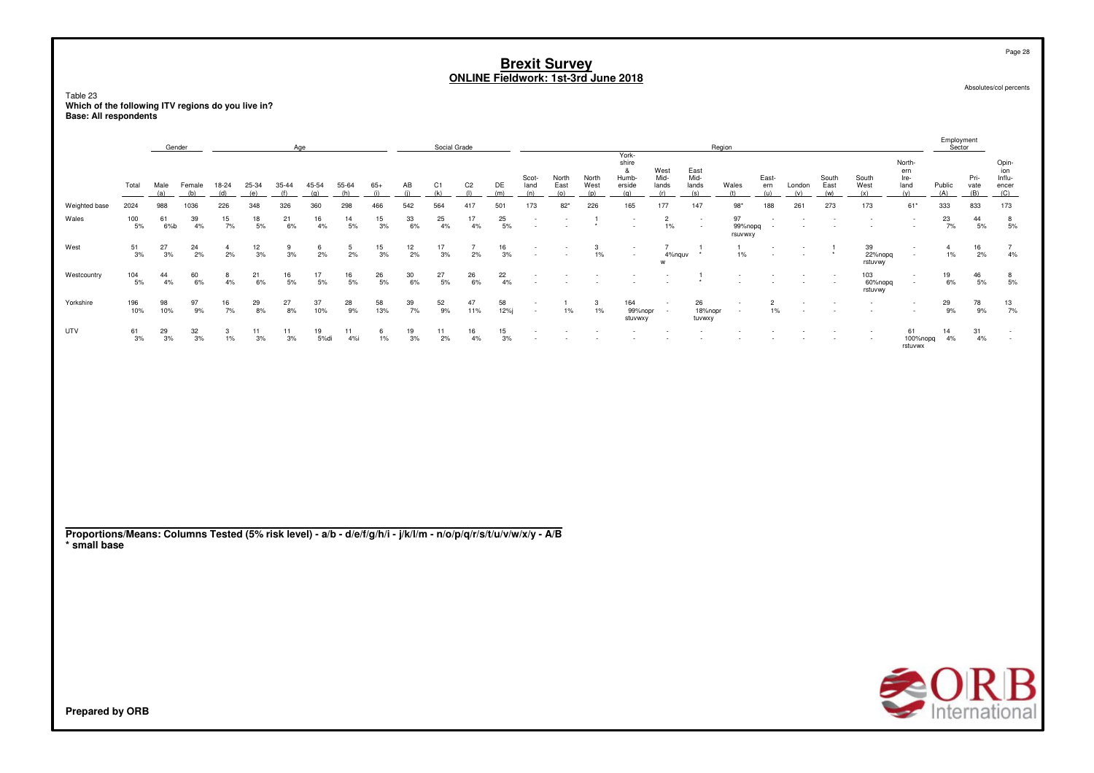Table 23 **Which of the following ITV regions do you live in?Base: All respondents**

|               |            | Gender      |               |                      |                  | Age              |              |                  |                  |                  | Social Grade     |                      |                  |                      |                      |                      |                                               |                                                      |                              | Region                                               |                         |                                    |                          |                           |                                      | Employment<br>Sector    |                     |                                        |
|---------------|------------|-------------|---------------|----------------------|------------------|------------------|--------------|------------------|------------------|------------------|------------------|----------------------|------------------|----------------------|----------------------|----------------------|-----------------------------------------------|------------------------------------------------------|------------------------------|------------------------------------------------------|-------------------------|------------------------------------|--------------------------|---------------------------|--------------------------------------|-------------------------|---------------------|----------------------------------------|
|               | Total      | Male<br>(a) | Female<br>(b) | 18-24<br>(d)         | 25-34<br>(e)     | 35-44<br>(f)     | 45-54<br>(g) | 55-64<br>(h)     | $65+$<br>(i)     | AB<br>(j)        | $\frac{C1}{(k)}$ | $C2$<br>(1)          | DE<br>(m)        | Scot-<br>land<br>(n) | North<br>East<br>(o) | North<br>West<br>(p) | York-<br>shire<br>&<br>Humb-<br>erside<br>(q) | West<br>Mid-<br>lands<br>(r)                         | East<br>Mid-<br>lands<br>(s) | Wales<br>(t)                                         | East-<br>ern<br>(u)     | London<br>(v)                      | South<br>East<br>(w)     | South<br>West<br>(x)      | North-<br>ern<br>Ire-<br>land<br>(y) | Public<br>(A)           | Pri-<br>vate<br>(B) | Opin-<br>ion<br>Influ-<br>encer<br>(C) |
| Weighted base | 2024       | 988         | 1036          | 226                  | 348              | 326              | 360          | 298              | 466              | 542              | 564              | 417                  | 501              | 173                  | $82*$                | 226                  | 165                                           | 177                                                  | 147                          | $98*$                                                | 188                     | 261                                | 273                      | 173                       | $61*$                                | 333                     | 833                 | 173                                    |
| Wales         | 100<br>5%  | 61<br>6%b   | 39<br>4%      | 15<br>7%             | 18<br>5%         | 21<br>6%         | 16<br>4%     | $\frac{14}{5\%}$ | $\frac{15}{3\%}$ | $\frac{33}{6\%}$ | 25<br>4%         | 17<br>$4\%$          | 25<br>5%         | $\sim$<br>$\sim$     | $\sim$<br>٠          | $\star$              | $\sim$                                        | $\overline{c}$<br>$1\%$                              | $\sim$<br>$\sim$             | 97<br>99%nopq<br>rsuvwxy                             | $\sim$                  | $\overline{\phantom{a}}$           | $\overline{\phantom{a}}$ | $\overline{\phantom{a}}$  | $\sim$                               | $\frac{23}{7\%}$        | 44<br>$5\%$         | 8<br>5%                                |
| West          | 51<br>3%   | 27<br>3%    | 24<br>2%      | $\overline{4}$<br>2% | $\frac{12}{3\%}$ | 9<br>$3%$        | 6<br>2%      | 5<br>2%          | $\frac{15}{3\%}$ | $\frac{12}{2\%}$ | 17<br>3%         | $\overline{7}$<br>2% | $\frac{16}{3\%}$ | $\sim$<br>$\sim$     |                      | 3<br>$1\%$           | $\sim$                                        | $\overline{7}$<br>4%nquv<br>w                        | $\star$                      | $\mathbf{1}$<br>$1\%$                                | $\sim$<br>$\sim$        | $\sim$<br>$\sim$                   | $\pmb{\ast}$             | 39<br>22%nopq<br>rstuvwy  | $\sim$                               | $\overline{4}$<br>$1\%$ | 16<br>2%            | $\overline{7}$<br>4%                   |
| Westcountry   | 104<br>5%  | 44<br>4%    | 60<br>6%      | 8<br>4%              | 21<br>6%         | $\frac{16}{5\%}$ | 17<br>$5\%$  | $\frac{16}{5\%}$ | $^{26}_{\ 5\%}$  | 30<br>6%         | 27<br>5%         | 26<br>6%             | $\frac{22}{4\%}$ | $\sim$<br>$\sim$     | $\sim$               | $\sim$               | $\sim$<br>$\sim$                              | $\overline{\phantom{a}}$                             | $\overline{1}$<br>$\star$    | $\overline{\phantom{a}}$<br>$\overline{\phantom{a}}$ |                         | $\sim$                             | $\sim$                   | 103<br>60%nopq<br>rstuvwy | $\sim$<br>$\sim$                     | 19<br>6%                | 46<br>5%            | $\frac{8}{5\%}$                        |
| Yorkshire     | 196<br>10% | 98<br>10%   | 97<br>9%      | 16<br>7%             | $^{29}_{8\%}$    | $\frac{27}{8\%}$ | 37<br>10%    | $^{28}_{\,9\%}$  | 58<br>13%        | $\frac{39}{7\%}$ | $\frac{52}{9\%}$ | 47<br>11%            | 58<br>12%j       | $\sim$<br>$\sim$     | $1\%$                | 3<br>1%              | 164<br>99%nopr<br>stuvwxy                     | $\overline{\phantom{a}}$<br>$\sim$                   | 26<br>18%nopr<br>tuvwxy      | $\overline{\phantom{a}}$<br>$\sim$                   | $\overline{c}$<br>$1\%$ | $\overline{\phantom{a}}$<br>$\sim$ |                          |                           | $\sim$<br>$\sim$                     | 29<br>9%                | 78<br>9%            | $\frac{13}{7\%}$                       |
| UTV           | 61<br>3%   | 29<br>3%    | 32<br>3%      | 3<br>1%              | 11<br>3%         | 11<br>3%         | 19<br>5%di   | 11<br>4%         | 6<br>$1\%$       | 19<br>3%         | 11<br>2%         | 16<br>4%             | 15<br>3%         |                      |                      |                      | $\sim$                                        | $\overline{\phantom{a}}$<br>$\overline{\phantom{a}}$ | $\sim$                       | $\overline{\phantom{a}}$<br>$\overline{\phantom{a}}$ |                         |                                    | $\sim$ $-$               | $\sim$                    | 61<br>100%nopq<br>rstuvwx            | 14<br>4%                | 31<br>4%            | $\overline{a}$<br>$\sim$               |
|               |            |             |               |                      |                  |                  |              |                  |                  |                  |                  |                      |                  |                      |                      |                      |                                               |                                                      |                              |                                                      |                         |                                    |                          |                           |                                      |                         |                     |                                        |
|               |            |             |               |                      |                  |                  |              |                  |                  |                  |                  |                      |                  |                      |                      |                      |                                               |                                                      |                              |                                                      |                         |                                    |                          |                           |                                      |                         |                     |                                        |
|               |            |             |               |                      |                  |                  |              |                  |                  |                  |                  |                      |                  |                      |                      |                      |                                               |                                                      |                              |                                                      |                         |                                    |                          |                           |                                      |                         |                     |                                        |
|               |            |             |               |                      |                  |                  |              |                  |                  |                  |                  |                      |                  |                      |                      |                      |                                               |                                                      |                              |                                                      |                         |                                    |                          |                           |                                      |                         |                     |                                        |
|               |            |             |               |                      |                  |                  |              |                  |                  |                  |                  |                      |                  |                      |                      |                      |                                               |                                                      |                              |                                                      |                         |                                    |                          |                           |                                      |                         |                     |                                        |
|               |            |             |               |                      |                  |                  |              |                  |                  |                  |                  |                      |                  |                      |                      |                      |                                               |                                                      |                              |                                                      |                         |                                    |                          |                           |                                      |                         |                     |                                        |

**Proportions/Means: Columns Tested (5% risk level) - a/b - d/e/f/g/h/i - j/k/l/m - n/o/p/q/r/s/t/u/v/w/x/y - A/B\* small base**



Absolutes/col percents

Page 28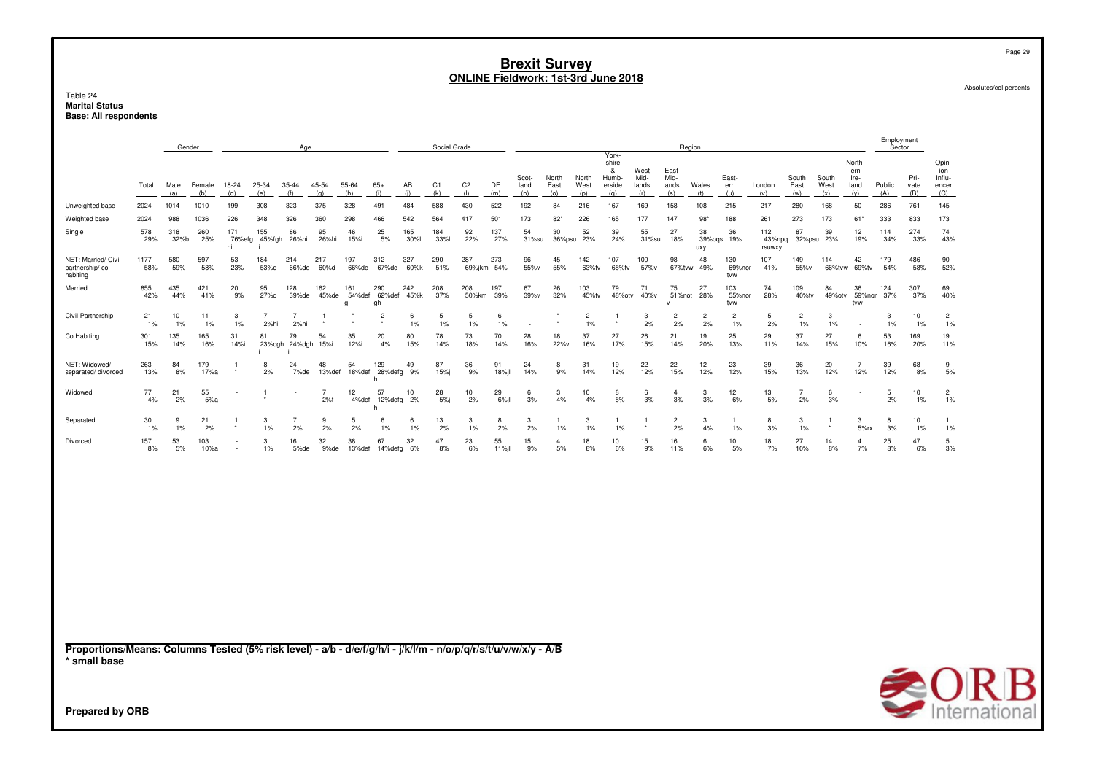Table 24<br>**Marital Status Base: All respondents** 

|                                                                                                                                                           |             |             | Gender        |              |                        | Age                    |                       |                    |                     |             | Social Grade      |                       |             |                      |                      |                      |                                               |                              |                              | Region               |                      |                         |                         |                      |                                      | Employment<br>Sector |                        |                                        |
|-----------------------------------------------------------------------------------------------------------------------------------------------------------|-------------|-------------|---------------|--------------|------------------------|------------------------|-----------------------|--------------------|---------------------|-------------|-------------------|-----------------------|-------------|----------------------|----------------------|----------------------|-----------------------------------------------|------------------------------|------------------------------|----------------------|----------------------|-------------------------|-------------------------|----------------------|--------------------------------------|----------------------|------------------------|----------------------------------------|
|                                                                                                                                                           | Total       | Male<br>(a) | Female<br>(b) | 18-24<br>(d) | 25-34<br>(e)           | 35-44<br>(f)           | 45-54<br>(g)          | 55-64<br>(h)       | $65+$<br>(i)        | AB<br>(i)   | C1<br>(k)         | C <sub>2</sub><br>(1) | DE<br>(m)   | Scot-<br>land<br>(n) | North<br>East<br>(o) | North<br>West<br>(p) | York-<br>shire<br>&<br>Humb-<br>erside<br>(q) | West<br>Mid-<br>lands<br>(r) | East<br>Mid-<br>lands<br>(s) | Wales<br>(t)         | East-<br>ern<br>(u)  | London<br>(v)           | South<br>East<br>(w)    | South<br>West<br>(x) | North-<br>ern<br>Ire-<br>land<br>(y) | Public<br>(A)        | Pri-<br>vate<br>(B)    | Opin-<br>ion<br>Influ-<br>encer<br>(C) |
| Unweighted base                                                                                                                                           | 2024        | 1014        | 1010          | 199          | 308                    | 323                    | 375                   | 328                | 491                 | 484         | 588               | 430                   | 522         | 192                  | 84                   | 216                  | 167                                           | 169                          | 158                          | 108                  | 215                  | 217                     | 280                     | 168                  | 50                                   | 286                  | 761                    | 145                                    |
| Weighted base                                                                                                                                             | 2024        | 988         | 1036          | 226          | 348                    | 326                    | 360                   | 298                | 466                 | 542         | 564               | 417                   | 501         | 173                  | $82*$                | 226                  | 165                                           | 177                          | 147                          | 98"                  | 188                  | 261                     | 273                     | 173                  | $61*$                                | 333                  | 833                    | 173                                    |
| Single                                                                                                                                                    | 578<br>29%  | 318<br>32%b | 260<br>25%    | 171<br>hi    | 155<br>76%efg 45%fgh   | 86<br>26%hi            | 95<br>26%hi           | 46<br>15%i         | 25<br>$5%$          | 165<br>30%l | 184<br><b>33%</b> | 92<br>22%             | 137<br>27%  | 54<br>31%su          | 30                   | 52<br>36%psu 23%     | 39<br>24%                                     | 55<br>31%su                  | 27<br>18%                    | 38<br>39%pgs<br>uxy  | 36<br>19%            | 112<br>43%npq<br>rsuwxy | 87                      | 39<br>32%psu 23%     | 12<br>19%                            | 114<br>34%           | 274<br>33%             | 74<br>43%                              |
| NET: Married/ Civil<br>partnership/co<br>habiting                                                                                                         | 1177<br>58% | 580<br>59%  | 597<br>58%    | 53<br>23%    | 184<br>53%d            | 214<br>66%de           | 217<br>60%d           | 197<br>66%de       | 312<br>67%de        | 327<br>60%k | 290<br>51%        | 287<br>69%jkm         | 273<br>54%  | 96<br>55%v           | 45<br>55%            | 142<br>63%tv         | 107<br>65%tv                                  | 100<br>57%v                  | 98<br>67%tvw                 | 48<br>49%            | 130<br>69%nor<br>tvw | 107<br>41%              | 149<br>55%v             | 114<br>66%tvw        | 42<br>69%tv                          | 179<br>54%           | 486<br>58%             | 90<br>52%                              |
| Married                                                                                                                                                   | 855<br>42%  | 435<br>44%  | 421<br>41%    | 20<br>9%     | 95<br>27%d             | 128<br>39%de           | 162<br>45%de          | 161<br>54%def<br>q | 290<br>62%def<br>gh | 242<br>45%k | 208<br>37%        | 208<br>50%km          | 197<br>39%  | 67<br>39%v           | 26<br>32%            | 103<br>45%tv         | 79<br>48%otv                                  | 71<br>40%v                   | 75<br>51%not                 | 27<br>28%            | 103<br>55%nor<br>tvw | 74<br>28%               | 109<br>40%tv            | 84<br>49%otv         | 36<br>59%nor<br>tvw                  | 124<br>37%           | 307<br>37%             | 69<br>40%                              |
| Civil Partnership                                                                                                                                         | 21<br>1%    | 10<br>1%    | 11<br>1%      | 3<br>1%      | $\overline{7}$<br>2%hi | $\overline{7}$<br>2%hi | -1                    |                    | $\overline{2}$      | 6<br>$1\%$  | 5<br>1%           | 5<br>$1\%$            | 6<br>1%     |                      |                      | $\overline{c}$<br>1% | -1                                            | 3<br>2%                      | $\overline{2}$<br>2%         | $\overline{2}$<br>2% | $\overline{c}$<br>1% | -5<br>2%                | $\overline{2}$<br>$1\%$ | 3<br>1%              |                                      | 3<br>1%              | 10<br>1%               | $\overline{2}$<br>1%                   |
| Co Habiting                                                                                                                                               | 301<br>15%  | 135<br>14%  | 165<br>16%    | 31<br>14%i   | 81                     | 79<br>23%dgh 24%dgh    | 54<br>15%i            | 35<br>12%i         | 20<br>4%            | 80<br>15%   | 78<br>14%         | 73<br>18%             | 70<br>14%   | 28<br>16%            | 18<br>22%v           | 37<br>16%            | 27<br>17%                                     | 26<br>15%                    | 21<br>14%                    | 19<br>20%            | 25<br>13%            | 29<br>11%               | 37<br>14%               | 27<br>15%            | 6<br>10%                             | 53<br>16%            | 169<br>20%             | 19<br>11%                              |
| NET: Widowed/<br>separated/divorced                                                                                                                       | 263<br>13%  | 84<br>8%    | 179<br>17%a   |              | 8<br>2%                | 24<br>7%de             | 48<br>13%def          | 54<br>18%def       | 129<br>28%defg<br>h | 49<br>9%    | 87<br>15%jl       | 36<br>9%              | 91<br>18%jl | 24<br>14%            | 8<br>9%              | 31<br>14%            | 19<br>12%                                     | 22<br>12%                    | 22<br>15%                    | 12<br>12%            | 23<br>12%            | 39<br>15%               | 36<br>13%               | 20<br>12%            | $\overline{7}$<br>12%                | 39<br>12%            | 68<br>8%               | 9<br>5%                                |
| Widowed                                                                                                                                                   | 77<br>4%    | 21<br>2%    | 55<br>5%a     |              | $\overline{1}$         |                        | $\overline{7}$<br>2%f | 12<br>4%def        | 57<br>12%defg<br>h  | 10<br>2%    | 28<br>5%          | 10<br>2%              | 29<br>6%jl  | 6<br>3%              | 3<br>4%              | 10<br>4%             | 8<br>5%                                       | 6<br>3%                      | $\overline{4}$<br>3%         | 3<br>3%              | 12<br>6%             | 13<br>5%                | $\overline{7}$<br>2%    | 6<br>3%              | $\overline{\phantom{a}}$<br>÷        | 5<br>2%              | 10<br>$1\%$            | $\overline{2}$<br>$1\%$                |
| Separated                                                                                                                                                 | 30<br>$1\%$ | 9<br>1%     | 21<br>2%      | -1           | 3<br>$1\%$             | $\overline{7}$<br>2%   | 9<br>2%               | 5<br>2%            | 6<br>1%             | 6<br>$1\%$  | 13<br>2%          | 3<br>$1\%$            | 8<br>2%     | 3<br>2%              | $1\%$                | 3<br>1%              | $\mathbf{1}$<br>$1\%$                         | $\mathbf{1}$                 | $\overline{2}$<br>2%         | 3<br>4%              | $\overline{1}$<br>1% | 8<br>3%                 | 3<br>$1\%$              | $\mathbf{1}$         | 3<br>5%rx                            | 8<br>3%              | 10 <sup>10</sup><br>1% | $\mathbf{1}$<br>1%                     |
| Divorced                                                                                                                                                  | 157<br>8%   | 53<br>5%    | 103<br>10%a   |              | 3<br>$1\%$             | 16<br>5%de             | 32<br>9%de            | 38<br>13%def       | 67<br>14%defg       | 32<br>6%    | 47<br>8%          | 23<br>6%              | 55<br>11%jl | 15<br>9%             | $\mathbf{A}$<br>5%   | 18<br>8%             | 10<br>6%                                      | 15<br>9%                     | 16<br>11%                    | 6<br>6%              | 10<br>5%             | 18<br>7%                | 27<br>10%               | 14<br>8%             | $\mathbf{A}$<br>7%                   | 25<br>8%             | 47<br>6%               | 5<br>3%                                |
|                                                                                                                                                           |             |             |               |              |                        |                        |                       |                    |                     |             |                   |                       |             |                      |                      |                      |                                               |                              |                              |                      |                      |                         |                         |                      |                                      |                      |                        |                                        |
| Proportions/Means: Columns Tested (5% risk level) - a/b - d/e/f/g/h/i - j/k/l/m - n/o/p/q/r/s/t/u/v/w/x/y - A/B<br>* small base<br><b>Prepared by ORB</b> |             |             |               |              |                        |                        |                       |                    |                     |             |                   |                       |             |                      |                      |                      |                                               |                              |                              |                      |                      |                         |                         |                      |                                      |                      |                        | <b>SORB</b>                            |

Page 29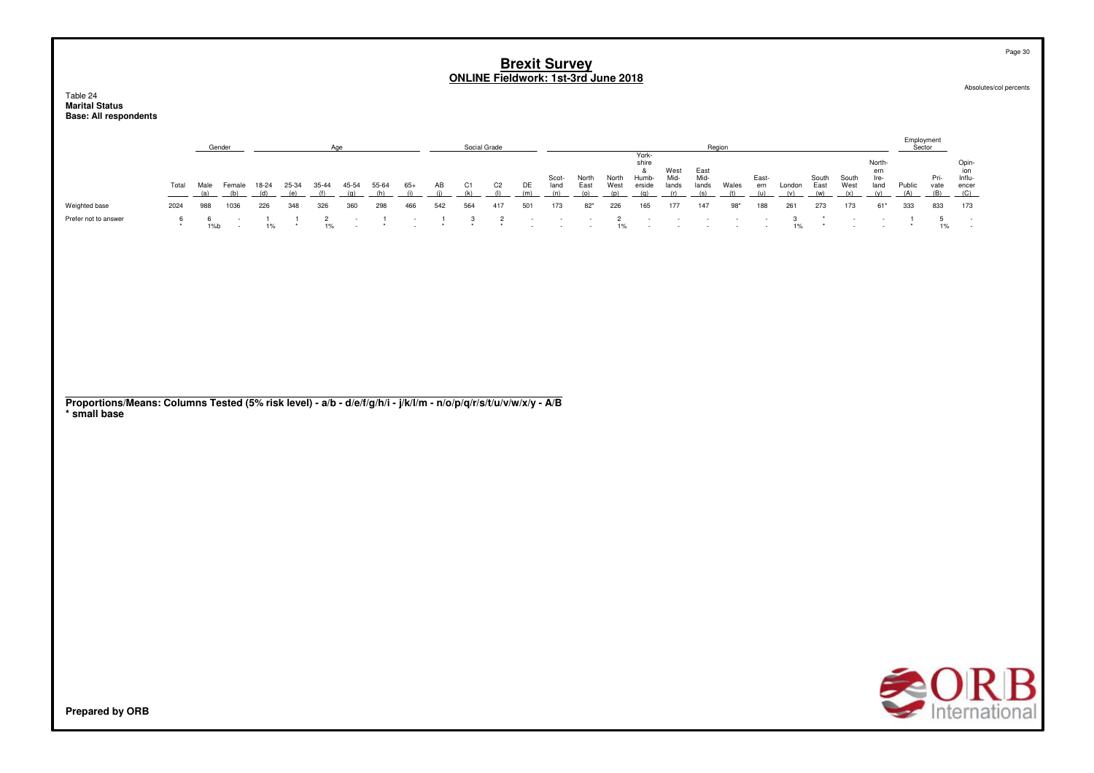|                                                                   |              |         |               |       |              |                      |        |       |        |         |                |                | <b>Brexit Survey</b>     |                                    | <b>ONLINE Fieldwork: 1st-3rd June 2018</b>           |                         |                                             |                       |                       |                                    |                                    |         |               |               |                                    |                      |                     |                                       | Page 30<br>Absolutes/col percents |
|-------------------------------------------------------------------|--------------|---------|---------------|-------|--------------|----------------------|--------|-------|--------|---------|----------------|----------------|--------------------------|------------------------------------|------------------------------------------------------|-------------------------|---------------------------------------------|-----------------------|-----------------------|------------------------------------|------------------------------------|---------|---------------|---------------|------------------------------------|----------------------|---------------------|---------------------------------------|-----------------------------------|
| Table 24<br><b>Marital Status</b><br><b>Base: All respondents</b> |              |         |               |       |              |                      |        |       |        |         |                |                |                          |                                    |                                                      |                         |                                             |                       |                       |                                    |                                    |         |               |               |                                    |                      |                     |                                       |                                   |
|                                                                   |              |         | Gender        |       |              | Age                  |        |       |        |         | Social Grade   |                |                          |                                    |                                                      |                         | York-                                       |                       |                       | Region                             |                                    |         |               |               |                                    | Employment<br>Sector |                     |                                       |                                   |
|                                                                   | Total        | Male    | Female<br>(h) | 18-24 | 25-34<br>(a) | $35 - 44$            | 45-54  | 55-64 | $65+$  | AB      | C <sub>1</sub> | C <sub>2</sub> | DE<br>(m)                | Scot-<br>land<br>(n)               | North<br>East                                        | North<br>West<br>(n)    | shire<br>$\alpha$<br>Humb-<br>erside<br>(n) | West<br>Mid-<br>lands | East<br>Mid-<br>lands | Wales                              | East-<br>ern                       | London  | South<br>East | South<br>West | North-<br>em<br>Ire-<br>land       | Public               | Pri-<br>vate<br>(B) | Opin-<br>ion<br>Influ<br>encer<br>(C) |                                   |
| Weighted base                                                     | 2024         | 988     | 1036          | 226   | 348          | 326                  | 360    | 298   | 466    | 542     | 564            | 417            | 501                      | 173                                | $82*$                                                | 226                     | 165                                         | 177                   | 147                   | $98*$                              | 188                                | 261     | 273           | 173           | $61*$                              | 333                  | 833                 | 173                                   |                                   |
| Prefer not to answer                                              | 6<br>$\star$ | 6<br>1% |               | $1\%$ |              | $\overline{2}$<br>1% | $\sim$ |       | $\sim$ | $\star$ | 3<br>$\star$   | $\overline{2}$ | $\overline{\phantom{a}}$ | $\sim$<br>$\overline{\phantom{a}}$ | $\overline{\phantom{a}}$<br>$\overline{\phantom{a}}$ | $\overline{2}$<br>$1\%$ | $\sim$<br>$\sim$                            | $\sim$                | $\sim$                | $\sim$<br>$\overline{\phantom{a}}$ | $\sim$<br>$\overline{\phantom{a}}$ | 3<br>1% |               |               | $\sim$<br>$\overline{\phantom{a}}$ |                      | 5<br>1%             | $\sim$<br>$\overline{\phantom{a}}$    |                                   |

**Proportions/Means: Columns Tested (5% risk level) - a/b - d/e/f/g/h/i - j/k/l/m - n/o/p/q/r/s/t/u/v/w/x/y - A/B\* small base**

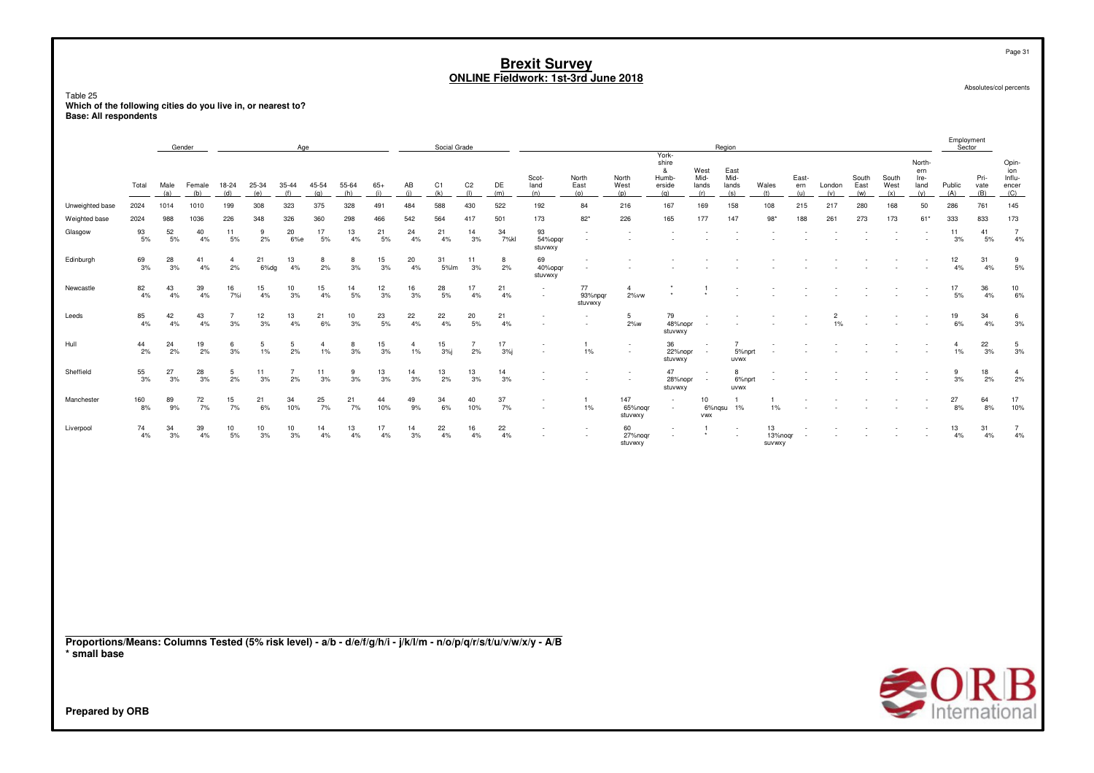Page 31

Absolutes/col percents

## Table 25 **Which of the following cities do you live in, or nearest to? Base: All respondents**

|                                                                                                                 |               |             | Gender        |                      |              | Age                  |                         |              |              |                         | Social Grade |                       |            |                          |                          |                           |                                                      |                              | Region                       |                         |                     |                         |                      |                      |                                      | Employment<br>Sector |                     |                                        |
|-----------------------------------------------------------------------------------------------------------------|---------------|-------------|---------------|----------------------|--------------|----------------------|-------------------------|--------------|--------------|-------------------------|--------------|-----------------------|------------|--------------------------|--------------------------|---------------------------|------------------------------------------------------|------------------------------|------------------------------|-------------------------|---------------------|-------------------------|----------------------|----------------------|--------------------------------------|----------------------|---------------------|----------------------------------------|
|                                                                                                                 | Total         | Male<br>(a) | Female<br>(b) | 18-24<br>(d)         | 25-34<br>(e) | 35-44<br>(f)         | 45-54<br>(g)            | 55-64<br>(h) | $65+$<br>(i) | AB<br>(i)               | C1<br>(k)    | C <sub>2</sub><br>(1) | DE<br>(m)  | Scot-<br>land<br>(n)     | North<br>East<br>(0)     | North<br>West<br>(p)      | York-<br>shire<br>&<br>Humb-<br>erside<br>(q)        | West<br>Mid-<br>lands<br>(r) | East<br>Mid-<br>lands<br>(s) | Wales<br>(t)            | East-<br>ern<br>(u) | London<br>(v)           | South<br>East<br>(w) | South<br>West<br>(x) | North-<br>ern<br>Ire-<br>land<br>(y) | Public<br>(A)        | Pri-<br>vate<br>(B) | Opin-<br>ion<br>Influ-<br>encer<br>(C) |
| Unweighted base                                                                                                 | 2024          | 1014        | 1010          | 199                  | 308          | 323                  | 375                     | 328          | 491          | 484                     | 588          | 430                   | 522        | 192                      | 84                       | 216                       | 167                                                  | 169                          | 158                          | 108                     | 215                 | 217                     | 280                  | 168                  | 50                                   | 286                  | 761                 | 145                                    |
| Weighted base                                                                                                   | 2024          | 988         | 1036          | 226                  | 348          | 326                  | 360                     | 298          | 466          | 542                     | 564          | 417                   | 501        | 173                      | $82*$                    | 226                       | 165                                                  | 177                          | 147                          | $98*$                   | 188                 | 261                     | 273                  | 173                  | $61*$                                | 333                  | 833                 | 173                                    |
| Glasgow                                                                                                         | 93<br>5%      | 52<br>5%    | 40<br>4%      | 11<br>$5%$           | 9<br>2%      | 20<br>6%e            | 17<br>5%                | 13<br>4%     | 21<br>5%     | 24<br>4%                | 21<br>4%     | 14<br>3%              | 34<br>7%kl | 93<br>54%opqr<br>stuvwxy | $\sim$<br>$\sim$         |                           |                                                      |                              |                              |                         |                     |                         |                      |                      | $\overline{\phantom{a}}$             | 11<br>3%             | 41<br>5%            | $\overline{7}$<br>$4\%$                |
| Edinburgh                                                                                                       | 69<br>3%      | 28<br>3%    | 41<br>4%      | $\overline{4}$<br>2% | 21<br>6%dg   | 13<br>4%             | 8<br>2%                 | 8<br>3%      | 15<br>3%     | 20<br>4%                | 31<br>5%lm   | 11<br>3%              | 8<br>2%    | 69<br>40%opqr<br>stuvwxy |                          |                           |                                                      |                              |                              |                         |                     |                         |                      |                      |                                      | 12<br>4%             | 31<br>4%            | 9<br>5%                                |
| Newcastle                                                                                                       | 82<br>4%      | 43<br>4%    | 39<br>4%      | 16<br>7%i            | 15<br>4%     | 10<br>3%             | 15<br>4%                | 14<br>5%     | 12<br>3%     | 16<br>3%                | 28<br>5%     | 17<br>4%              | 21<br>4%   |                          | 77<br>93%npqr<br>stuvwxy | $\overline{4}$<br>2% vw   |                                                      |                              |                              |                         |                     |                         |                      |                      |                                      | 17<br>5%             | 36<br>4%            | 10<br>$6\%$                            |
| Leeds                                                                                                           | 85<br>4%      | 42<br>4%    | 43<br>4%      | $\overline{7}$<br>3% | 12<br>3%     | 13<br>4%             | 21<br>6%                | 10<br>3%     | 23<br>5%     | 22<br>4%                | 22<br>4%     | 20<br>5%              | 21<br>4%   |                          | $\overline{\phantom{a}}$ | 5 <sub>5</sub><br>$2\%$   | 79<br>48%nopr<br>stuvwxy                             |                              |                              |                         |                     | $\overline{2}$<br>$1\%$ |                      |                      |                                      | 19<br>6%             | 34<br>4%            | $\,6\,$<br>3%                          |
| Hull                                                                                                            | 44<br>2%      | 24<br>2%    | 19<br>2%      | 6<br>3%              | 5<br>1%      | 5<br>2%              | $\overline{4}$<br>$1\%$ | 8<br>3%      | 15<br>3%     | $\overline{4}$<br>$1\%$ | 15<br>$3%$ j | $\overline{7}$<br>2%  | 17<br>3%   |                          | $\overline{1}$<br>1%     |                           | 36<br>22%nopr<br>stuvwxy                             |                              | 5%nprt<br><b>UVWX</b>        |                         |                     |                         |                      |                      |                                      | $\overline{4}$<br>1% | 22<br>3%            | $5\phantom{.0}$<br>3%                  |
| Sheffield                                                                                                       | $^{55}_{3\%}$ | 27<br>3%    | 28<br>3%      | 5<br>2%              | 11<br>3%     | $\overline{7}$<br>2% | 11<br>3%                | 9<br>3%      | 13<br>3%     | 14<br>3%                | 13<br>2%     | 13<br>3%              | 14<br>3%   |                          |                          |                           | 47<br>28%nopr<br>stuvwxy                             |                              | 8<br>6%nprt<br><b>UVWX</b>   |                         |                     |                         |                      |                      |                                      | 9<br>3%              | 18<br>2%            | $\overline{4}$<br>$2\%$                |
| Manchester                                                                                                      | 160<br>8%     | 89<br>9%    | 72<br>7%      | 15<br>7%             | 21<br>6%     | 34<br>10%            | 25<br>7%                | 21<br>7%     | 44<br>10%    | 49<br>9%                | 34<br>6%     | 40<br>10%             | 37<br>7%   |                          | $\mathbf{1}$<br>1%       | 147<br>65%noqr<br>stuvwxy | $\overline{\phantom{a}}$<br>$\overline{\phantom{a}}$ | 10<br>6%nqsu<br><b>VWX</b>   | $\mathbf{1}$<br>1%           | 1%                      |                     |                         |                      |                      |                                      | 27<br>8%             | 64<br>8%            | $\frac{17}{10\%}$                      |
| Liverpool                                                                                                       | 74<br>4%      | 34<br>3%    | 39<br>4%      | 10<br>5%             | 10<br>3%     | 10<br>3%             | 14<br>4%                | 13<br>4%     | 17<br>4%     | 14<br>3%                | 22<br>4%     | 16<br>4%              | 22<br>4%   |                          |                          | 60<br>27%nogr<br>stuvwxy  |                                                      | -1                           |                              | 13<br>13%nogr<br>SUVWXY |                     |                         |                      |                      |                                      | 13<br>4%             | 31<br>4%            | $\frac{7}{4\%}$                        |
| Proportions/Means: Columns Tested (5% risk level) - a/b - d/e/f/g/h/i - j/k/l/m - n/o/p/q/r/s/t/u/v/w/x/y - A/B |               |             |               |                      |              |                      |                         |              |              |                         |              |                       |            |                          |                          |                           |                                                      |                              |                              |                         |                     |                         |                      |                      |                                      |                      |                     |                                        |
| * small base                                                                                                    |               |             |               |                      |              |                      |                         |              |              |                         |              |                       |            |                          |                          |                           |                                                      |                              |                              |                         |                     |                         |                      |                      |                                      |                      |                     | $\triangle$ OD R                       |

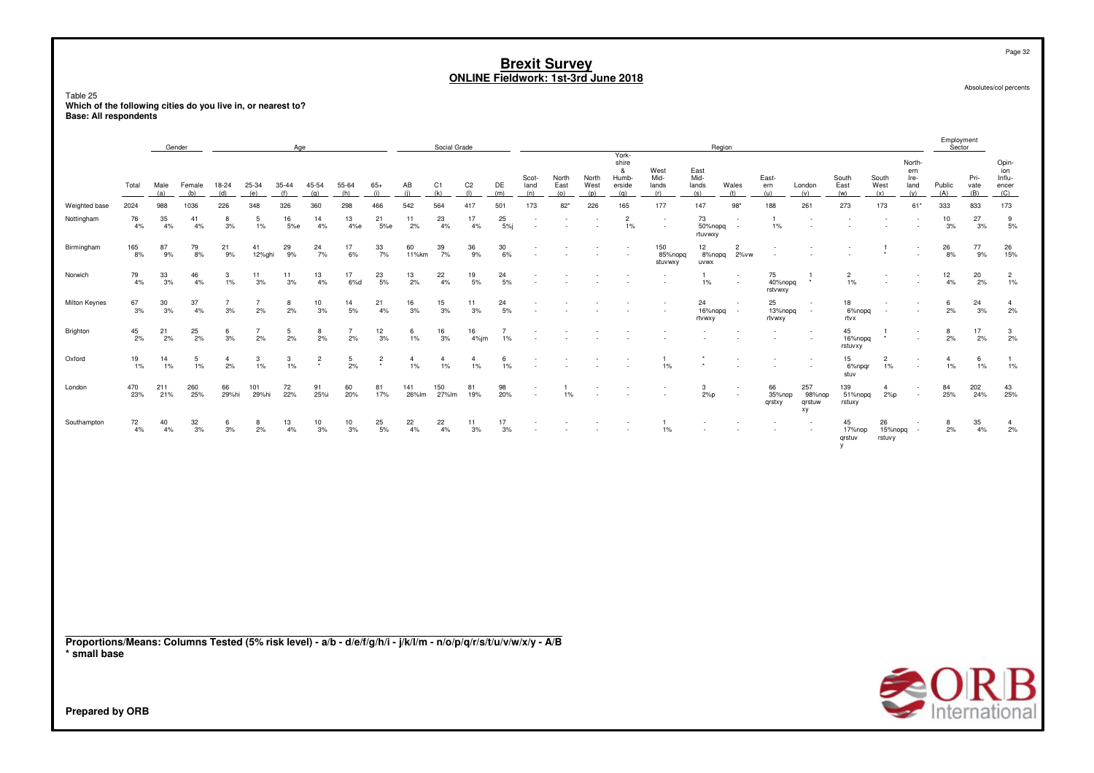Page 32

Absolutes/col percents

#### Table 25 **Which of the following cities do you live in, or nearest to?Base: All respondents**

|                                                                                                                 | Gender<br>Age |             |               |                       |                      |                  |                           |                      |                 |                      | Social Grade         |                         |                         |                                    |                       |                                    |                                               |                              |                              | Region                             |                          |                                    |                             |                          |                                      | Employment<br>Sector    |                     |                                        |
|-----------------------------------------------------------------------------------------------------------------|---------------|-------------|---------------|-----------------------|----------------------|------------------|---------------------------|----------------------|-----------------|----------------------|----------------------|-------------------------|-------------------------|------------------------------------|-----------------------|------------------------------------|-----------------------------------------------|------------------------------|------------------------------|------------------------------------|--------------------------|------------------------------------|-----------------------------|--------------------------|--------------------------------------|-------------------------|---------------------|----------------------------------------|
|                                                                                                                 | Total         | Male<br>(a) | Female<br>(b) | 18-24<br>(d)          | 25-34<br>(e)         | $35 - 44$<br>(f) | 45-54<br>(g)              | 55-64<br>(h)         | $65+$<br>(i)    | AB<br>(i)            | C1<br>(k)            | C <sub>2</sub><br>(1)   | DE<br>(m)               | Scot-<br>land<br>(n)               | North<br>East<br>(0)  | North<br>West<br>(p)               | York-<br>shire<br>&<br>Humb-<br>erside<br>(q) | West<br>Mid-<br>lands<br>(r) | East<br>Mid-<br>lands<br>(s) | Wales<br>(t)                       | East-<br>ern<br>(u)      | London<br>(v)                      | South<br>East<br>(w)        | South<br>West<br>(x)     | North-<br>ern<br>Ire-<br>land<br>(y) | Public<br>(A)           | Pri-<br>vate<br>(B) | Opin-<br>ion<br>Influ-<br>encer<br>(C) |
| Weighted base                                                                                                   | 2024          | 988         | 1036          | 226                   | 348                  | 326              | 360                       | 298                  | 466             | 542                  | 564                  | 417                     | 501                     | 173                                | $82*$                 | 226                                | 165                                           | 177                          | 147                          | $98*$                              | 188                      | 261                                | 273                         | 173                      | 61*                                  | 333                     | 833                 | 173                                    |
| Nottingham                                                                                                      | 76<br>4%      | 35<br>4%    | 41<br>4%      | 8<br>3%               | 5<br>1%              | 16<br>5%e        | 14<br>4%                  | 13<br>4%e            | 21<br>5%e       | 11<br>2%             | 23<br>4%             | 17<br>4%                | 25<br>5%                | $\overline{\phantom{a}}$<br>$\sim$ |                       | $\overline{\phantom{a}}$<br>$\sim$ | $\overline{c}$<br>1%                          | $\sim$                       | 73<br>50%nopq<br>rtuvwxy     | $\sim$<br>$\sim$                   | $\overline{1}$<br>1%     | $\sim$<br>$\overline{a}$           |                             |                          |                                      | 10<br>3%                | 27<br>3%            | 9<br>5%                                |
| Birmingham                                                                                                      | 165<br>8%     | 87<br>9%    | 79<br>8%      | 21<br>9%              | 41<br>12%ghi         | 29<br>9%         | 24<br>7%                  | 17<br>6%             | 33<br>7%        | 60<br>11%km          | 39<br>7%             | 36<br>9%                | 30<br>6%                |                                    |                       |                                    | $\overline{\phantom{a}}$<br>$\sim$            | 150<br>85%nopq<br>stuvwxy    | 12<br>8%nopq<br><b>UVWX</b>  | $\overline{2}$<br>2%vw             |                          |                                    |                             |                          |                                      | 26<br>8%                | 77<br>9%            | 26<br>15%                              |
| Norwich                                                                                                         | 79<br>4%      | 33<br>3%    | 46<br>4%      | $\mathbf{3}$<br>$1\%$ | 11<br>3%             | 11<br>3%         | 13<br>4%                  | 17<br>6%d            | $^{23}_{\ 5\%}$ | 13<br>2%             | 22<br>4%             | 19<br>$5%$              | 24<br>5%                |                                    |                       |                                    |                                               |                              | $1\%$                        | $\overline{\phantom{a}}$           | 75<br>40%nopg<br>rstvwxy | $\star$                            | $\overline{2}$<br>1%        |                          |                                      | $12 \overline{ }$<br>4% | 20<br>2%            | $\frac{2}{1\%}$                        |
| Milton Keynes                                                                                                   | 67<br>3%      | 30<br>3%    | 37<br>4%      | $\overline{7}$<br>3%  | $\overline{7}$<br>2% | 8<br>2%          | 10<br>3%                  | 14<br>5%             | 21<br>4%        | 16<br>3%             | 15<br>3%             | 11<br>3%                | 24<br>5%                | ٠                                  |                       |                                    | $\overline{a}$                                |                              | 24<br>16%nopq<br>rtvwxy      | $\overline{\phantom{a}}$<br>$\sim$ | 25<br>13%nopq<br>rtvwxy  | $\sim$<br>$\sim$                   | 18<br>6%nopq<br>rtvx        | $\overline{\phantom{a}}$ |                                      | 6<br>2%                 | 24<br>3%            | $\overline{4}$<br>2%                   |
| Brighton                                                                                                        | 45<br>2%      | 21<br>2%    | 25<br>2%      | $6\phantom{.0}$<br>3% | $\overline{7}$<br>2% | 5<br>2%          | 8<br>2%                   | $\overline{7}$<br>2% | 12<br>3%        | 6<br>$1\%$           | 16<br>3%             | 16<br>4%jm              | $\overline{7}$<br>$1\%$ |                                    |                       |                                    |                                               |                              | ٠                            |                                    | $\sim$                   | $\overline{\phantom{a}}$<br>$\sim$ | 45<br>16%nopq<br>rstuvxy    |                          |                                      | 8<br>2%                 | 17<br>2%            | $\mathbf{3}$<br>2%                     |
| Oxford                                                                                                          | 19<br>$1\%$   | 14<br>1%    | 5<br>1%       | $\overline{a}$<br>2%  | 3<br>1%              | 3<br>$1\%$       | $\overline{c}$<br>$\star$ | 5<br>2%              | $\frac{2}{x}$   | $\overline{4}$<br>1% | $\overline{4}$<br>1% | $\overline{4}$<br>$1\%$ | 6<br>1%                 | $\sim$                             |                       |                                    | $\sim$                                        | -1<br>$1\%$                  |                              |                                    |                          |                                    | 15<br>6%npqr<br>stuv        | $\overline{2}$<br>1%     | $\overline{\phantom{a}}$             | $\overline{a}$<br>$1\%$ | 6<br>1%             | $\mathbf{1}$<br>$1\%$                  |
| London                                                                                                          | 470<br>23%    | 211<br>21%  | 260<br>25%    | 66<br>29%hi           | 101<br>29%hi         | 72<br>22%        | 91<br>25%i                | 60<br>20%            | 81<br>17%       | 141<br>26%lm         | 150<br>27%lm         | 81<br>19%               | 98<br>20%               | $\sim$                             | $\mathbf{1}$<br>$1\%$ |                                    |                                               |                              | 3<br>2%p                     | $\overline{\phantom{a}}$<br>$\sim$ | 66<br>35%nop<br>qrstxy   | 257<br>98%nop<br>qrstuw<br>xy      | 139<br>51%nopg<br>rstuxy    | $\overline{4}$<br>$2\%p$ | $\sim$                               | 84<br>25%               | 202<br>24%          | 43<br>25%                              |
| Southampton                                                                                                     | 72<br>4%      | 40<br>4%    | 32<br>3%      | 6<br>3%               | 8<br>2%              | 13<br>4%         | 10<br>3%                  | 10<br>3%             | 25<br>5%        | 22<br>4%             | 22<br>4%             | 11<br>3%                | 17<br>3%                | ٠                                  |                       |                                    | $\overline{\phantom{a}}$                      | $\overline{1}$<br>1%         | $\overline{\phantom{a}}$     |                                    | $\sim$                   |                                    | 45<br>17%nop<br>qrstuv<br>V | 26<br>15%nopg<br>rstuvy  | $\sim$                               | 8<br>2%                 | 35<br>4%            | $\overline{4}$<br>2%                   |
| Proportions/Means: Columns Tested (5% risk level) - a/b - d/e/f/g/h/i - j/k/l/m - n/o/p/q/r/s/t/u/v/w/x/y - A/B |               |             |               |                       |                      |                  |                           |                      |                 |                      |                      |                         |                         |                                    |                       |                                    |                                               |                              |                              |                                    |                          |                                    |                             |                          |                                      |                         |                     |                                        |

**Proportions/Means: Columns Tested (5% risk level) - a/b - d/e/f/g/h/i - j/k/l/m - n/o/p/q/r/s/t/u/v/w/x/y - A/B\* small base**

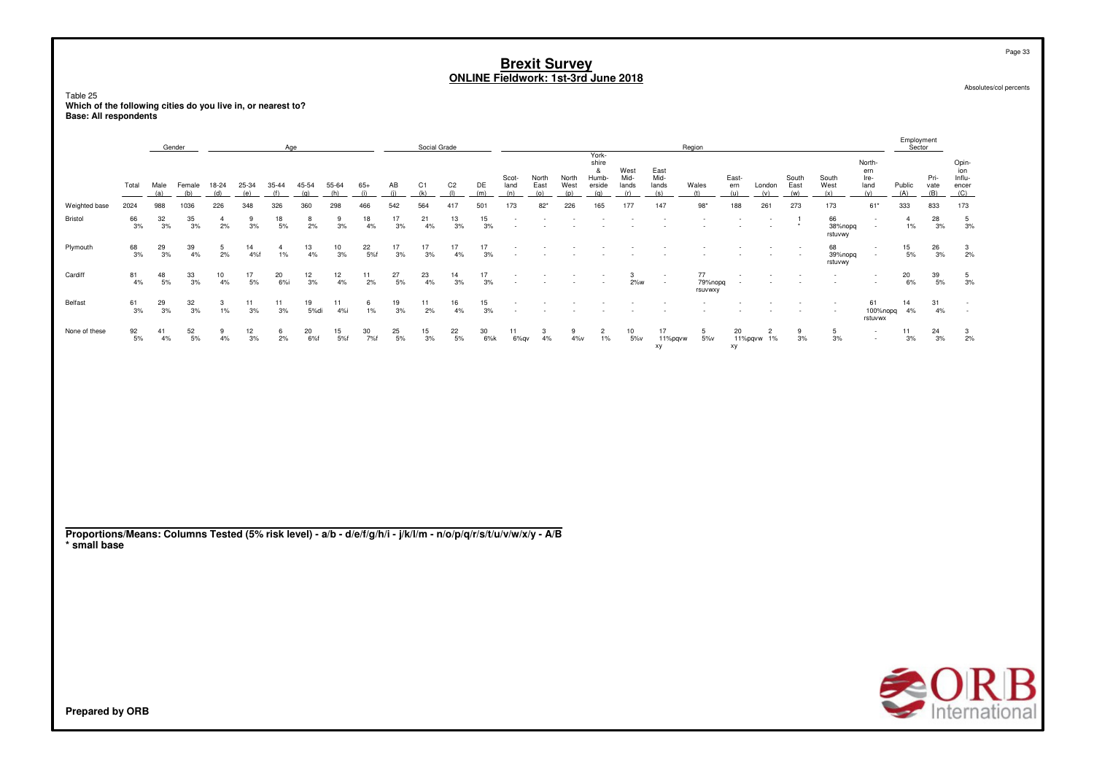Page 33

Absolutes/col percents

Table 25 **Which of the following cities do you live in, or nearest to?Base: All respondents**

|               |                  |                  | Gender           |              |                 | Age             |                  |              |              |                 | Social Grade    |                       |             |                          |                      |                      |                                               |                              |                              | Region                   |                     |                              |                      |                          |                                      | Employment<br>Sector |                     |                                        |
|---------------|------------------|------------------|------------------|--------------|-----------------|-----------------|------------------|--------------|--------------|-----------------|-----------------|-----------------------|-------------|--------------------------|----------------------|----------------------|-----------------------------------------------|------------------------------|------------------------------|--------------------------|---------------------|------------------------------|----------------------|--------------------------|--------------------------------------|----------------------|---------------------|----------------------------------------|
|               | Total            | Male<br>(a)      | Female<br>(b)    | 18-24<br>(d) | 25-34<br>(e)    | 35-44<br>(f)    | 45-54<br>(q)     | 55-64<br>(h) | $65+$<br>(i) | AB<br>(i)       | C1<br>(k)       | C <sub>2</sub><br>(1) | DE<br>(m)   | Scot-<br>land<br>(n)     | North<br>East<br>(0) | North<br>West<br>(p) | York-<br>shire<br>&<br>Humb-<br>erside<br>(q) | West<br>Mid-<br>lands<br>(r) | East<br>Mid-<br>lands<br>(s) | Wales<br>(t)             | East-<br>ern<br>(u) | London<br>(v)                | South<br>East<br>(w) | South<br>West<br>(x)     | North-<br>ern<br>Ire-<br>land<br>(v) | Public<br>(A)        | Pri-<br>vate<br>(B) | Opin-<br>ion<br>Influ-<br>encer<br>(C) |
| Weighted base | 2024             | 988              | 1036             | 226          | 348             | 326             | 360              | 298          | 466          | 542             | 564             | 417                   | 501         | 173                      | 82*                  | 226                  | 165                                           | 177                          | 147                          | $98*$                    | 188                 | 261                          | 273                  | 173                      | $61*$                                | 333                  | 833                 | 173                                    |
| Bristol       | 66<br>3%         | $\frac{32}{3\%}$ | $\frac{35}{3\%}$ | 2%           | 3%              | 18<br>$5%$      | 8<br>2%          | 9<br>3%      | 18<br>4%     | 17<br>3%        | 21<br>4%        | 13<br>3%              | 15<br>3%    | $\overline{\phantom{a}}$ |                      |                      |                                               |                              |                              |                          |                     |                              | $\star$              | 66<br>38%nopq<br>rstuvwy | $\sim$<br>$\overline{\phantom{a}}$   | $1\%$                | 28<br>3%            | $\overline{5}$<br>3%                   |
| Plymouth      | $\frac{68}{3%}$  | 29<br>3%         | 39<br>4%         | 5<br>2%      | 14<br>4%f       | $1\%$           | 13<br>4%         | 10<br>3%     | 22<br>5%f    | 17<br>3%        | 17<br>3%        | 17<br>4%              | 17<br>3%    |                          |                      |                      |                                               |                              |                              |                          |                     |                              | $\sim$               | 68<br>39%nopg<br>rstuvwy | $\sim$<br>$\sim$                     | 15<br>5%             | 26<br>3%            | 3<br>2%                                |
| Cardiff       | 81<br>4%         | 48<br>5%         | $\frac{33}{3\%}$ | 10<br>4%     | 17<br>5%        | $^{20}_{\ 6\%}$ | $\frac{12}{3\%}$ | 12<br>4%     | 11<br>2%     | 27<br>5%        | 23<br>4%        | 14<br>3%              | 17<br>3%    |                          |                      |                      | $\sim$                                        | 3<br>$2\%$ w                 | $\sim$<br>$\sim$             | 77<br>79%nopg<br>rsuvwxy | $\sim$<br>$\sim$    |                              |                      | $\sim$                   | $\sim$                               | 20<br>6%             | $\frac{39}{5\%}$    | $\frac{5}{3\%}$                        |
| Belfast       | 61<br>3%         | $\frac{29}{3%}$  | $\frac{32}{3%}$  | 3<br>$1\%$   | 11<br>3%        | 11<br>3%        | 19<br>5%di       | 11<br>4%     | 6<br>$1\%$   | 19<br>3%        | 11<br>2%        | 16<br>4%              | 15<br>3%    |                          |                      |                      |                                               |                              |                              |                          |                     |                              |                      |                          | 61<br>100%nopq<br>rstuvwx            | 14<br>4%             | 31<br>4%            | $\sim$                                 |
| None of these | $\frac{92}{5\%}$ | 41<br>4%         | $\frac{52}{5\%}$ | 9<br>4%      | $\frac{12}{3%}$ | $6$<br>2%       | 20<br>6%f        | $15$<br>5%f  | 30<br>7%f    | $^{25}_{\ 5\%}$ | $\frac{15}{3%}$ | $^{22}_{\ 5\%}$       | $30$<br>6%k | 11<br>6%gv               | 3<br>4%              | 9<br>$4\%v$          | $\overline{c}$<br>$1\%$                       | 10<br>$5\%$                  | 17<br>11%pgvw<br>xy          | 5<br>5%v                 | 20<br>xy            | $\overline{c}$<br>11%pqvw 1% | 9<br>3%              | 5<br>3%                  | $\sim$<br>$\sim$                     | 11<br>3%             | $\frac{24}{3\%}$    | $\frac{3}{2\%}$                        |
|               |                  |                  |                  |              |                 |                 |                  |              |              |                 |                 |                       |             |                          |                      |                      |                                               |                              |                              |                          |                     |                              |                      |                          |                                      |                      |                     |                                        |
|               |                  |                  |                  |              |                 |                 |                  |              |              |                 |                 |                       |             |                          |                      |                      |                                               |                              |                              |                          |                     |                              |                      |                          |                                      |                      |                     |                                        |

**Proportions/Means: Columns Tested (5% risk level) - a/b - d/e/f/g/h/i - j/k/l/m - n/o/p/q/r/s/t/u/v/w/x/y - A/B\* small base**

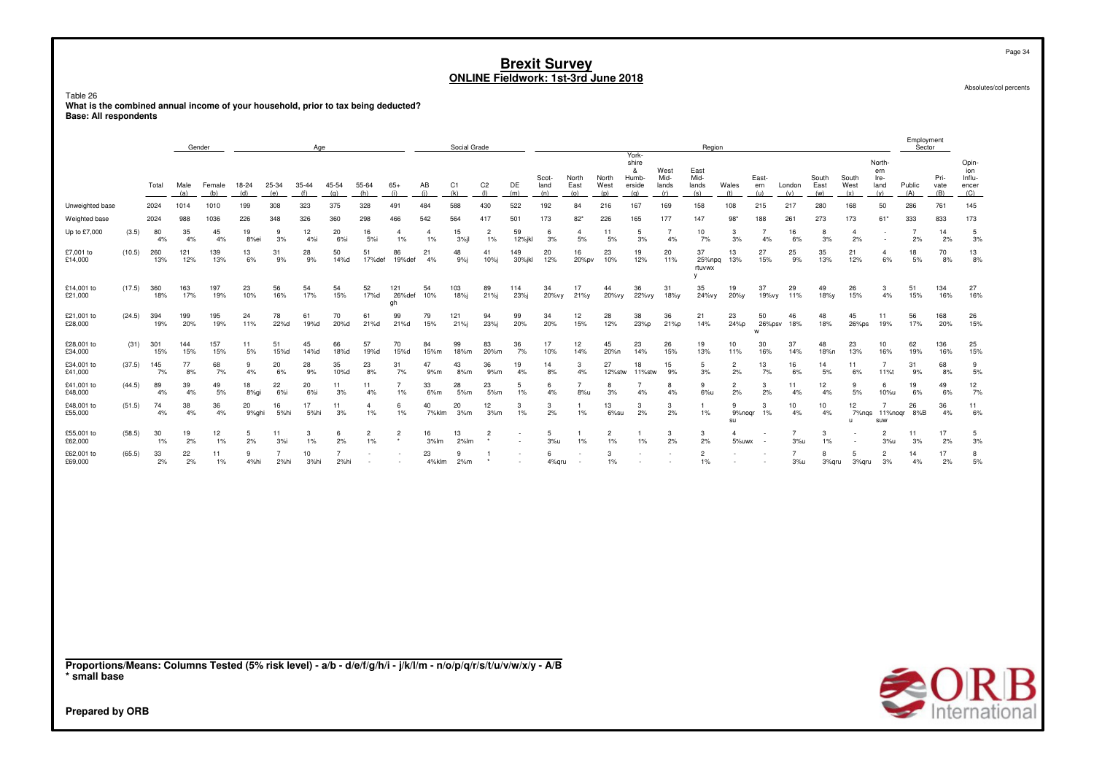Table 26

 **What is the combined annual income of your household, prior to tax being deducted?Base: All respondents**

|                       |        | Social Grade<br>Gender<br>Age |             |               |                                                                                                                                                                                                                                                                                                                                                                                      |                        |              |                        |                         |                           |                      |                       |                                                                                                                                                                                                                                                                                                                                                                                      |                |                      |                       |                      |                                               |                              | Region                       |                      |                          |                       |                      |                             |                                      | Employment<br>Sector |                     |                                        |
|-----------------------|--------|-------------------------------|-------------|---------------|--------------------------------------------------------------------------------------------------------------------------------------------------------------------------------------------------------------------------------------------------------------------------------------------------------------------------------------------------------------------------------------|------------------------|--------------|------------------------|-------------------------|---------------------------|----------------------|-----------------------|--------------------------------------------------------------------------------------------------------------------------------------------------------------------------------------------------------------------------------------------------------------------------------------------------------------------------------------------------------------------------------------|----------------|----------------------|-----------------------|----------------------|-----------------------------------------------|------------------------------|------------------------------|----------------------|--------------------------|-----------------------|----------------------|-----------------------------|--------------------------------------|----------------------|---------------------|----------------------------------------|
|                       |        | Total                         | Male<br>(a) | Female<br>(b) | 18-24<br>(d)                                                                                                                                                                                                                                                                                                                                                                         | 25-34<br>(e)           | 35-44<br>(f) | 45-54<br>(g)           | 55-64<br>(h)            | $65+$<br>(i)              | AB<br>(i)            | C <sub>1</sub><br>(k) | C <sub>2</sub><br>(1)                                                                                                                                                                                                                                                                                                                                                                | DE<br>(m)      | Scot-<br>land<br>(n) | North<br>East<br>(o)  | North<br>West<br>(p) | York-<br>shire<br>&<br>Humb-<br>erside<br>(q) | West<br>Mid-<br>lands<br>(r) | East<br>Mid-<br>lands<br>(s) | Wales<br>(t)         | East-<br>ern<br>(u)      | London<br>(v)         | South<br>East<br>(w) | South<br>West<br>(x)        | North-<br>ern<br>Ire-<br>land<br>(y) | Public<br>(A)        | Pri-<br>vate<br>(B) | Opin-<br>ion<br>Influ-<br>encer<br>(C) |
| Unweighted base       |        | 2024                          | 1014        | 1010          | 199                                                                                                                                                                                                                                                                                                                                                                                  | 308                    | 323          | 375                    | 328                     | 491                       | 484                  | 588                   | 430                                                                                                                                                                                                                                                                                                                                                                                  | 522            | 192                  | 84                    | 216                  | 167                                           | 169                          | 158                          | 108                  | 215                      | 217                   | 280                  | 168                         | 50                                   | 286                  | 761                 | 145                                    |
| Weighted base         |        | 2024                          | 988         | 1036          | 226                                                                                                                                                                                                                                                                                                                                                                                  | 348                    | 326          | 360                    | 298                     | 466                       | 542                  | 564                   | 417                                                                                                                                                                                                                                                                                                                                                                                  | 501            | 173                  | $82*$                 | 226                  | 165                                           | 177                          | 147                          | $98*$                | 188                      | 261                   | 273                  | 173                         | 61'                                  | 333                  | 833                 | 173                                    |
| Up to £7,000          | (3.5)  | 80<br>4%                      | 35<br>4%    | 45<br>4%      | 19<br>8%ei                                                                                                                                                                                                                                                                                                                                                                           | 9<br>3%                | 12<br>4%i    | 20<br>6%               | 16<br>5%i               | $\overline{4}$<br>$1\%$   | $\overline{4}$<br>1% | 15<br>$3%$ jl         | $\overline{2}$<br>1%                                                                                                                                                                                                                                                                                                                                                                 | 59<br>12%jkl   | 6<br>3%              | $\overline{4}$<br>5%  | 11<br>$5%$           | 5<br>3%                                       | $\overline{7}$<br>4%         | 10<br>7%                     | 3<br>3%              | $\overline{7}$<br>4%     | 16<br>6%              | 8<br>3%              | $\overline{4}$<br>2%        | ٠                                    | $\overline{7}$<br>2% | 14<br>2%            | 5<br>3%                                |
| £7,001 to<br>£14,000  | (10.5) | 260<br>13%                    | 121<br>12%  | 139<br>13%    | 13<br>6%                                                                                                                                                                                                                                                                                                                                                                             | 31<br>9%               | 28<br>9%     | 50<br>14%d             | 51<br>17%def            | 86<br>19%def              | 21<br>4%             | 48<br>9%              | 41<br>$10%$ j                                                                                                                                                                                                                                                                                                                                                                        | 149<br>30%jkl  | 20<br>12%            | 16<br>20%pv           | 23<br>10%            | 19<br>12%                                     | 20<br>11%                    | 37<br>25%npq<br>rtuvwx<br>v  | 13<br>13%            | 27<br>15%                | 25<br>9%              | 35<br>13%            | 21<br>12%                   | $\overline{4}$<br>6%                 | 18<br>5%             | 70<br>8%            | 13<br>8%                               |
| £14,001 to<br>£21,000 | (17.5) | 360<br>18%                    | 163<br>17%  | 197<br>19%    | 23<br>10%                                                                                                                                                                                                                                                                                                                                                                            | 56<br>16%              | 54<br>17%    | 54<br>15%              | 52<br>17%d              | 121<br>26%def<br>gh       | 54<br>10%            | 103<br>18%j           | 89<br>21%j                                                                                                                                                                                                                                                                                                                                                                           | 114<br>23%j    | 34<br>20%vy          | 17<br>21%y            | 44<br>20%vy          | 36<br>22%vy                                   | 31<br>18%у                   | 35<br>24%vy                  | 19<br>20%y           | 37<br>19%vy              | 29<br>11%             | 49<br>18%y           | 26<br>15%                   | 3<br>4%                              | 51<br>15%            | 134<br>16%          | 27<br>16%                              |
| £21,001 to<br>£28,000 | (24.5) | 394<br>19%                    | 199<br>20%  | 195<br>19%    | 24<br>11%                                                                                                                                                                                                                                                                                                                                                                            | 78<br>22%d             | 61<br>19%d   | 70<br>20%d             | 61<br>21%d              | 99<br>21%d                | 79<br>15%            | 121<br>21%j           | 94<br>23%j                                                                                                                                                                                                                                                                                                                                                                           | 99<br>20%      | 34<br>20%            | 12<br>15%             | 28<br>12%            | 38<br>23%p                                    | 36<br>21%p                   | 21<br>14%                    | 23<br>24%р           | 50<br>26%psv<br>W        | 46<br>18%             | 48<br>18%            | 45<br>26%ps                 | 11<br>19%                            | 56<br>17%            | 168<br>20%          | 26<br>15%                              |
| £28,001 to<br>£34,000 | (31)   | 301<br>15%                    | 144<br>15%  | 157<br>15%    | 11<br>5%                                                                                                                                                                                                                                                                                                                                                                             | 51<br>15%d             | 45<br>14%d   | 66<br>18%d             | 57<br>19%d              | 70<br>15%d                | 84<br>15%m           | 99<br>18%m            | 83<br>20%m                                                                                                                                                                                                                                                                                                                                                                           | 36<br>7%       | 17<br>10%            | 12<br>14%             | 45<br>20%n           | 23<br>14%                                     | 26<br>15%                    | 19<br>13%                    | 10<br>11%            | 30<br>16%                | 37<br>14%             | 48<br>18%n           | 23<br>13%                   | 10<br>16%                            | 62<br>19%            | 136<br>16%          | 25<br>15%                              |
| £34,001 to<br>£41,000 | (37.5) | 145<br>7%                     | 77<br>8%    | 68<br>7%      | 9<br>4%                                                                                                                                                                                                                                                                                                                                                                              | 20<br>6%               | 28<br>9%     | 35<br>10%d             | 23<br>8%                | 31<br>7%                  | 47<br>9%m            | 43<br>8%m             | 36<br>9%m                                                                                                                                                                                                                                                                                                                                                                            | 19<br>4%       | 14<br>8%             | 3<br>4%               | 27<br>12%stw         | 18<br>11%stw                                  | 15<br>9%                     | 5<br>3%                      | $\overline{2}$<br>2% | 13<br>7%                 | 16<br>6%              | 14<br>5%             | 11<br>6%                    | $\overline{7}$<br>11%t               | 31<br>9%             | 68<br>8%            | 9<br>5%                                |
| £41,001 to<br>£48,000 | (44.5) | 89<br>4%                      | 39<br>4%    | 49<br>5%      | 18<br>8%gi                                                                                                                                                                                                                                                                                                                                                                           | 22<br>$6%$ i           | 20<br>$6%$ i | 11<br>3%               | 11<br>4%                | $\overline{7}$<br>1%      | 33<br>6%m            | 28<br>5%m             | 23<br>5%m                                                                                                                                                                                                                                                                                                                                                                            | 5<br>1%        | -6<br>4%             | $\overline{7}$<br>8%u | 8<br>3%              | $\overline{7}$<br>$4\%$                       | 8<br>4%                      | 9<br>6%u                     | $\overline{2}$<br>2% | 3<br>2%                  | 11<br>4%              | 12<br>4%             | 9<br>$5%$                   | 6<br>10%u                            | 19<br>6%             | 49<br>6%            | 12<br>7%                               |
| £48,001 to<br>£55,000 | (51.5) | 74<br>4%                      | 38<br>4%    | 36<br>4%      | 20<br>9%ghi                                                                                                                                                                                                                                                                                                                                                                          | 16<br>5%hi             | 17<br>5%hi   | 11<br>3%               | $\overline{4}$<br>1%    | 6<br>1%                   | 40<br>7%klm          | 20<br>3%m             | 12<br>3%m                                                                                                                                                                                                                                                                                                                                                                            | 3<br>1%        | 3<br>2%              | -1<br>1%              | 13<br>6%su           | 3<br>2%                                       | 3<br>2%                      | $\mathbf{1}$<br>1%           | 9<br>9%noqr<br>su    | 3<br>1%                  | 10<br>4%              | 10<br>4%             | 12<br>7%nas<br>$\mathbf{u}$ | $\overline{7}$<br>11%nogr 8%B<br>suw | 26                   | 36<br>4%            | 11<br>6%                               |
| £55,001 to<br>£62,000 | (58.5) | 30<br>$1\%$                   | 19<br>2%    | 12<br>$1\%$   | 5<br>2%                                                                                                                                                                                                                                                                                                                                                                              | 11<br>3%               | 3<br>1%      | 6<br>2%                | $\overline{2}$<br>$1\%$ | $\overline{c}$<br>$\star$ | 16<br>3%lm           | 13<br>2%lm            | $\overline{2}$                                                                                                                                                                                                                                                                                                                                                                       |                | 5<br>3%u             | -1<br>1%              | $\overline{c}$<br>1% | 1<br>$1\%$                                    | 3<br>2%                      | 3<br>2%                      | 4<br>5%uwx           | $\overline{\phantom{a}}$ | $\overline{7}$<br>3%u | 3<br>1%              |                             | $\overline{2}$<br>3%u                | 11<br>3%             | 17<br>2%            | 5<br>3%                                |
| £62,001 to<br>£69,000 | (65.5) | 33<br>2%                      | 22<br>2%    | 11<br>1%      | 9<br>4%hi                                                                                                                                                                                                                                                                                                                                                                            | $\overline{7}$<br>2%hi | 10<br>3%hi   | $\overline{7}$<br>2%hi |                         |                           | 23<br>4%klm          | 9<br>2%m              | -1                                                                                                                                                                                                                                                                                                                                                                                   |                | 6<br>4%qru           |                       | 3<br>1%              |                                               |                              | $\overline{2}$<br>1%         |                      |                          | $\overline{7}$<br>3%u | 8<br>3%qru           | 5<br>3%qru                  | $\overline{2}$<br>3%                 | 14<br>4%             | 17<br>2%            | 8<br>$5%$                              |
|                       |        |                               |             |               | $\overline{1}$ $\overline{1}$ $\overline{2}$ $\overline{3}$ $\overline{4}$ $\overline{1}$ $\overline{1}$ $\overline{1}$ $\overline{1}$ $\overline{1}$ $\overline{1}$ $\overline{1}$ $\overline{1}$ $\overline{1}$ $\overline{1}$ $\overline{1}$ $\overline{1}$ $\overline{1}$ $\overline{1}$ $\overline{1}$ $\overline{1}$ $\overline{1}$ $\overline{1}$ $\overline{1}$ $\overline{$ |                        |              |                        | .                       |                           |                      |                       | $\overline{1}$ $\overline{1}$ $\overline{1}$ $\overline{1}$ $\overline{1}$ $\overline{1}$ $\overline{1}$ $\overline{1}$ $\overline{1}$ $\overline{1}$ $\overline{1}$ $\overline{1}$ $\overline{1}$ $\overline{1}$ $\overline{1}$ $\overline{1}$ $\overline{1}$ $\overline{1}$ $\overline{1}$ $\overline{1}$ $\overline{1}$ $\overline{1}$ $\overline{1}$ $\overline{1}$ $\overline{$ | $\overline{ }$ |                      |                       |                      |                                               |                              |                              |                      |                          |                       |                      |                             |                                      |                      |                     |                                        |

**Proportions/Means: Columns Tested (5% risk level) - a/b - d/e/f/g/h/i - j/k/l/m - n/o/p/q/r/s/t/u/v/w/x/y - A/B\* small base**



Absolutes/col percents

Page 34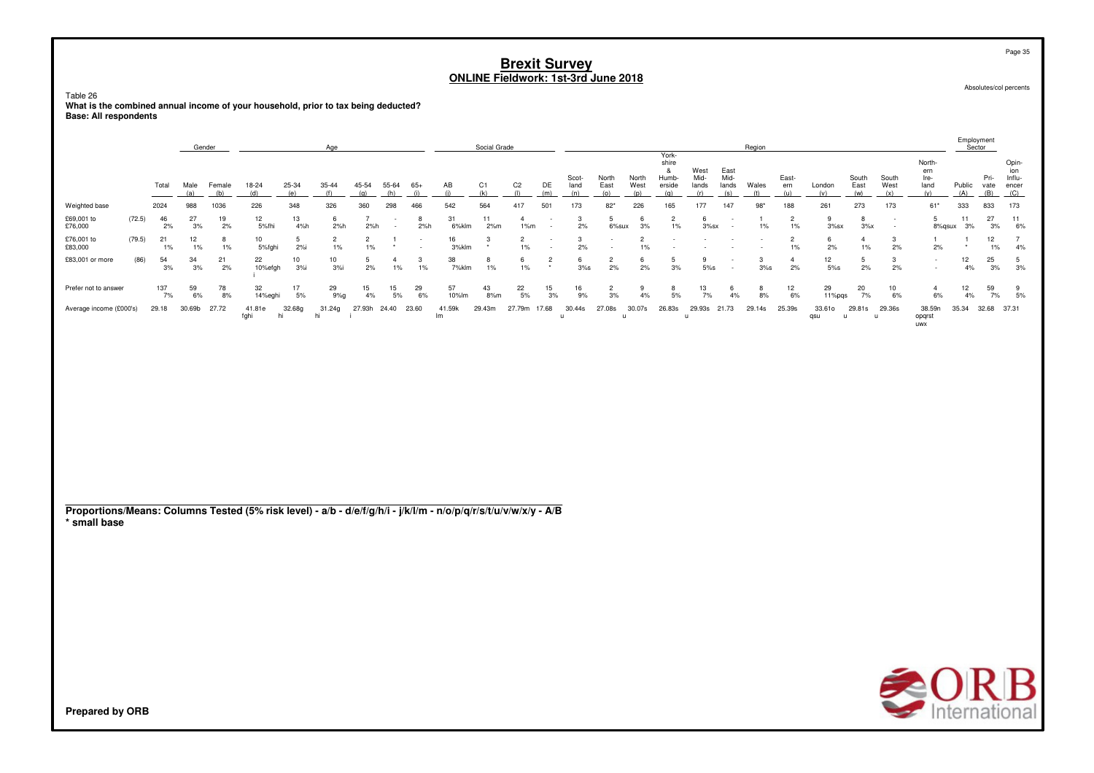Table 26

What is the combined annual income of your household, prior to tax being deducted? **Base: All respondents** 

|                         | Gender<br>Age |           |          |            |                |                    |                         |                         |          |          |              | Social Grade   |                         |               |                   |                 |                         | York-                    |                       |                              | Region |             |                  |               |                                    |                                | Employment<br>Sector |             |                                       |
|-------------------------|---------------|-----------|----------|------------|----------------|--------------------|-------------------------|-------------------------|----------|----------|--------------|----------------|-------------------------|---------------|-------------------|-----------------|-------------------------|--------------------------|-----------------------|------------------------------|--------|-------------|------------------|---------------|------------------------------------|--------------------------------|----------------------|-------------|---------------------------------------|
|                         |               | Total     | Male     | Female     | 18-24          | 25-34              | 35-44                   | 45-54                   | 55-64    | $65+$    | AB           | C <sub>1</sub> | C <sub>2</sub>          | DE            | Scot-<br>land     | North<br>East   | North<br>West           | shire<br>Humb-<br>erside | West<br>Mid-<br>lands | East<br>Mid-<br>lands<br>(ج) | Wales  | East-<br>em | London           | South<br>East | South<br>West                      | North-<br>ern<br>Ire-<br>land  | Public               | Pri-        | Opin<br>ion<br>Influ-<br>encer<br>(C) |
| Weighted base           |               | 2024      | 988      | 036        | 226            | 348                | 326                     | 360                     | 298      | 466      | 542          | 564            | 417                     | 501           | 173               | $82*$           | 226                     | 165                      | 177                   | 147                          | $98*$  | 188         | 261              | 273           | 173                                | $61*$                          | 333                  | 833         | 173                                   |
| £69,001 to<br>£76,000   | (72.5)        | 46<br>2%  | 27<br>3% | 19<br>2%   | 12<br>5%fh     | 13<br>4%h          | 6<br>2%h                | 2%h                     |          | 2%h      | 31<br>6%klm  | 11<br>2%m      | 1%m                     |               | 2%                | 6%sux           | 3%                      | $\overline{2}$<br>$1\%$  | $3%$ sx               |                              | $1\%$  | 2<br>1%     | $3%$ sx          | $3\%x$        | $\overline{\phantom{a}}$<br>$\sim$ | 5<br>8%gsux                    | 3%                   | 27<br>3%    | -11<br>6%                             |
| £76,001 to<br>£83,000   | (79.5)        | 21<br>1%  | 12<br>1% | ರ<br>$1\%$ | 10<br>5%fghi   | 2%i                | $\overline{2}$<br>$1\%$ | $\overline{c}$<br>$1\%$ | $\star$  |          | 16<br>3%klm  | ು              | $\overline{2}$<br>$1\%$ |               | 2%                | $\sim$          | $\overline{2}$<br>$1\%$ |                          |                       |                              |        | 2<br>1%     | 2%               | $1\%$         | 2%                                 | 2%                             | $\star$              | 12<br>$1\%$ | 4%                                    |
| £83,001 or more         | (86)          | 54<br>3%  | 34<br>3% | 21<br>2%   | 22<br>10%efgh  | $\frac{10}{3\%}$ i | $\frac{10}{3\%}$        | 5<br>2%                 | $1\%$    | 1%       | 38<br>7%klm  | 8<br>1%        | 6<br>1%                 | $\frac{2}{x}$ | $\frac{6}{3\%}$ s | $\frac{2}{2\%}$ | 6<br>2%                 | 5<br>3%                  | 5%s                   |                              | 3%s    | 2%          | 12<br>5%s        | 5<br>2%       | 3<br>2%                            |                                | 12<br>4%             | 25<br>3%    | 3%                                    |
| Prefer not to answer    |               | 137<br>7% | 59<br>6% | 78<br>8%   | 32<br>14%eghi  | 17<br>5%           | 29<br>9%q               | 15<br>4%                | 15<br>5% | 29<br>6% | 57<br>10%lm  | 43<br>8%m      | 22<br>5%                | 15<br>3%      | 16<br>9%          | 2<br>3%         | 9<br>4%                 | 8<br>5%                  | 13<br>7%              | 4%                           | 8%     | 12<br>6%    | 29<br>$11\%$ pgs | 20<br>7%      | 10<br>6%                           | 6%                             | 12<br>4%             | 59<br>7%    | 5%                                    |
| Average income (£000's) |               | 29.18     | 30.69b   | 27.72      | 41.81e<br>fghi | 32.68g<br>hi       | 31.24g                  | 27.93h 24.40            |          | 23.60    | 41.59k<br>Im | 29.43m         | 27.79m                  | 17.68         | 30.44s            | 27.08s          | 30.07s                  | 26.83s                   | 29.93s 21.73          |                              | 29.14s | 25.39s      | 33.61o<br>qsu    | 29.81s        | 29.36s                             | 38.59n<br>opqrst<br><b>UWX</b> | 35.34                | 32.68       | 37.31                                 |

Proportions/Means: Columns Tested (5% risk level) - a/b - d/e/f/g/h/i - j/k/l/m - n/o/p/q/r/s/t/u/v/w/x/y - A/B \* small base



Page 35

Absolutes/col percents